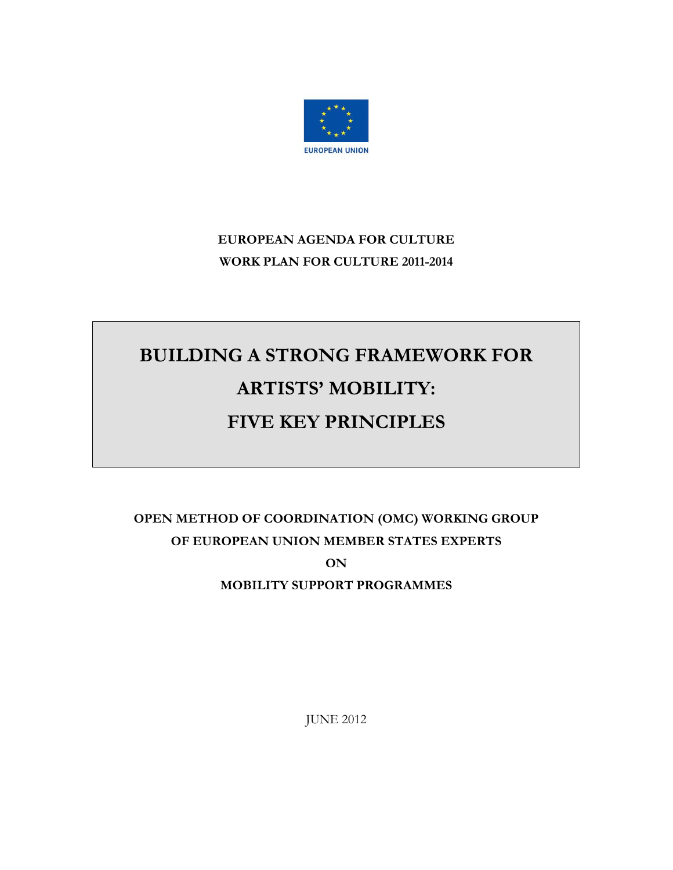

# **EUROPEAN AGENDA FOR CULTURE WORK PLAN FOR CULTURE 2011-2014**

# **BUILDING A STRONG FRAMEWORK FOR ARTISTS' MOBILITY: FIVE KEY PRINCIPLES**

# **OPEN METHOD OF COORDINATION (OMC) WORKING GROUP OF EUROPEAN UNION MEMBER STATES EXPERTS ON MOBILITY SUPPORT PROGRAMMES**

JUNE 2012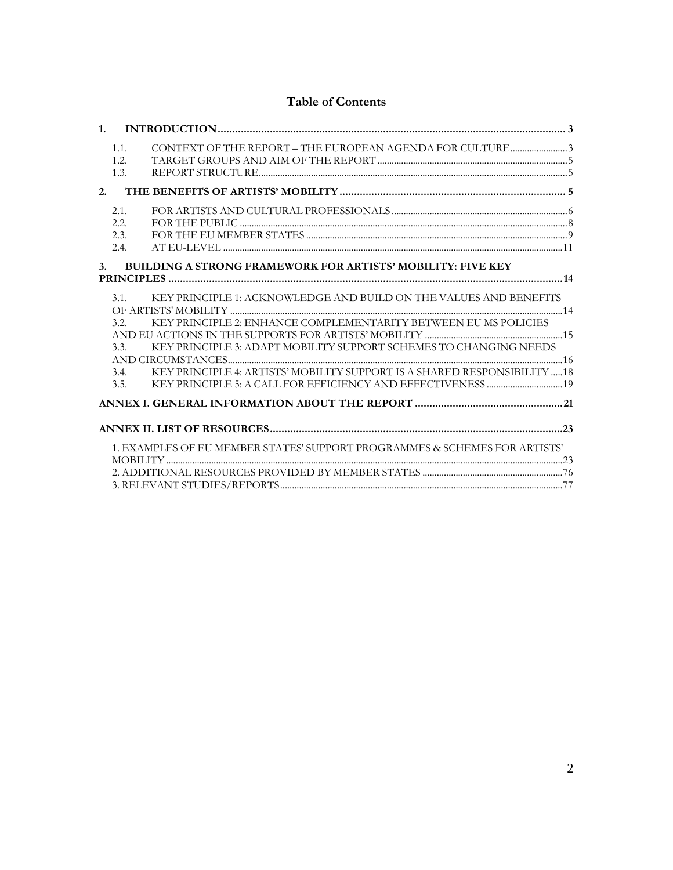# **Table of Contents**

|    | 1.1. | CONTEXT OF THE REPORT - THE EUROPEAN AGENDA FOR CULTURE3                   |  |
|----|------|----------------------------------------------------------------------------|--|
|    | 1.2. |                                                                            |  |
|    | 1.3. |                                                                            |  |
|    | 2.   |                                                                            |  |
|    | 2.1. |                                                                            |  |
|    | 2.2. |                                                                            |  |
|    | 2.3. |                                                                            |  |
|    | 2.4. |                                                                            |  |
| 3. |      | <b>BUILDING A STRONG FRAMEWORK FOR ARTISTS' MOBILITY: FIVE KEY</b>         |  |
|    |      |                                                                            |  |
|    | 3.1. | KEY PRINCIPLE 1: ACKNOWLEDGE AND BUILD ON THE VALUES AND BENEFITS          |  |
|    |      |                                                                            |  |
|    | 3.2. | KEY PRINCIPLE 2: ENHANCE COMPLEMENTARITY BETWEEN EU MS POLICIES            |  |
|    |      |                                                                            |  |
|    | 3.3. | KEY PRINCIPLE 3: ADAPT MOBILITY SUPPORT SCHEMES TO CHANGING NEEDS          |  |
|    |      |                                                                            |  |
|    | 3.4. | KEY PRINCIPLE 4: ARTISTS' MOBILITY SUPPORT IS A SHARED RESPONSIBILITY  18  |  |
|    | 3.5. |                                                                            |  |
|    |      |                                                                            |  |
|    |      |                                                                            |  |
|    |      |                                                                            |  |
|    |      | 1. EXAMPLES OF EU MEMBER STATES' SUPPORT PROGRAMMES & SCHEMES FOR ARTISTS' |  |
|    |      |                                                                            |  |
|    |      |                                                                            |  |
|    |      |                                                                            |  |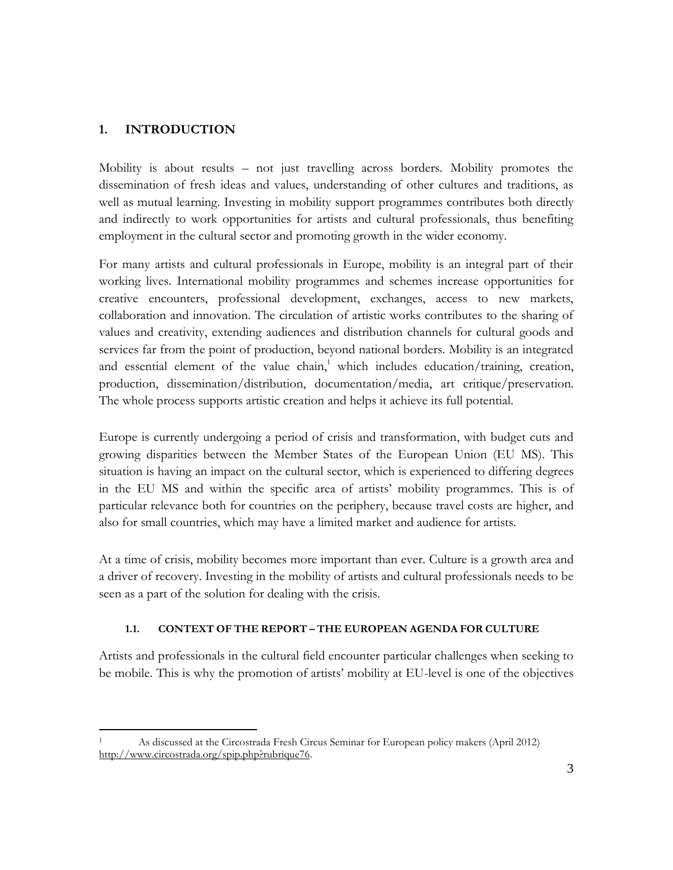### <span id="page-2-0"></span>**1. INTRODUCTION**

Mobility is about results – not just travelling across borders. Mobility promotes the dissemination of fresh ideas and values, understanding of other cultures and traditions, as well as mutual learning. Investing in mobility support programmes contributes both directly and indirectly to work opportunities for artists and cultural professionals, thus benefiting employment in the cultural sector and promoting growth in the wider economy.

For many artists and cultural professionals in Europe, mobility is an integral part of their working lives. International mobility programmes and schemes increase opportunities for creative encounters, professional development, exchanges, access to new markets, collaboration and innovation. The circulation of artistic works contributes to the sharing of values and creativity, extending audiences and distribution channels for cultural goods and services far from the point of production, beyond national borders. Mobility is an integrated and essential element of the value chain, <sup>1</sup> which includes education/training, creation, production, dissemination/distribution, documentation/media, art critique/preservation. The whole process supports artistic creation and helps it achieve its full potential.

Europe is currently undergoing a period of crisis and transformation, with budget cuts and growing disparities between the Member States of the European Union (EU MS). This situation is having an impact on the cultural sector, which is experienced to differing degrees in the EU MS and within the specific area of artists' mobility programmes. This is of particular relevance both for countries on the periphery, because travel costs are higher, and also for small countries, which may have a limited market and audience for artists.

At a time of crisis, mobility becomes more important than ever. Culture is a growth area and a driver of recovery. Investing in the mobility of artists and cultural professionals needs to be seen as a part of the solution for dealing with the crisis.

#### **1.1. CONTEXT OF THE REPORT – THE EUROPEAN AGENDA FOR CULTURE**

<span id="page-2-1"></span>Artists and professionals in the cultural field encounter particular challenges when seeking to be mobile. This is why the promotion of artists' mobility at EU-level is one of the objectives

 $\overline{a}$ As discussed at the Circostrada Fresh Circus Seminar for European policy makers (April 2012) [http://www.circostrada.org/spip.php?rubrique76.](http://www.circostrada.org/spip.php?rubrique76)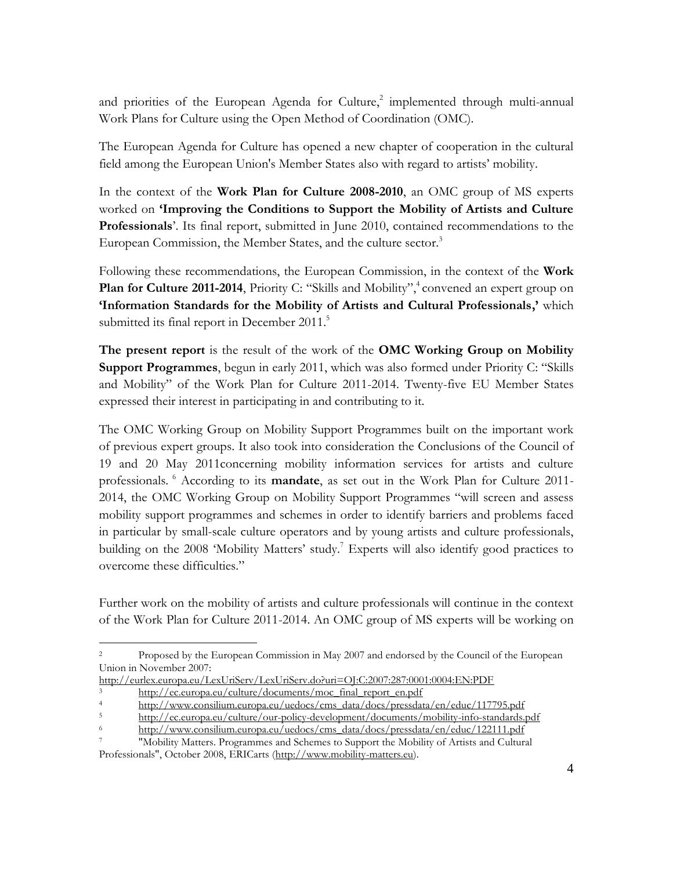and priorities of the European Agenda for Culture, 2 implemented through multi-annual Work Plans for Culture using the Open Method of Coordination (OMC).

The European Agenda for Culture has opened a new chapter of cooperation in the cultural field among the European Union's Member States also with regard to artists' mobility.

In the context of the **Work Plan for Culture 2008-2010**, an OMC group of MS experts worked on **'Improving the Conditions to Support the Mobility of Artists and Culture Professionals**'. Its final report, submitted in June 2010, contained recommendations to the European Commission, the Member States, and the culture sector.<sup>3</sup>

Following these recommendations, the European Commission, in the context of the **Work**  Plan for Culture 2011-2014, Priority C: "Skills and Mobility",<sup>4</sup> convened an expert group on **'Information Standards for the Mobility of Artists and Cultural Professionals,'** which submitted its final report in December 2011.<sup>5</sup>

**The present report** is the result of the work of the **OMC Working Group on Mobility Support Programmes**, begun in early 2011, which was also formed under Priority C: "Skills and Mobility" of the Work Plan for Culture 2011-2014. Twenty-five EU Member States expressed their interest in participating in and contributing to it.

The OMC Working Group on Mobility Support Programmes built on the important work of previous expert groups. It also took into consideration the Conclusions of the Council of 19 and 20 May 2011concerning mobility information services for artists and culture professionals. <sup>6</sup> According to its **mandate**, as set out in the Work Plan for Culture 2011- 2014, the OMC Working Group on Mobility Support Programmes "will screen and assess mobility support programmes and schemes in order to identify barriers and problems faced in particular by small-scale culture operators and by young artists and culture professionals, building on the 2008 'Mobility Matters' study.<sup>7</sup> Experts will also identify good practices to overcome these difficulties."

Further work on the mobility of artists and culture professionals will continue in the context of the Work Plan for Culture 2011-2014. An OMC group of MS experts will be working on

 $\overline{a}$ 

<sup>2</sup> Proposed by the European Commission in May 2007 and endorsed by the Council of the European Union in November 2007:

<http://eurlex.europa.eu/LexUriServ/LexUriServ.do?uri=OJ:C:2007:287:0001:0004:EN:PDF>

 $\frac{3}{100}$  [http://ec.europa.eu/culture/documents/moc\\_final\\_report\\_en.pdf](http://ec.europa.eu/culture/documents/moc_final_report_en.pdf)<br> $\frac{1}{100}$  http://www.consilium.europa.eu/uedocs/cms\_data/docs/pressdat

<sup>&</sup>lt;sup>4</sup> [http://www.consilium.europa.eu/uedocs/cms\\_data/docs/pressdata/en/educ/117795.pdf](http://www.consilium.europa.eu/uedocs/cms_data/docs/pressdata/en/educ/117795.pdf)<br>http://ec.europe.eu/culture/our\_policy\_development/documents/mobility\_info\_stendards\_t

<sup>5</sup> <http://ec.europa.eu/culture/our-policy-development/documents/mobility-info-standards.pdf>

<sup>6</sup> [http://www.consilium.europa.eu/uedocs/cms\\_data/docs/pressdata/en/educ/122111.pdf](http://www.consilium.europa.eu/uedocs/cms_data/docs/pressdata/en/educ/122111.pdf)

<sup>7</sup> "Mobility Matters. Programmes and Schemes to Support the Mobility of Artists and Cultural Professionals", October 2008, ERICarts [\(http://www.mobility-matters.eu\)](http://www.mobility-matters.eu/).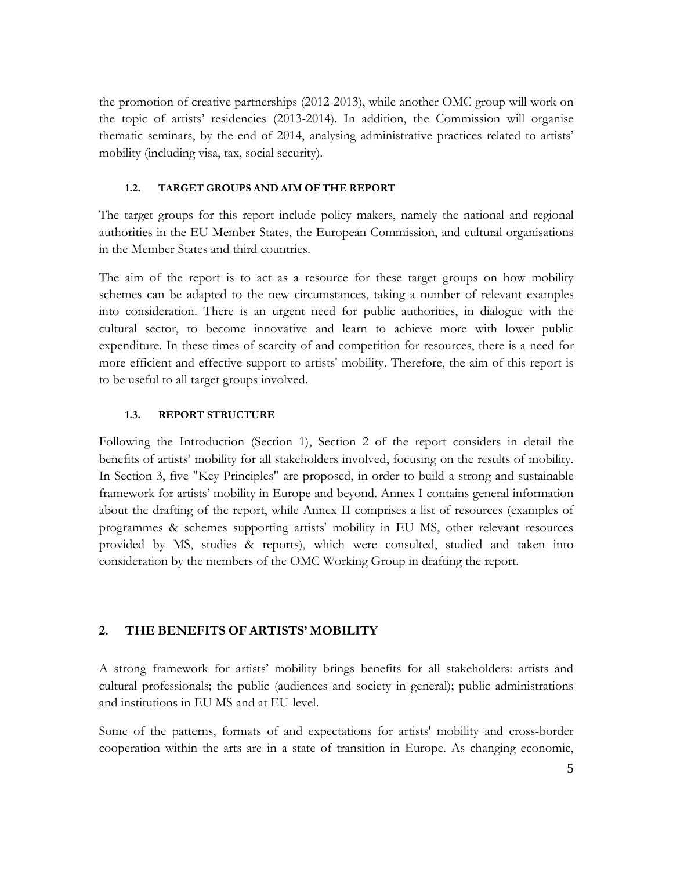the promotion of creative partnerships (2012-2013), while another OMC group will work on the topic of artists' residencies (2013-2014). In addition, the Commission will organise thematic seminars, by the end of 2014, analysing administrative practices related to artists' mobility (including visa, tax, social security).

#### **1.2. TARGET GROUPS AND AIM OF THE REPORT**

<span id="page-4-0"></span>The target groups for this report include policy makers, namely the national and regional authorities in the EU Member States, the European Commission, and cultural organisations in the Member States and third countries.

The aim of the report is to act as a resource for these target groups on how mobility schemes can be adapted to the new circumstances, taking a number of relevant examples into consideration. There is an urgent need for public authorities, in dialogue with the cultural sector, to become innovative and learn to achieve more with lower public expenditure. In these times of scarcity of and competition for resources, there is a need for more efficient and effective support to artists' mobility. Therefore, the aim of this report is to be useful to all target groups involved.

#### **1.3. REPORT STRUCTURE**

<span id="page-4-1"></span>Following the Introduction (Section 1), Section 2 of the report considers in detail the benefits of artists' mobility for all stakeholders involved, focusing on the results of mobility. In Section 3, five "Key Principles" are proposed, in order to build a strong and sustainable framework for artists' mobility in Europe and beyond. Annex I contains general information about the drafting of the report, while Annex II comprises a list of resources (examples of programmes & schemes supporting artists' mobility in EU MS, other relevant resources provided by MS, studies & reports), which were consulted, studied and taken into consideration by the members of the OMC Working Group in drafting the report.

#### <span id="page-4-2"></span>**2. THE BENEFITS OF ARTISTS' MOBILITY**

A strong framework for artists' mobility brings benefits for all stakeholders: artists and cultural professionals; the public (audiences and society in general); public administrations and institutions in EU MS and at EU-level.

Some of the patterns, formats of and expectations for artists' mobility and cross-border cooperation within the arts are in a state of transition in Europe. As changing economic,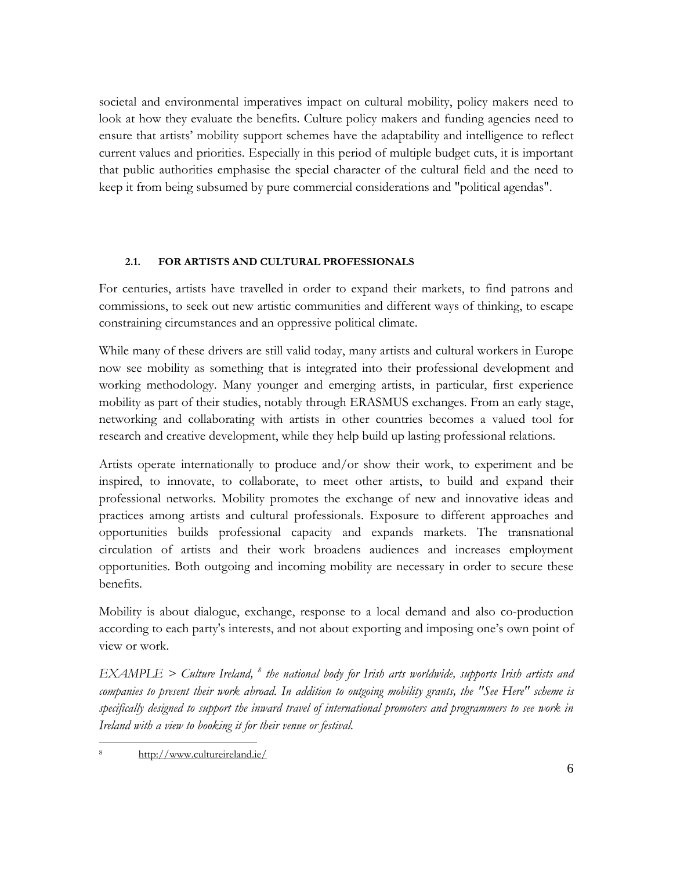societal and environmental imperatives impact on cultural mobility, policy makers need to look at how they evaluate the benefits. Culture policy makers and funding agencies need to ensure that artists' mobility support schemes have the adaptability and intelligence to reflect current values and priorities. Especially in this period of multiple budget cuts, it is important that public authorities emphasise the special character of the cultural field and the need to keep it from being subsumed by pure commercial considerations and "political agendas".

#### **2.1. FOR ARTISTS AND CULTURAL PROFESSIONALS**

<span id="page-5-0"></span>For centuries, artists have travelled in order to expand their markets, to find patrons and commissions, to seek out new artistic communities and different ways of thinking, to escape constraining circumstances and an oppressive political climate.

While many of these drivers are still valid today, many artists and cultural workers in Europe now see mobility as something that is integrated into their professional development and working methodology. Many younger and emerging artists, in particular, first experience mobility as part of their studies, notably through ERASMUS exchanges. From an early stage, networking and collaborating with artists in other countries becomes a valued tool for research and creative development, while they help build up lasting professional relations.

Artists operate internationally to produce and/or show their work, to experiment and be inspired, to innovate, to collaborate, to meet other artists, to build and expand their professional networks. Mobility promotes the exchange of new and innovative ideas and practices among artists and cultural professionals. Exposure to different approaches and opportunities builds professional capacity and expands markets. The transnational circulation of artists and their work broadens audiences and increases employment opportunities. Both outgoing and incoming mobility are necessary in order to secure these benefits.

Mobility is about dialogue, exchange, response to a local demand and also co-production according to each party's interests, and not about exporting and imposing one's own point of view or work.

*EXAMPLE > Culture Ireland, 8 the national body for Irish arts worldwide, supports Irish artists and companies to present their work abroad. In addition to outgoing mobility grants, the "See Here" scheme is specifically designed to support the inward travel of international promoters and programmers to see work in Ireland with a view to booking it for their venue or festival.* 

 $\overline{a}$ <http://www.cultureireland.ie/>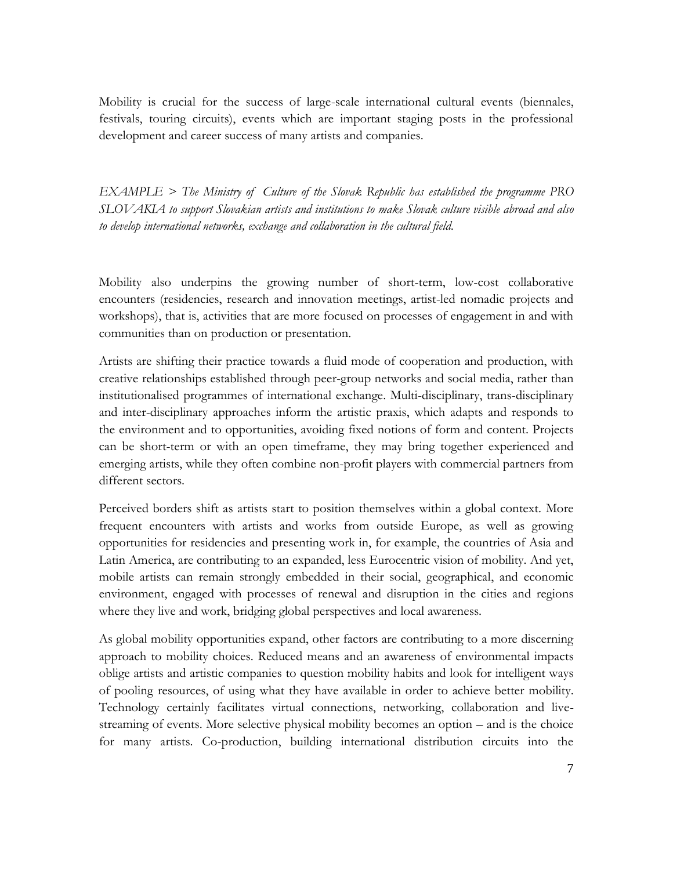Mobility is crucial for the success of large-scale international cultural events (biennales, festivals, touring circuits), events which are important staging posts in the professional development and career success of many artists and companies.

*EXAMPLE > The Ministry of Culture of the Slovak Republic has established the programme PRO SLOVAKIA to support Slovakian artists and institutions to make Slovak culture visible abroad and also to develop international networks, exchange and collaboration in the cultural field.*

Mobility also underpins the growing number of short-term, low-cost collaborative encounters (residencies, research and innovation meetings, artist-led nomadic projects and workshops), that is, activities that are more focused on processes of engagement in and with communities than on production or presentation.

Artists are shifting their practice towards a fluid mode of cooperation and production, with creative relationships established through peer-group networks and social media, rather than institutionalised programmes of international exchange. Multi-disciplinary, trans-disciplinary and inter-disciplinary approaches inform the artistic praxis, which adapts and responds to the environment and to opportunities, avoiding fixed notions of form and content. Projects can be short-term or with an open timeframe, they may bring together experienced and emerging artists, while they often combine non-profit players with commercial partners from different sectors.

Perceived borders shift as artists start to position themselves within a global context. More frequent encounters with artists and works from outside Europe, as well as growing opportunities for residencies and presenting work in, for example, the countries of Asia and Latin America, are contributing to an expanded, less Eurocentric vision of mobility. And yet, mobile artists can remain strongly embedded in their social, geographical, and economic environment, engaged with processes of renewal and disruption in the cities and regions where they live and work, bridging global perspectives and local awareness.

As global mobility opportunities expand, other factors are contributing to a more discerning approach to mobility choices. Reduced means and an awareness of environmental impacts oblige artists and artistic companies to question mobility habits and look for intelligent ways of pooling resources, of using what they have available in order to achieve better mobility. Technology certainly facilitates virtual connections, networking, collaboration and livestreaming of events. More selective physical mobility becomes an option – and is the choice for many artists. Co-production, building international distribution circuits into the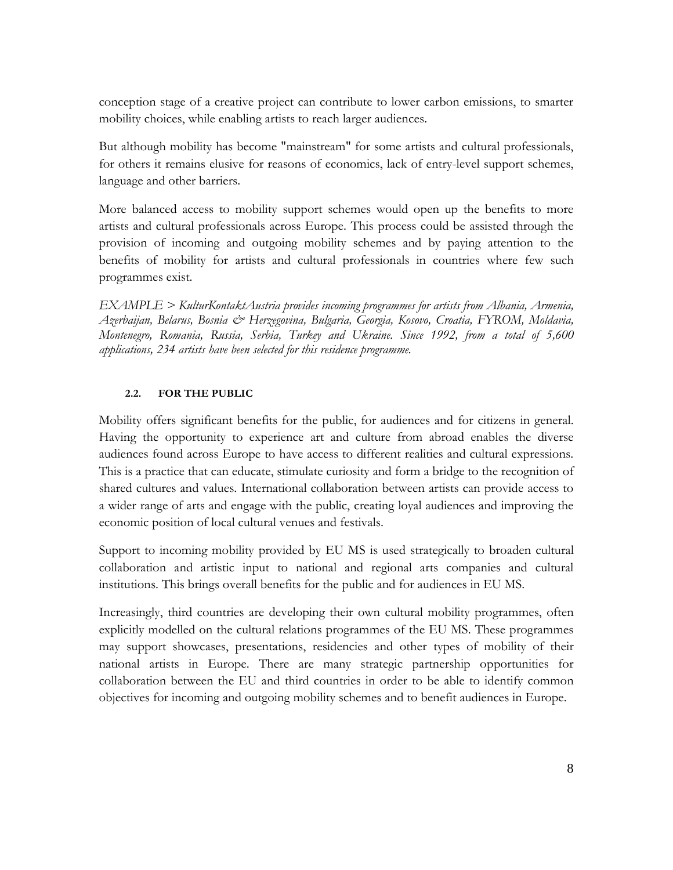conception stage of a creative project can contribute to lower carbon emissions, to smarter mobility choices, while enabling artists to reach larger audiences.

But although mobility has become "mainstream" for some artists and cultural professionals, for others it remains elusive for reasons of economics, lack of entry-level support schemes, language and other barriers.

More balanced access to mobility support schemes would open up the benefits to more artists and cultural professionals across Europe. This process could be assisted through the provision of incoming and outgoing mobility schemes and by paying attention to the benefits of mobility for artists and cultural professionals in countries where few such programmes exist.

*EXAMPLE > KulturKontaktAustria provides incoming programmes for artists from Albania, Armenia, Azerbaijan, Belarus, Bosnia & Herzegovina, Bulgaria, Georgia, Kosovo, Croatia, FYROM, Moldavia, Montenegro, Romania, Russia, Serbia, Turkey and Ukraine. Since 1992, from a total of 5,600 applications, 234 artists have been selected for this residence programme.*

#### **2.2. FOR THE PUBLIC**

<span id="page-7-0"></span>Mobility offers significant benefits for the public, for audiences and for citizens in general. Having the opportunity to experience art and culture from abroad enables the diverse audiences found across Europe to have access to different realities and cultural expressions. This is a practice that can educate, stimulate curiosity and form a bridge to the recognition of shared cultures and values. International collaboration between artists can provide access to a wider range of arts and engage with the public, creating loyal audiences and improving the economic position of local cultural venues and festivals.

Support to incoming mobility provided by EU MS is used strategically to broaden cultural collaboration and artistic input to national and regional arts companies and cultural institutions. This brings overall benefits for the public and for audiences in EU MS.

Increasingly, third countries are developing their own cultural mobility programmes, often explicitly modelled on the cultural relations programmes of the EU MS. These programmes may support showcases, presentations, residencies and other types of mobility of their national artists in Europe. There are many strategic partnership opportunities for collaboration between the EU and third countries in order to be able to identify common objectives for incoming and outgoing mobility schemes and to benefit audiences in Europe.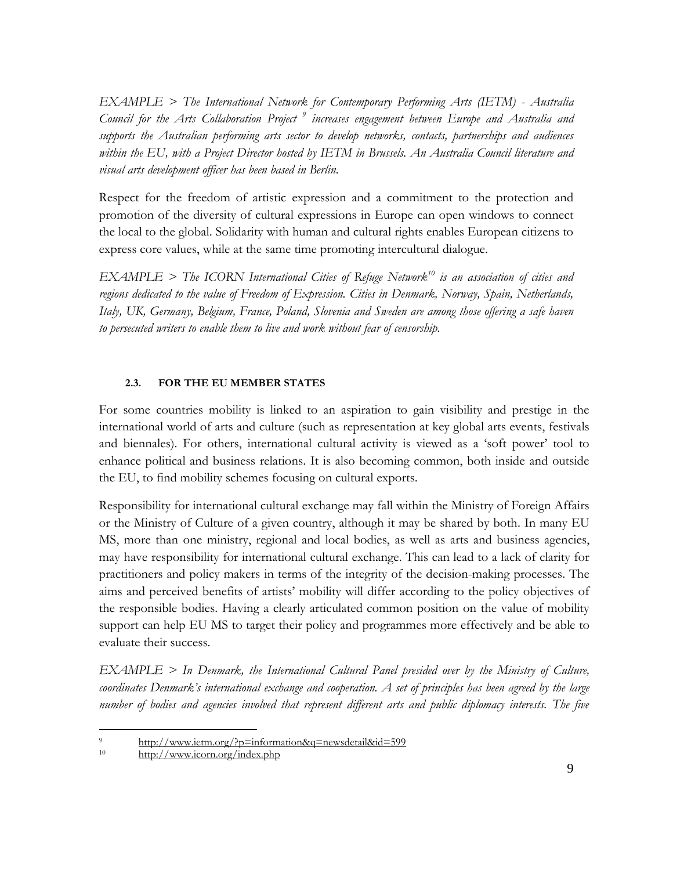*EXAMPLE > The International Network for Contemporary Performing Arts (IETM) - Australia Council for the Arts Collaboration Project <sup>9</sup> increases engagement between Europe and Australia and supports the Australian performing arts sector to develop networks, contacts, partnerships and audiences within the EU, with a Project Director hosted by IETM in Brussels. An Australia Council literature and visual arts development officer has been based in Berlin.*

Respect for the freedom of artistic expression and a commitment to the protection and promotion of the diversity of cultural expressions in Europe can open windows to connect the local to the global. Solidarity with human and cultural rights enables European citizens to express core values, while at the same time promoting intercultural dialogue.

*EXAMPLE > The ICORN International Cities of Refuge Network<sup>10</sup> is an association of cities and regions dedicated to the value of Freedom of Expression. Cities in Denmark, Norway, Spain, Netherlands, Italy, UK, Germany, Belgium, France, Poland, Slovenia and Sweden are among those offering a safe haven to persecuted writers to enable them to live and work without fear of censorship.*

#### **2.3. FOR THE EU MEMBER STATES**

<span id="page-8-0"></span>For some countries mobility is linked to an aspiration to gain visibility and prestige in the international world of arts and culture (such as representation at key global arts events, festivals and biennales). For others, international cultural activity is viewed as a 'soft power' tool to enhance political and business relations. It is also becoming common, both inside and outside the EU, to find mobility schemes focusing on cultural exports.

Responsibility for international cultural exchange may fall within the Ministry of Foreign Affairs or the Ministry of Culture of a given country, although it may be shared by both. In many EU MS, more than one ministry, regional and local bodies, as well as arts and business agencies, may have responsibility for international cultural exchange. This can lead to a lack of clarity for practitioners and policy makers in terms of the integrity of the decision-making processes. The aims and perceived benefits of artists' mobility will differ according to the policy objectives of the responsible bodies. Having a clearly articulated common position on the value of mobility support can help EU MS to target their policy and programmes more effectively and be able to evaluate their success.

*EXAMPLE > In Denmark, the International Cultural Panel presided over by the Ministry of Culture, coordinates Denmark's international exchange and cooperation. A set of principles has been agreed by the large number of bodies and agencies involved that represent different arts and public diplomacy interests. The five* 

 $\overline{a}$  $\frac{9}{2}$  <http://www.ietm.org/?p=information&q=newsdetail&id=599>

<http://www.icorn.org/index.php>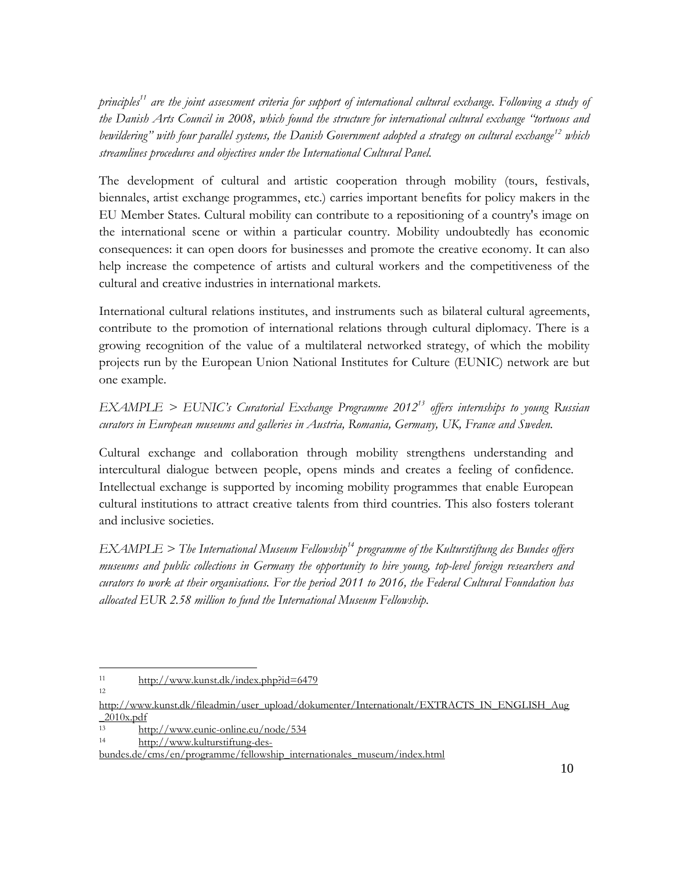*principles<sup>11</sup> are the joint assessment criteria for support of international cultural exchange. Following a study of the Danish Arts Council in 2008, which found the structure for international cultural exchange "tortuous and bewildering" with four parallel systems, the Danish Government adopted a strategy on cultural exchange<sup>12</sup> which streamlines procedures and objectives under the International Cultural Panel.*

The development of cultural and artistic cooperation through mobility (tours, festivals, biennales, artist exchange programmes, etc.) carries important benefits for policy makers in the EU Member States. Cultural mobility can contribute to a repositioning of a country's image on the international scene or within a particular country. Mobility undoubtedly has economic consequences: it can open doors for businesses and promote the creative economy. It can also help increase the competence of artists and cultural workers and the competitiveness of the cultural and creative industries in international markets.

International cultural relations institutes, and instruments such as bilateral cultural agreements, contribute to the promotion of international relations through cultural diplomacy. There is a growing recognition of the value of a multilateral networked strategy, of which the mobility projects run by the European Union National Institutes for Culture (EUNIC) network are but one example.

# *EXAMPLE > EUNIC's Curatorial Exchange Programme 2012<sup>13</sup> offers internships to young Russian curators in European museums and galleries in Austria, Romania, Germany, UK, France and Sweden.*

Cultural exchange and collaboration through mobility strengthens understanding and intercultural dialogue between people, opens minds and creates a feeling of confidence. Intellectual exchange is supported by incoming mobility programmes that enable European cultural institutions to attract creative talents from third countries. This also fosters tolerant and inclusive societies.

*EXAMPLE > The International Museum Fellowship<sup>14</sup> programme of the Kulturstiftung des Bundes offers museums and public collections in Germany the opportunity to hire young, top-level foreign researchers and curators to work at their organisations. For the period 2011 to 2016, the Federal Cultural Foundation has allocated EUR 2.58 million to fund the International Museum Fellowship.*

 $\overline{a}$ 11 <http://www.kunst.dk/index.php?id=6479>

12

[http://www.kunst.dk/fileadmin/user\\_upload/dokumenter/Internationalt/EXTRACTS\\_IN\\_ENGLISH\\_Aug](http://www.kunst.dk/fileadmin/user_upload/dokumenter/Internationalt/EXTRACTS_IN_ENGLISH_Aug_2010x.pdf)  $\frac{2010x.pdf}{13}$ 

 $\frac{\text{http://www.eunic online.eu/node/534}}{\text{http://www.lulvert/long/long/long/long2}}$ 

[http://www.kulturstiftung-des-](http://www.kulturstiftung-des-bundes.de/cms/en/programme/fellowship_internationales_museum/index.html)

[bundes.de/cms/en/programme/fellowship\\_internationales\\_museum/index.html](http://www.kulturstiftung-des-bundes.de/cms/en/programme/fellowship_internationales_museum/index.html)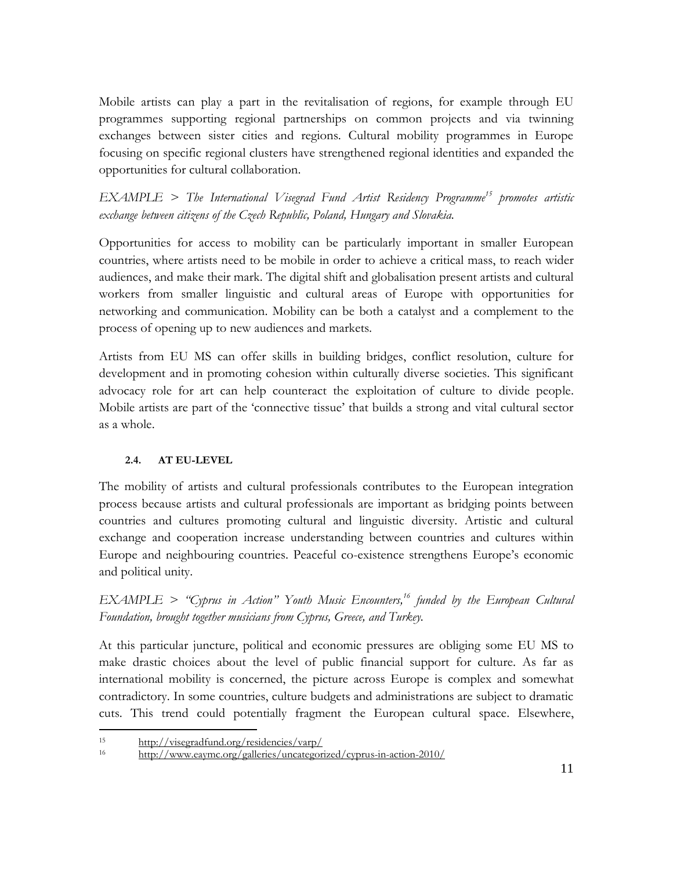Mobile artists can play a part in the revitalisation of regions, for example through EU programmes supporting regional partnerships on common projects and via twinning exchanges between sister cities and regions. Cultural mobility programmes in Europe focusing on specific regional clusters have strengthened regional identities and expanded the opportunities for cultural collaboration.

*EXAMPLE > The International Visegrad Fund Artist Residency Programme <sup>15</sup> promotes artistic exchange between citizens of the Czech Republic, Poland, Hungary and Slovakia.*

Opportunities for access to mobility can be particularly important in smaller European countries, where artists need to be mobile in order to achieve a critical mass, to reach wider audiences, and make their mark. The digital shift and globalisation present artists and cultural workers from smaller linguistic and cultural areas of Europe with opportunities for networking and communication. Mobility can be both a catalyst and a complement to the process of opening up to new audiences and markets.

Artists from EU MS can offer skills in building bridges, conflict resolution, culture for development and in promoting cohesion within culturally diverse societies. This significant advocacy role for art can help counteract the exploitation of culture to divide people. Mobile artists are part of the 'connective tissue' that builds a strong and vital cultural sector as a whole.

#### **2.4. AT EU-LEVEL**

<span id="page-10-0"></span>The mobility of artists and cultural professionals contributes to the European integration process because artists and cultural professionals are important as bridging points between countries and cultures promoting cultural and linguistic diversity. Artistic and cultural exchange and cooperation increase understanding between countries and cultures within Europe and neighbouring countries. Peaceful co-existence strengthens Europe's economic and political unity.

*EXAMPLE > "Cyprus in Action" Youth Music Encounters, <sup>16</sup> funded by the European Cultural Foundation, brought together musicians from Cyprus, Greece, and Turkey.*

At this particular juncture, political and economic pressures are obliging some EU MS to make drastic choices about the level of public financial support for culture. As far as international mobility is concerned, the picture across Europe is complex and somewhat contradictory. In some countries, culture budgets and administrations are subject to dramatic cuts. This trend could potentially fragment the European cultural space. Elsewhere,

 $\overline{a}$ 

<sup>15</sup> <http://visegradfund.org/residencies/varp/>

<sup>16</sup> <http://www.eaymc.org/galleries/uncategorized/cyprus-in-action-2010/>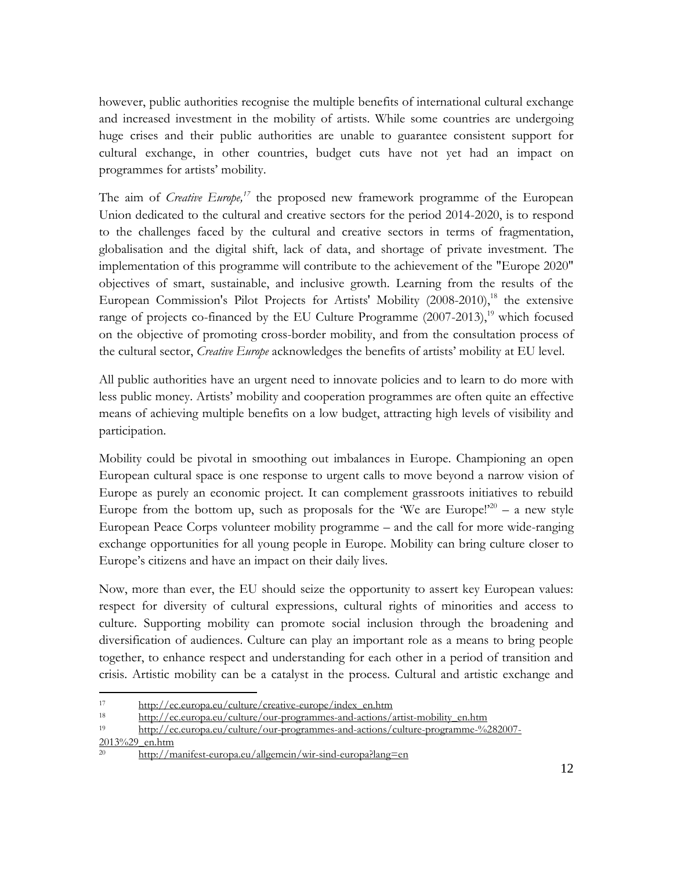however, public authorities recognise the multiple benefits of international cultural exchange and increased investment in the mobility of artists. While some countries are undergoing huge crises and their public authorities are unable to guarantee consistent support for cultural exchange, in other countries, budget cuts have not yet had an impact on programmes for artists' mobility.

The aim of *Creative Europe*,<sup>17</sup> the proposed new framework programme of the European Union dedicated to the cultural and creative sectors for the period 2014-2020, is to respond to the challenges faced by the cultural and creative sectors in terms of fragmentation, globalisation and the digital shift, lack of data, and shortage of private investment. The implementation of this programme will contribute to the achievement of the "Europe 2020" objectives of smart, sustainable, and inclusive growth. Learning from the results of the European Commission's Pilot Projects for Artists' Mobility (2008-2010), <sup>18</sup> the extensive range of projects co-financed by the EU Culture Programme (2007-2013),<sup>19</sup> which focused on the objective of promoting cross-border mobility, and from the consultation process of the cultural sector, *Creative Europe* acknowledges the benefits of artists' mobility at EU level.

All public authorities have an urgent need to innovate policies and to learn to do more with less public money. Artists' mobility and cooperation programmes are often quite an effective means of achieving multiple benefits on a low budget, attracting high levels of visibility and participation.

Mobility could be pivotal in smoothing out imbalances in Europe. Championing an open European cultural space is one response to urgent calls to move beyond a narrow vision of Europe as purely an economic project. It can complement grassroots initiatives to rebuild Europe from the bottom up, such as proposals for the 'We are Europe!'<sup>20</sup> – a new style European Peace Corps volunteer mobility programme – and the call for more wide-ranging exchange opportunities for all young people in Europe. Mobility can bring culture closer to Europe's citizens and have an impact on their daily lives.

Now, more than ever, the EU should seize the opportunity to assert key European values: respect for diversity of cultural expressions, cultural rights of minorities and access to culture. Supporting mobility can promote social inclusion through the broadening and diversification of audiences. Culture can play an important role as a means to bring people together, to enhance respect and understanding for each other in a period of transition and crisis. Artistic mobility can be a catalyst in the process. Cultural and artistic exchange and

[2013%29\\_en.htm](http://ec.europa.eu/culture/our-programmes-and-actions/culture-programme-%282007-2013%29_en.htm)

 $\overline{a}$ 

<sup>17</sup> [http://ec.europa.eu/culture/creative-europe/index\\_en.htm](http://ec.europa.eu/culture/creative-europe/index_en.htm)

<sup>18</sup> [http://ec.europa.eu/culture/our-programmes-and-actions/artist-mobility\\_en.htm](http://ec.europa.eu/culture/our-programmes-and-actions/artist-mobility_en.htm)

<sup>19</sup> [http://ec.europa.eu/culture/our-programmes-and-actions/culture-programme-%282007-](http://ec.europa.eu/culture/our-programmes-and-actions/culture-programme-%282007-2013%29_en.htm)

<sup>20</sup> <http://manifest-europa.eu/allgemein/wir-sind-europa?lang=en>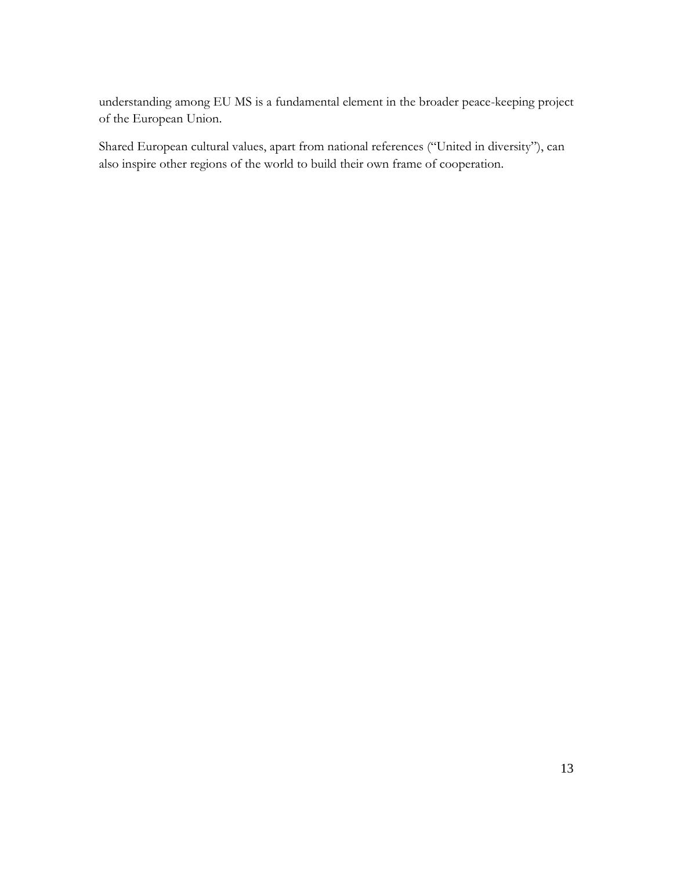understanding among EU MS is a fundamental element in the broader peace-keeping project of the European Union.

Shared European cultural values, apart from national references ("United in diversity"), can also inspire other regions of the world to build their own frame of cooperation.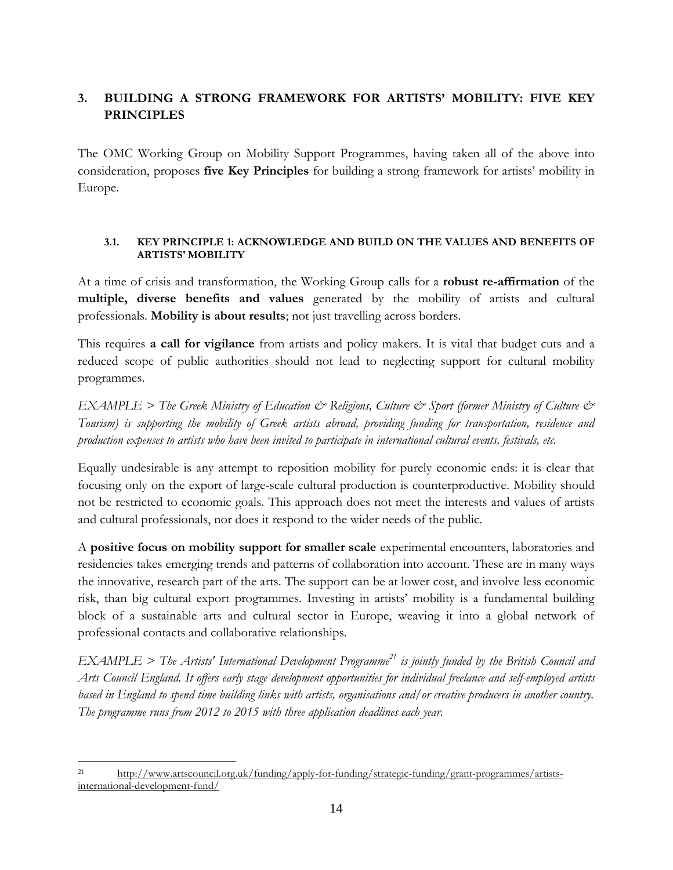# <span id="page-13-0"></span>**3. BUILDING A STRONG FRAMEWORK FOR ARTISTS' MOBILITY: FIVE KEY PRINCIPLES**

The OMC Working Group on Mobility Support Programmes, having taken all of the above into consideration, proposes **five Key Principles** for building a strong framework for artists' mobility in Europe.

#### <span id="page-13-1"></span>**3.1. KEY PRINCIPLE 1: ACKNOWLEDGE AND BUILD ON THE VALUES AND BENEFITS OF ARTISTS' MOBILITY**

At a time of crisis and transformation, the Working Group calls for a **robust re-affirmation** of the **multiple, diverse benefits and values** generated by the mobility of artists and cultural professionals. **Mobility is about results**; not just travelling across borders.

This requires **a call for vigilance** from artists and policy makers. It is vital that budget cuts and a reduced scope of public authorities should not lead to neglecting support for cultural mobility programmes.

*EXAMPLE > The Greek Ministry of Education & Religions, Culture & Sport (former Ministry of Culture & Tourism) is supporting the mobility of Greek artists abroad, providing funding for transportation, residence and production expenses to artists who have been invited to participate in international cultural events, festivals, etc.*

Equally undesirable is any attempt to reposition mobility for purely economic ends: it is clear that focusing only on the export of large-scale cultural production is counterproductive. Mobility should not be restricted to economic goals. This approach does not meet the interests and values of artists and cultural professionals, nor does it respond to the wider needs of the public.

A **positive focus on mobility support for smaller scale** experimental encounters, laboratories and residencies takes emerging trends and patterns of collaboration into account. These are in many ways the innovative, research part of the arts. The support can be at lower cost, and involve less economic risk, than big cultural export programmes. Investing in artists' mobility is a fundamental building block of a sustainable arts and cultural sector in Europe, weaving it into a global network of professional contacts and collaborative relationships.

*EXAMPLE > The Artists' International Development Programme<sup>21</sup> is jointly funded by the British Council and Arts Council England. It offers early stage development opportunities for individual freelance and self-employed artists based in England to spend time building links with artists, organisations and/or creative producers in another country. The programme runs from 2012 to 2015 with three application deadlines each year.*

 $\overline{a}$ <sup>21</sup> [http://www.artscouncil.org.uk/funding/apply-for-funding/strategic-funding/grant-programmes/artists](http://www.artscouncil.org.uk/funding/apply-for-funding/strategic-funding/grant-programmes/artists-international-development-fund/)[international-development-fund/](http://www.artscouncil.org.uk/funding/apply-for-funding/strategic-funding/grant-programmes/artists-international-development-fund/)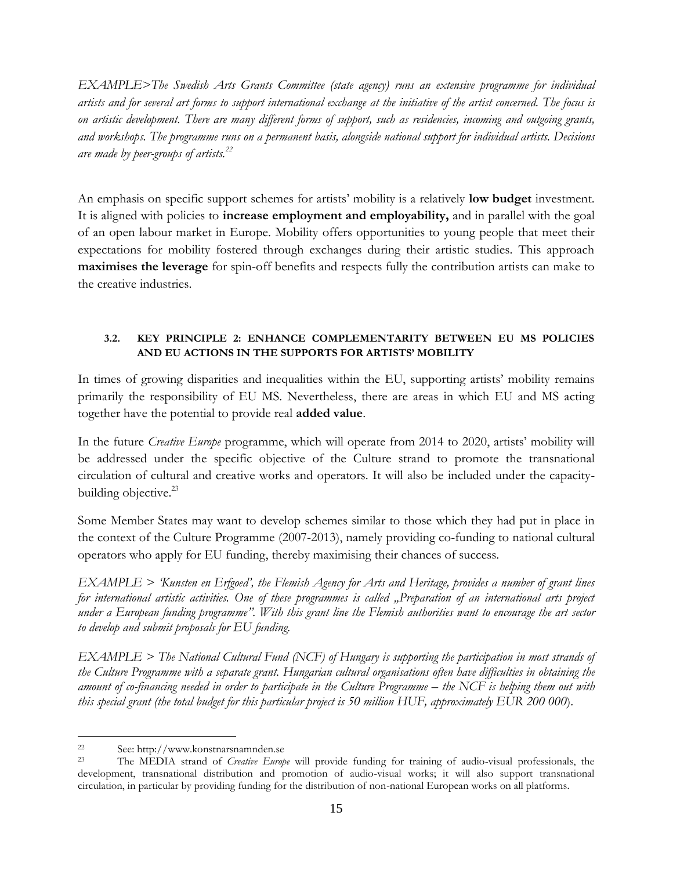*EXAMPLE>The Swedish Arts Grants Committee (state agency) runs an extensive programme for individual artists and for several art forms to support international exchange at the initiative of the artist concerned. The focus is on artistic development. There are many different forms of support, such as residencies, incoming and outgoing grants, and workshops. The programme runs on a permanent basis, alongside national support for individual artists. Decisions are made by peer-groups of artists.<sup>22</sup>*

An emphasis on specific support schemes for artists' mobility is a relatively **low budget** investment. It is aligned with policies to **increase employment and employability,** and in parallel with the goal of an open labour market in Europe. Mobility offers opportunities to young people that meet their expectations for mobility fostered through exchanges during their artistic studies. This approach **maximises the leverage** for spin-off benefits and respects fully the contribution artists can make to the creative industries.

#### <span id="page-14-0"></span>**3.2. KEY PRINCIPLE 2: ENHANCE COMPLEMENTARITY BETWEEN EU MS POLICIES AND EU ACTIONS IN THE SUPPORTS FOR ARTISTS' MOBILITY**

In times of growing disparities and inequalities within the EU, supporting artists' mobility remains primarily the responsibility of EU MS. Nevertheless, there are areas in which EU and MS acting together have the potential to provide real **added value**.

In the future *Creative Europe* programme, which will operate from 2014 to 2020, artists' mobility will be addressed under the specific objective of the Culture strand to promote the transnational circulation of cultural and creative works and operators. It will also be included under the capacitybuilding objective.<sup>23</sup>

Some Member States may want to develop schemes similar to those which they had put in place in the context of the Culture Programme (2007-2013), namely providing co-funding to national cultural operators who apply for EU funding, thereby maximising their chances of success.

*EXAMPLE > 'Kunsten en Erfgoed', the Flemish Agency for Arts and Heritage, provides a number of grant lines for international artistic activities. One of these programmes is called "Preparation of an international arts project under a European funding programme". With this grant line the Flemish authorities want to encourage the art sector to develop and submit proposals for EU funding.*

*EXAMPLE > The National Cultural Fund (NCF) of Hungary is supporting the participation in most strands of the Culture Programme with a separate grant. Hungarian cultural organisations often have difficulties in obtaining the*  amount of co-financing needed in order to participate in the Culture Programme – the NCF is helping them out with *this special grant (the total budget for this particular project is 50 million HUF, approximately EUR 200 000*).

 $\overline{a}$ <sup>22</sup> See: http:/[/www.konstnarsnamnden.se](http://www.konstnarsnamnden.se/)<br><sup>23</sup> The MEDIA strand of *Creating Eurot* 

The MEDIA strand of *Creative Europe* will provide funding for training of audio-visual professionals, the development, transnational distribution and promotion of audio-visual works; it will also support transnational circulation, in particular by providing funding for the distribution of non-national European works on all platforms.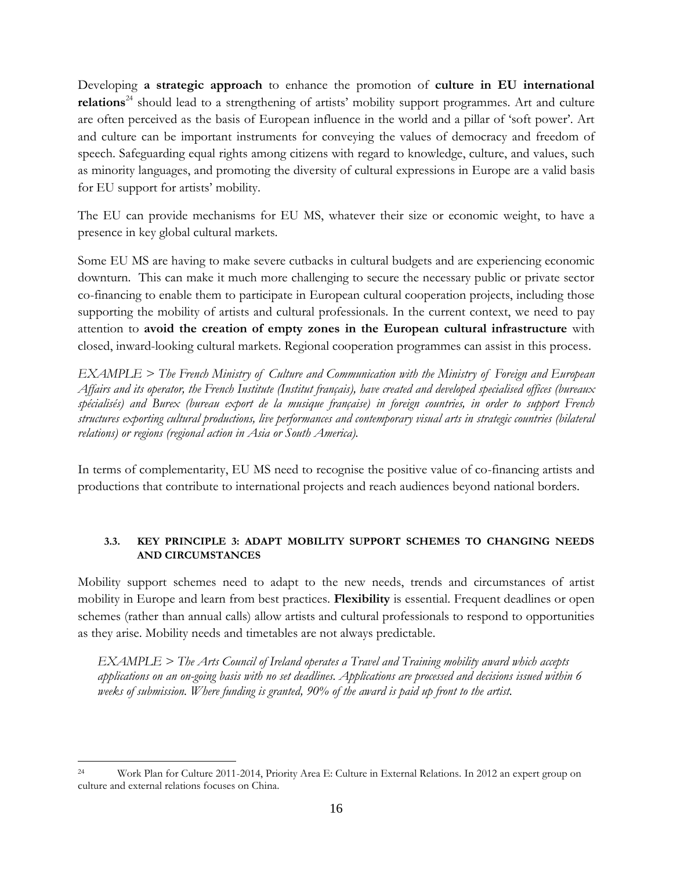Developing **a strategic approach** to enhance the promotion of **culture in EU international relations**<sup>24</sup> should lead to a strengthening of artists' mobility support programmes. Art and culture are often perceived as the basis of European influence in the world and a pillar of 'soft power'. Art and culture can be important instruments for conveying the values of democracy and freedom of speech. Safeguarding equal rights among citizens with regard to knowledge, culture, and values, such as minority languages, and promoting the diversity of cultural expressions in Europe are a valid basis for EU support for artists' mobility.

The EU can provide mechanisms for EU MS, whatever their size or economic weight, to have a presence in key global cultural markets.

Some EU MS are having to make severe cutbacks in cultural budgets and are experiencing economic downturn. This can make it much more challenging to secure the necessary public or private sector co-financing to enable them to participate in European cultural cooperation projects, including those supporting the mobility of artists and cultural professionals. In the current context, we need to pay attention to **avoid the creation of empty zones in the European cultural infrastructure** with closed, inward-looking cultural markets. Regional cooperation programmes can assist in this process.

*EXAMPLE > The French Ministry of Culture and Communication with the Ministry of Foreign and European Affairs and its operator, the French Institute (Institut français), have created and developed specialised offices (bureaux spécialisés) and Burex (bureau export de la musique française) in foreign countries, in order to support French structures exporting cultural productions, live performances and contemporary visual arts in strategic countries (bilateral relations) or regions (regional action in Asia or South America).*

In terms of complementarity, EU MS need to recognise the positive value of co-financing artists and productions that contribute to international projects and reach audiences beyond national borders.

## <span id="page-15-0"></span>**3.3. KEY PRINCIPLE 3: ADAPT MOBILITY SUPPORT SCHEMES TO CHANGING NEEDS AND CIRCUMSTANCES**

Mobility support schemes need to adapt to the new needs, trends and circumstances of artist mobility in Europe and learn from best practices. **Flexibility** is essential. Frequent deadlines or open schemes (rather than annual calls) allow artists and cultural professionals to respond to opportunities as they arise. Mobility needs and timetables are not always predictable.

*EXAMPLE > The Arts Council of Ireland operates a Travel and Training mobility award which accepts applications on an on-going basis with no set deadlines. Applications are processed and decisions issued within 6 weeks of submission. Where funding is granted, 90% of the award is paid up front to the artist.*

 $\overline{a}$ <sup>24</sup> Work Plan for Culture 2011-2014, Priority Area E: Culture in External Relations. In 2012 an expert group on culture and external relations focuses on China.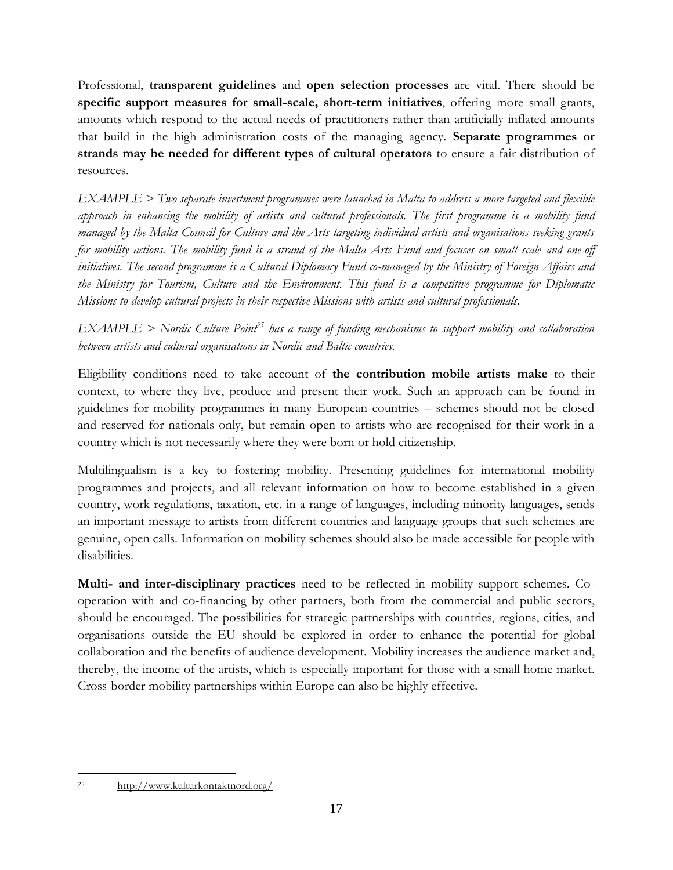Professional, **transparent guidelines** and **open selection processes** are vital. There should be **specific support measures for small-scale, short-term initiatives**, offering more small grants, amounts which respond to the actual needs of practitioners rather than artificially inflated amounts that build in the high administration costs of the managing agency. **Separate programmes or strands may be needed for different types of cultural operators** to ensure a fair distribution of resources.

*EXAMPLE > Two separate investment programmes were launched in Malta to address a more targeted and flexible approach in enhancing the mobility of artists and cultural professionals. The first programme is a mobility fund managed by the Malta Council for Culture and the Arts targeting individual artists and organisations seeking grants for mobility actions. The mobility fund is a strand of the Malta Arts Fund and focuses on small scale and one-off initiatives. The second programme is a Cultural Diplomacy Fund co-managed by the Ministry of Foreign Affairs and the Ministry for Tourism, Culture and the Environment. This fund is a competitive programme for Diplomatic Missions to develop cultural projects in their respective Missions with artists and cultural professionals.*

*EXAMPLE > Nordic Culture Point<sup>25</sup> has a range of funding mechanisms to support mobility and collaboration between artists and cultural organisations in Nordic and Baltic countries.*

Eligibility conditions need to take account of **the contribution mobile artists make** to their context, to where they live, produce and present their work. Such an approach can be found in guidelines for mobility programmes in many European countries – schemes should not be closed and reserved for nationals only, but remain open to artists who are recognised for their work in a country which is not necessarily where they were born or hold citizenship.

Multilingualism is a key to fostering mobility. Presenting guidelines for international mobility programmes and projects, and all relevant information on how to become established in a given country, work regulations, taxation, etc. in a range of languages, including minority languages, sends an important message to artists from different countries and language groups that such schemes are genuine, open calls. Information on mobility schemes should also be made accessible for people with disabilities.

**Multi- and inter-disciplinary practices** need to be reflected in mobility support schemes. Cooperation with and co-financing by other partners, both from the commercial and public sectors, should be encouraged. The possibilities for strategic partnerships with countries, regions, cities, and organisations outside the EU should be explored in order to enhance the potential for global collaboration and the benefits of audience development. Mobility increases the audience market and, thereby, the income of the artists, which is especially important for those with a small home market. Cross-border mobility partnerships within Europe can also be highly effective.

 $\overline{a}$ <sup>25</sup> <http://www.kulturkontaktnord.org/>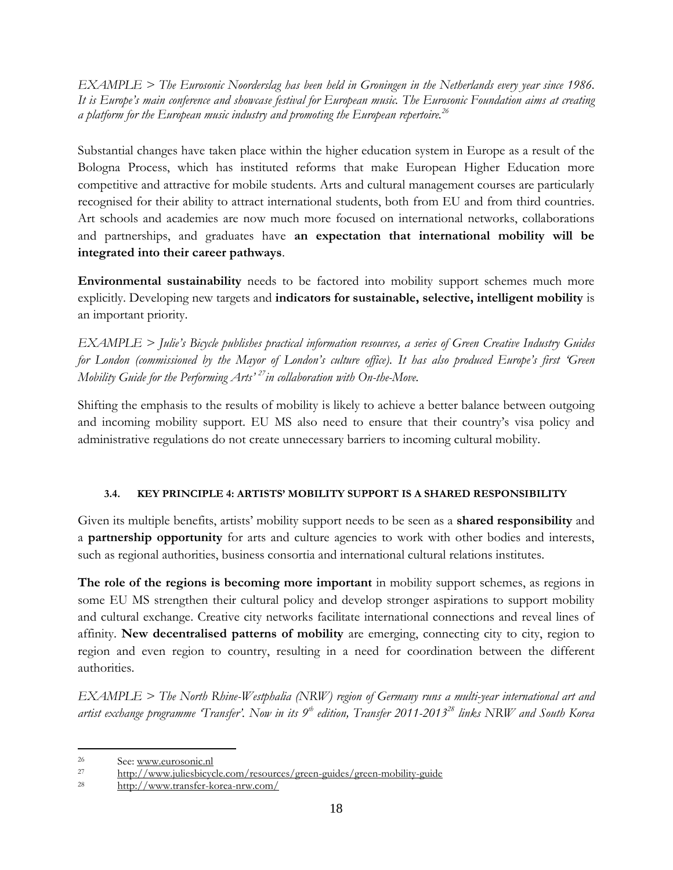*EXAMPLE > The Eurosonic Noorderslag has been held in Groningen in the Netherlands every year since 1986. It is Europe's main conference and showcase festival for European music. The Eurosonic Foundation aims at creating a platform for the European music industry and promoting the European repertoire.<sup>26</sup>*

Substantial changes have taken place within the higher education system in Europe as a result of the Bologna Process, which has instituted reforms that make European Higher Education more competitive and attractive for mobile students. Arts and cultural management courses are particularly recognised for their ability to attract international students, both from EU and from third countries. Art schools and academies are now much more focused on international networks, collaborations and partnerships, and graduates have **an expectation that international mobility will be integrated into their career pathways**.

**Environmental sustainability** needs to be factored into mobility support schemes much more explicitly. Developing new targets and **indicators for sustainable, selective, intelligent mobility** is an important priority.

*EXAMPLE > Julie's Bicycle publishes practical information resources, a series of Green Creative Industry Guides for London (commissioned by the Mayor of London's culture office). It has also produced Europe's first 'Green Mobility Guide for the Performing Arts' <sup>27</sup>in collaboration with On-the-Move.*

Shifting the emphasis to the results of mobility is likely to achieve a better balance between outgoing and incoming mobility support. EU MS also need to ensure that their country's visa policy and administrative regulations do not create unnecessary barriers to incoming cultural mobility.

#### **3.4. KEY PRINCIPLE 4: ARTISTS' MOBILITY SUPPORT IS A SHARED RESPONSIBILITY**

<span id="page-17-0"></span>Given its multiple benefits, artists' mobility support needs to be seen as a **shared responsibility** and a **partnership opportunity** for arts and culture agencies to work with other bodies and interests, such as regional authorities, business consortia and international cultural relations institutes.

**The role of the regions is becoming more important** in mobility support schemes, as regions in some EU MS strengthen their cultural policy and develop stronger aspirations to support mobility and cultural exchange. Creative city networks facilitate international connections and reveal lines of affinity. **New decentralised patterns of mobility** are emerging, connecting city to city, region to region and even region to country, resulting in a need for coordination between the different authorities.

*EXAMPLE > The North Rhine-Westphalia (NRW) region of Germany runs a multi-year international art and artist exchange programme 'Transfer'. Now in its 9th edition, Transfer 2011-2013<sup>28</sup> links NRW and South Korea* 

 $\overline{a}$ 

 $26$  See[: www.eurosonic.nl](http://www.eurosonic.nl/)

<sup>27</sup> <http://www.juliesbicycle.com/resources/green-guides/green-mobility-guide>

<sup>28</sup> <http://www.transfer-korea-nrw.com/>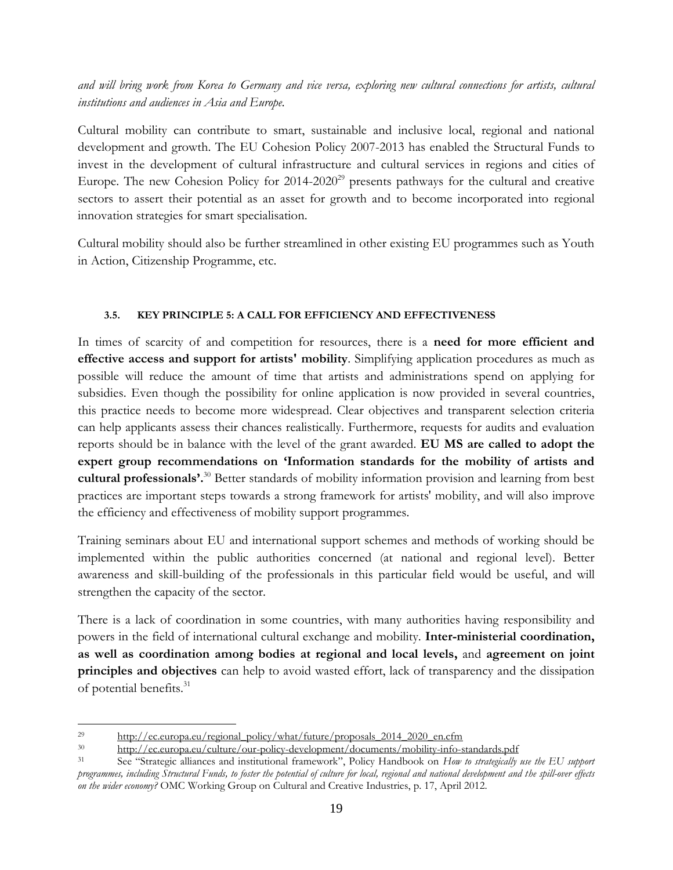*and will bring work from Korea to Germany and vice versa, exploring new cultural connections for artists, cultural institutions and audiences in Asia and Europe.*

Cultural mobility can contribute to smart, sustainable and inclusive local, regional and national development and growth. The EU Cohesion Policy 2007-2013 has enabled the Structural Funds to invest in the development of cultural infrastructure and cultural services in regions and cities of Europe. The new Cohesion Policy for  $2014-2020^{29}$  presents pathways for the cultural and creative sectors to assert their potential as an asset for growth and to become incorporated into regional innovation strategies for smart specialisation.

Cultural mobility should also be further streamlined in other existing EU programmes such as Youth in Action, Citizenship Programme, etc.

#### **3.5. KEY PRINCIPLE 5: A CALL FOR EFFICIENCY AND EFFECTIVENESS**

<span id="page-18-0"></span>In times of scarcity of and competition for resources, there is a **need for more efficient and effective access and support for artists' mobility**. Simplifying application procedures as much as possible will reduce the amount of time that artists and administrations spend on applying for subsidies. Even though the possibility for online application is now provided in several countries, this practice needs to become more widespread. Clear objectives and transparent selection criteria can help applicants assess their chances realistically. Furthermore, requests for audits and evaluation reports should be in balance with the level of the grant awarded. **EU MS are called to adopt the expert group recommendations on 'Information standards for the mobility of artists and cultural professionals'.** <sup>30</sup> Better standards of mobility information provision and learning from best practices are important steps towards a strong framework for artists' mobility, and will also improve the efficiency and effectiveness of mobility support programmes.

Training seminars about EU and international support schemes and methods of working should be implemented within the public authorities concerned (at national and regional level). Better awareness and skill-building of the professionals in this particular field would be useful, and will strengthen the capacity of the sector.

There is a lack of coordination in some countries, with many authorities having responsibility and powers in the field of international cultural exchange and mobility. **Inter-ministerial coordination, as well as coordination among bodies at regional and local levels,** and **agreement on joint principles and objectives** can help to avoid wasted effort, lack of transparency and the dissipation of potential benefits.<sup>31</sup>

 $\overline{a}$ <sup>29</sup> [http://ec.europa.eu/regional\\_policy/what/future/proposals\\_2014\\_2020\\_en.cfm](http://ec.europa.eu/regional_policy/what/future/proposals_2014_2020_en.cfm)<br><sup>30</sup> http://ec.europa.eu/culture/our\_policy\_development/documents/mobility\_info\_s

<sup>&</sup>lt;sup>30</sup> <http://ec.europa.eu/culture/our-policy-development/documents/mobility-info-standards.pdf><br><sup>31</sup> See "Strategicalliances and institutional framework". Policy Handbook on Haw to strategically

<sup>31</sup> See "Strategic alliances and institutional framework", Policy Handbook on *How to strategically use the EU support programmes, including Structural Funds, to foster the potential of culture for local, regional and national development and the spill-over effects on the wider economy?* OMC Working Group on Cultural and Creative Industries, p. 17, April 2012.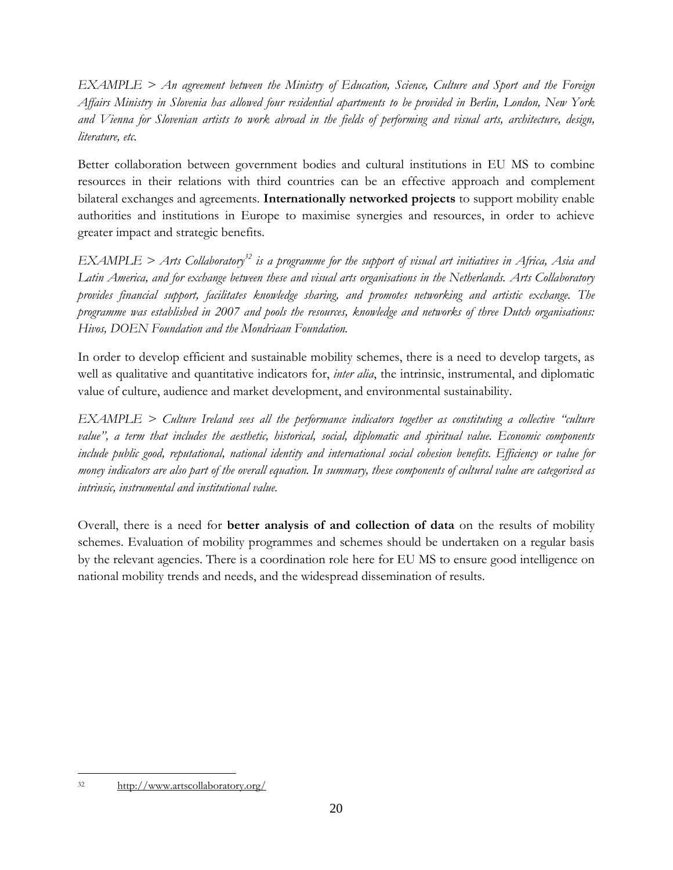*EXAMPLE > An agreement between the Ministry of Education, Science, Culture and Sport and the Foreign Affairs Ministry in Slovenia has allowed four residential apartments to be provided in Berlin, London, New York and Vienna for Slovenian artists to work abroad in the fields of performing and visual arts, architecture, design, literature, etc.*

Better collaboration between government bodies and cultural institutions in EU MS to combine resources in their relations with third countries can be an effective approach and complement bilateral exchanges and agreements. **Internationally networked projects** to support mobility enable authorities and institutions in Europe to maximise synergies and resources, in order to achieve greater impact and strategic benefits.

*EXAMPLE > Arts Collaboratory<sup>32</sup> is a programme for the support of visual art initiatives in Africa, Asia and Latin America, and for exchange between these and visual arts organisations in the Netherlands. Arts Collaboratory provides financial support, facilitates knowledge sharing, and promotes networking and artistic exchange. The programme was established in 2007 and pools the resources, knowledge and networks of three Dutch organisations: Hivos, DOEN Foundation and the Mondriaan Foundation.*

In order to develop efficient and sustainable mobility schemes, there is a need to develop targets, as well as qualitative and quantitative indicators for, *inter alia*, the intrinsic, instrumental, and diplomatic value of culture, audience and market development, and environmental sustainability.

*EXAMPLE > Culture Ireland sees all the performance indicators together as constituting a collective "culture value", a term that includes the aesthetic, historical, social, diplomatic and spiritual value. Economic components include public good, reputational, national identity and international social cohesion benefits. Efficiency or value for money indicators are also part of the overall equation. In summary, these components of cultural value are categorised as intrinsic, instrumental and institutional value.* 

Overall, there is a need for **better analysis of and collection of data** on the results of mobility schemes. Evaluation of mobility programmes and schemes should be undertaken on a regular basis by the relevant agencies. There is a coordination role here for EU MS to ensure good intelligence on national mobility trends and needs, and the widespread dissemination of results.

 $\overline{a}$ <sup>32</sup> <http://www.artscollaboratory.org/>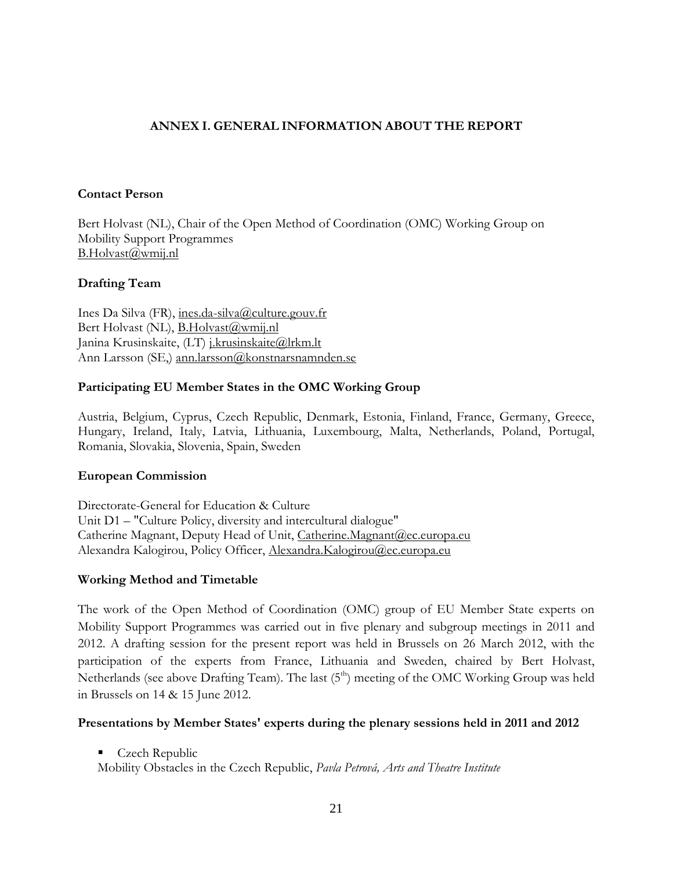#### <span id="page-20-0"></span>**ANNEX I. GENERAL INFORMATION ABOUT THE REPORT**

#### **Contact Person**

Bert Holvast (NL), Chair of the Open Method of Coordination (OMC) Working Group on Mobility Support Programmes [B.Holvast@wmij.nl](mailto:B.Holvast@wmij.nl)

#### **Drafting Team**

Ines Da Silva (FR), [ines.da-silva@culture.gouv.fr](mailto:ines.da-silva@culture.gouv.fr) Bert Holvast (NL), **B.Holvast**@wmij.nl Janina Krusinskaite, (LT) *j.krusinskaite@lrkm.lt* Ann Larsson (SE,) [ann.larsson@konstnarsnamnden.se](mailto:ann.larsson@konstnarsnamnden.se)

#### **Participating EU Member States in the OMC Working Group**

Austria, Belgium, Cyprus, Czech Republic, Denmark, Estonia, Finland, France, Germany, Greece, Hungary, Ireland, Italy, Latvia, Lithuania, Luxembourg, Malta, Netherlands, Poland, Portugal, Romania, Slovakia, Slovenia, Spain, Sweden

#### **European Commission**

Directorate-General for Education & Culture Unit D1 – "Culture Policy, diversity and intercultural dialogue" Catherine Magnant, Deputy Head of Unit, Catherine. Magnant@ec.europa.eu Alexandra Kalogirou, Policy Officer, Alexandra.Kalogirou@ec.europa.eu

#### **Working Method and Timetable**

The work of the Open Method of Coordination (OMC) group of EU Member State experts on Mobility Support Programmes was carried out in five plenary and subgroup meetings in 2011 and 2012. A drafting session for the present report was held in Brussels on 26 March 2012, with the participation of the experts from France, Lithuania and Sweden, chaired by Bert Holvast, Netherlands (see above Drafting Team). The last (5<sup>th</sup>) meeting of the OMC Working Group was held in Brussels on 14 & 15 June 2012.

#### **Presentations by Member States' experts during the plenary sessions held in 2011 and 2012**

Czech Republic

Mobility Obstacles in the Czech Republic, *Pavla Petrová, Arts and Theatre Institute*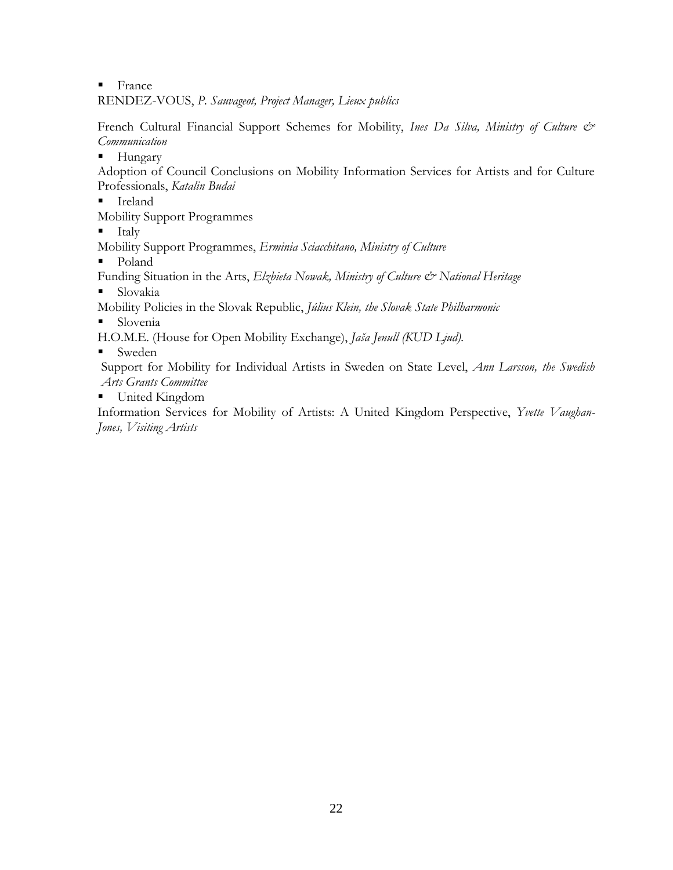**France** 

RENDEZ-VOUS, *P. Sauvageot, Project Manager, Lieux publics*

French Cultural Financial Support Schemes for Mobility, *Ines Da Silva, Ministry of Culture & Communication*

Hungary

Adoption of Council Conclusions on Mobility Information Services for Artists and for Culture Professionals, *Katalin Budai*

- Ireland
- Mobility Support Programmes

 $\blacksquare$  Italy

Mobility Support Programmes, *Erminia Sciacchitano, Ministry of Culture*

• Poland

Funding Situation in the Arts, *Elzbieta Nowak, Ministry of Culture & National Heritage* **Slovakia** 

- Mobility Policies in the Slovak Republic, *Július Klein, the Slovak State Philharmonic*
- **Slovenia**
- H.O.M.E. (House for Open Mobility Exchange), *Jaša Jenull (KUD Ljud).*
- Sweden

Support for Mobility for Individual Artists in Sweden on State Level, *Ann Larsson, the Swedish Arts Grants Committee*

■ United Kingdom

Information Services for Mobility of Artists: A United Kingdom Perspective, *Yvette Vaughan-Jones, Visiting Artists*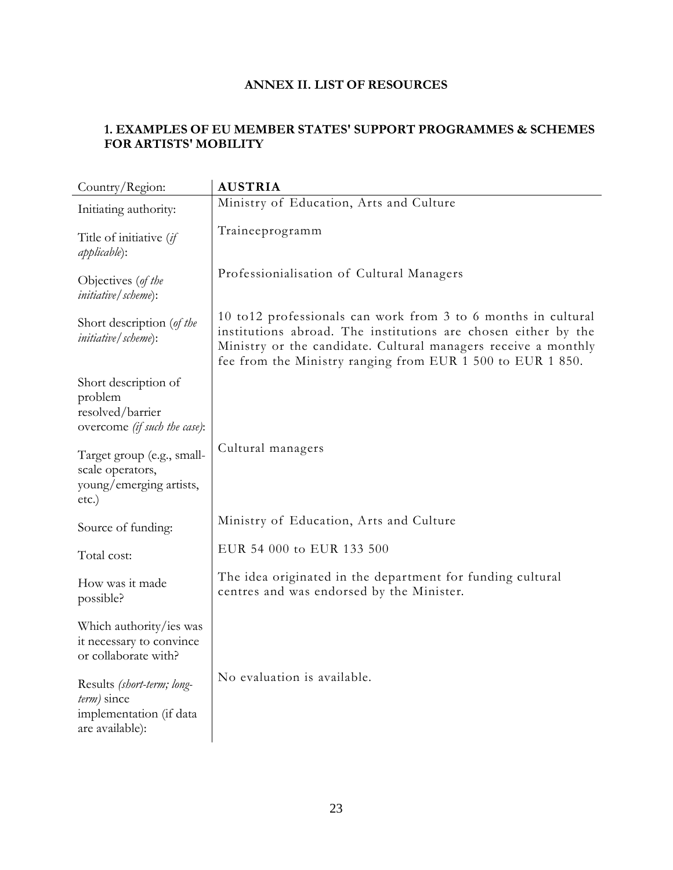# **ANNEX II. LIST OF RESOURCES**

# <span id="page-22-1"></span><span id="page-22-0"></span>**1. EXAMPLES OF EU MEMBER STATES' SUPPORT PROGRAMMES & SCHEMES FOR ARTISTS' MOBILITY**

| Country/Region:                                                                         | <b>AUSTRIA</b>                                                                                                                                                                                                                                                   |
|-----------------------------------------------------------------------------------------|------------------------------------------------------------------------------------------------------------------------------------------------------------------------------------------------------------------------------------------------------------------|
| Initiating authority:                                                                   | Ministry of Education, Arts and Culture                                                                                                                                                                                                                          |
| Title of initiative (if<br><i>applicable</i> ):                                         | Traineeprogramm                                                                                                                                                                                                                                                  |
| Objectives (of the<br><i>initiative</i> / scheme):                                      | Professionialisation of Cultural Managers                                                                                                                                                                                                                        |
| Short description (of the<br><i>initiative</i> / <i>scheme</i> ):                       | 10 to 12 professionals can work from 3 to 6 months in cultural<br>institutions abroad. The institutions are chosen either by the<br>Ministry or the candidate. Cultural managers receive a monthly<br>fee from the Ministry ranging from EUR 1 500 to EUR 1 850. |
| Short description of<br>problem<br>resolved/barrier<br>overcome (if such the case):     |                                                                                                                                                                                                                                                                  |
| Target group (e.g., small-<br>scale operators,<br>young/emerging artists,<br>etc.)      | Cultural managers                                                                                                                                                                                                                                                |
| Source of funding:                                                                      | Ministry of Education, Arts and Culture                                                                                                                                                                                                                          |
| Total cost:                                                                             | EUR 54 000 to EUR 133 500                                                                                                                                                                                                                                        |
| How was it made<br>possible?                                                            | The idea originated in the department for funding cultural<br>centres and was endorsed by the Minister.                                                                                                                                                          |
| Which authority/ies was<br>it necessary to convince<br>or collaborate with?             |                                                                                                                                                                                                                                                                  |
| Results (short-term; long-<br>term) since<br>implementation (if data<br>are available): | No evaluation is available.                                                                                                                                                                                                                                      |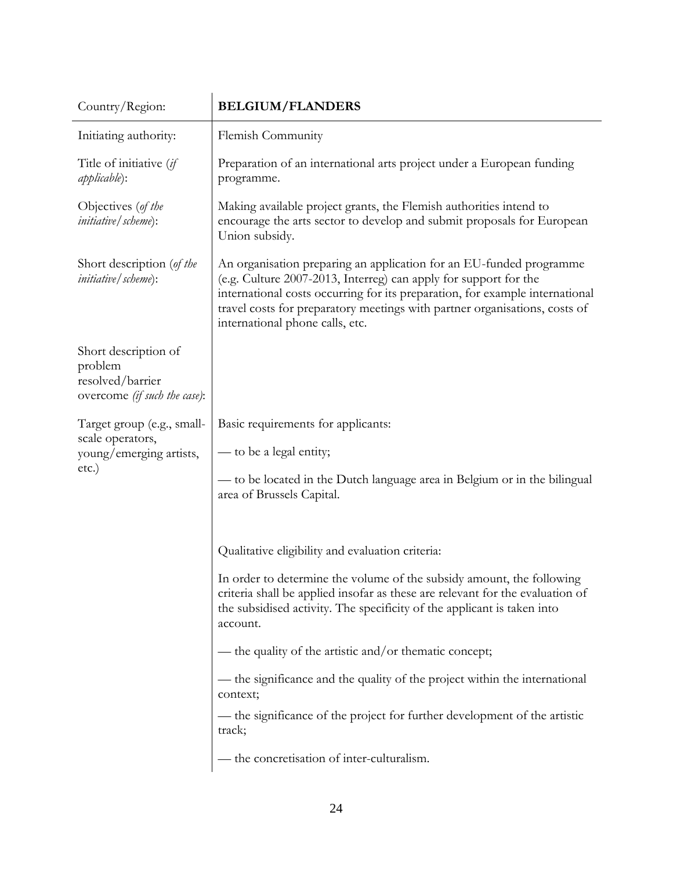| Country/Region:                                                                     | <b>BELGIUM/FLANDERS</b>                                                                                                                                                                                                                                                                                                                                                                                                                                                                                                                                                                    |
|-------------------------------------------------------------------------------------|--------------------------------------------------------------------------------------------------------------------------------------------------------------------------------------------------------------------------------------------------------------------------------------------------------------------------------------------------------------------------------------------------------------------------------------------------------------------------------------------------------------------------------------------------------------------------------------------|
| Initiating authority:                                                               | Flemish Community                                                                                                                                                                                                                                                                                                                                                                                                                                                                                                                                                                          |
| Title of initiative (if<br><i>applicable</i> ):                                     | Preparation of an international arts project under a European funding<br>programme.                                                                                                                                                                                                                                                                                                                                                                                                                                                                                                        |
| Objectives (of the<br><i>initiative</i> / <i>scheme</i> ):                          | Making available project grants, the Flemish authorities intend to<br>encourage the arts sector to develop and submit proposals for European<br>Union subsidy.                                                                                                                                                                                                                                                                                                                                                                                                                             |
| Short description (of the<br><i>initiative</i> / <i>scheme</i> ):                   | An organisation preparing an application for an EU-funded programme<br>(e.g. Culture 2007-2013, Interreg) can apply for support for the<br>international costs occurring for its preparation, for example international<br>travel costs for preparatory meetings with partner organisations, costs of<br>international phone calls, etc.                                                                                                                                                                                                                                                   |
| Short description of<br>problem<br>resolved/barrier<br>overcome (if such the case): |                                                                                                                                                                                                                                                                                                                                                                                                                                                                                                                                                                                            |
| Target group (e.g., small-<br>scale operators,<br>young/emerging artists,<br>etc.)  | Basic requirements for applicants:<br>— to be a legal entity;<br>— to be located in the Dutch language area in Belgium or in the bilingual<br>area of Brussels Capital.                                                                                                                                                                                                                                                                                                                                                                                                                    |
|                                                                                     | Qualitative eligibility and evaluation criteria:<br>In order to determine the volume of the subsidy amount, the following<br>criteria shall be applied insofar as these are relevant for the evaluation of<br>the subsidised activity. The specificity of the applicant is taken into<br>account.<br>— the quality of the artistic and/or thematic concept;<br>— the significance and the quality of the project within the international<br>context;<br>— the significance of the project for further development of the artistic<br>track;<br>- the concretisation of inter-culturalism. |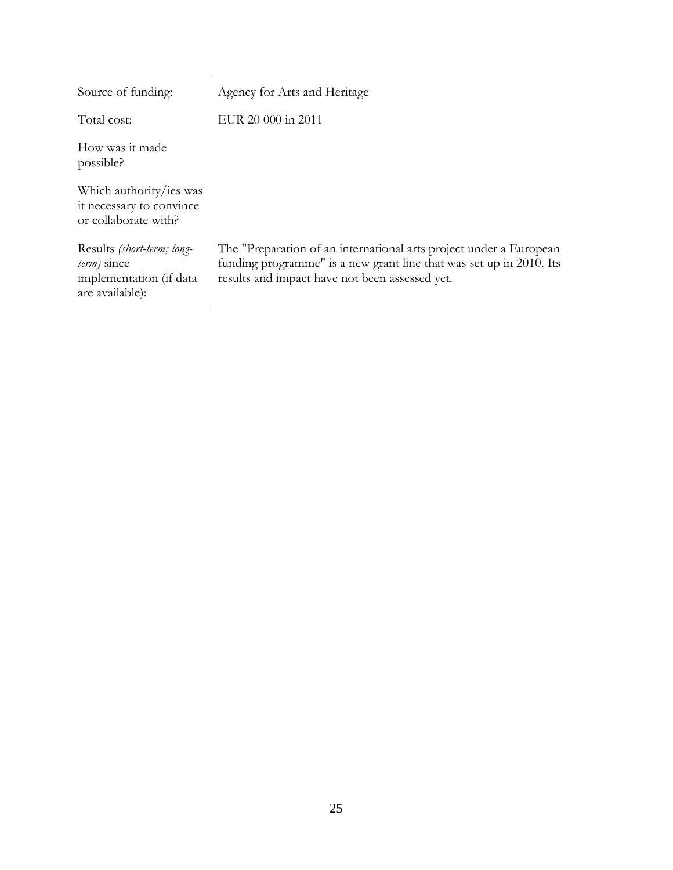| Source of funding:                                                                         | Agency for Arts and Heritage                                                                                                                                                                |
|--------------------------------------------------------------------------------------------|---------------------------------------------------------------------------------------------------------------------------------------------------------------------------------------------|
| Total cost:                                                                                | EUR 20 000 in 2011                                                                                                                                                                          |
| How was it made<br>possible?                                                               |                                                                                                                                                                                             |
| Which authority/ies was<br>it necessary to convince<br>or collaborate with?                |                                                                                                                                                                                             |
| Results (short-term; long-<br>$term$ ) since<br>implementation (if data<br>are available): | The "Preparation of an international arts project under a European<br>funding programme" is a new grant line that was set up in 2010. Its<br>results and impact have not been assessed yet. |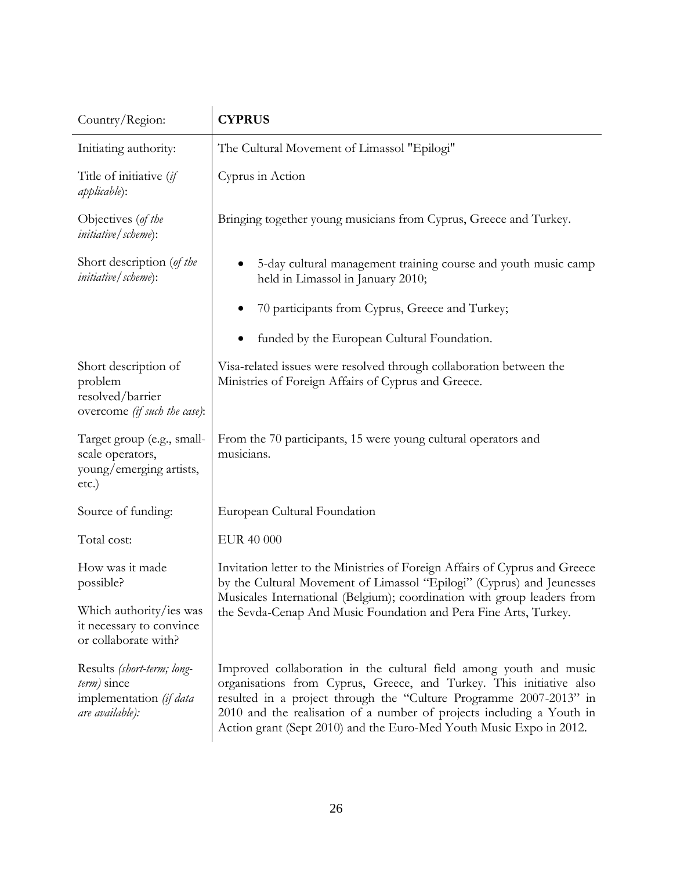| Country/Region:                                                                         | <b>CYPRUS</b>                                                                                                                                                                                                                                                                                                                                                   |
|-----------------------------------------------------------------------------------------|-----------------------------------------------------------------------------------------------------------------------------------------------------------------------------------------------------------------------------------------------------------------------------------------------------------------------------------------------------------------|
| Initiating authority:                                                                   | The Cultural Movement of Limassol "Epilogi"                                                                                                                                                                                                                                                                                                                     |
| Title of initiative (if<br><i>applicable</i> ):                                         | Cyprus in Action                                                                                                                                                                                                                                                                                                                                                |
| Objectives (of the<br><i>initiative</i> / scheme):                                      | Bringing together young musicians from Cyprus, Greece and Turkey.                                                                                                                                                                                                                                                                                               |
| Short description (of the<br><i>initiative</i> / <i>scheme</i> ):                       | 5-day cultural management training course and youth music camp<br>held in Limassol in January 2010;                                                                                                                                                                                                                                                             |
|                                                                                         | 70 participants from Cyprus, Greece and Turkey;                                                                                                                                                                                                                                                                                                                 |
|                                                                                         | funded by the European Cultural Foundation.                                                                                                                                                                                                                                                                                                                     |
| Short description of<br>problem<br>resolved/barrier<br>overcome (if such the case):     | Visa-related issues were resolved through collaboration between the<br>Ministries of Foreign Affairs of Cyprus and Greece.                                                                                                                                                                                                                                      |
| Target group (e.g., small-<br>scale operators,<br>young/emerging artists,<br>etc.)      | From the 70 participants, 15 were young cultural operators and<br>musicians.                                                                                                                                                                                                                                                                                    |
| Source of funding:                                                                      | European Cultural Foundation                                                                                                                                                                                                                                                                                                                                    |
| Total cost:                                                                             | EUR 40 000                                                                                                                                                                                                                                                                                                                                                      |
| How was it made<br>possible?                                                            | Invitation letter to the Ministries of Foreign Affairs of Cyprus and Greece<br>by the Cultural Movement of Limassol "Epilogi" (Cyprus) and Jeunesses<br>Musicales International (Belgium); coordination with group leaders from<br>the Sevda-Cenap And Music Foundation and Pera Fine Arts, Turkey.                                                             |
| Which authority/ies was<br>it necessary to convince<br>or collaborate with?             |                                                                                                                                                                                                                                                                                                                                                                 |
| Results (short-term; long-<br>term) since<br>implementation (if data<br>are available): | Improved collaboration in the cultural field among youth and music<br>organisations from Cyprus, Greece, and Turkey. This initiative also<br>resulted in a project through the "Culture Programme 2007-2013" in<br>2010 and the realisation of a number of projects including a Youth in<br>Action grant (Sept 2010) and the Euro-Med Youth Music Expo in 2012. |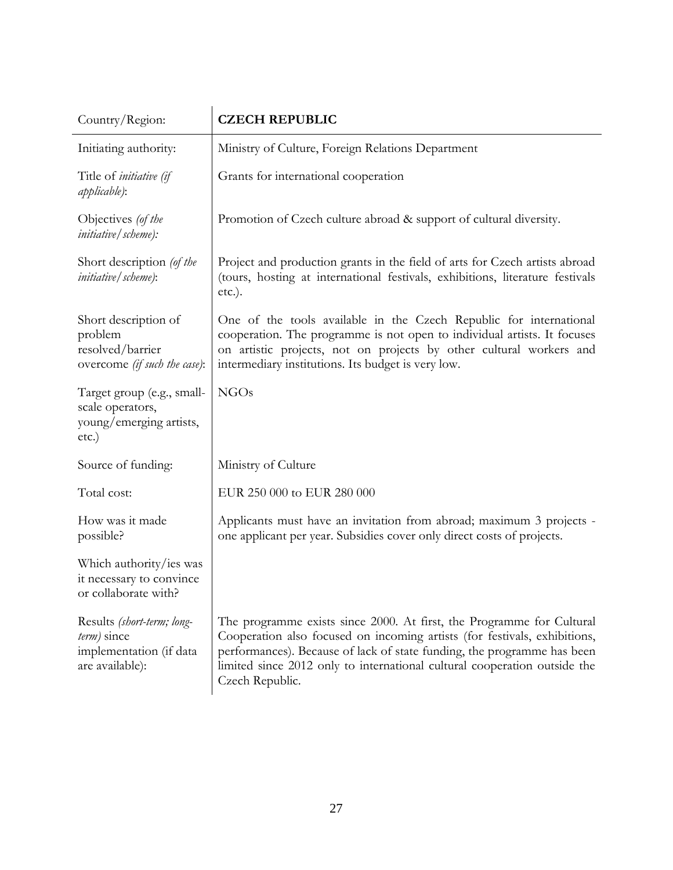| Country/Region:                                                                         | <b>CZECH REPUBLIC</b>                                                                                                                                                                                                                                                                                                         |
|-----------------------------------------------------------------------------------------|-------------------------------------------------------------------------------------------------------------------------------------------------------------------------------------------------------------------------------------------------------------------------------------------------------------------------------|
| Initiating authority:                                                                   | Ministry of Culture, Foreign Relations Department                                                                                                                                                                                                                                                                             |
| Title of initiative (if<br><i>applicable</i> ):                                         | Grants for international cooperation                                                                                                                                                                                                                                                                                          |
| Objectives (of the<br><i>initiative</i> / <i>scheme</i> ):                              | Promotion of Czech culture abroad & support of cultural diversity.                                                                                                                                                                                                                                                            |
| Short description (of the<br><i>initiative</i> / <i>scheme</i> ):                       | Project and production grants in the field of arts for Czech artists abroad<br>(tours, hosting at international festivals, exhibitions, literature festivals<br>$etc.$ ).                                                                                                                                                     |
| Short description of<br>problem<br>resolved/barrier<br>overcome (if such the case):     | One of the tools available in the Czech Republic for international<br>cooperation. The programme is not open to individual artists. It focuses<br>on artistic projects, not on projects by other cultural workers and<br>intermediary institutions. Its budget is very low.                                                   |
| Target group (e.g., small-<br>scale operators,<br>young/emerging artists,<br>etc.)      | <b>NGOs</b>                                                                                                                                                                                                                                                                                                                   |
| Source of funding:                                                                      | Ministry of Culture                                                                                                                                                                                                                                                                                                           |
| Total cost:                                                                             | EUR 250 000 to EUR 280 000                                                                                                                                                                                                                                                                                                    |
| How was it made<br>possible?                                                            | Applicants must have an invitation from abroad; maximum 3 projects -<br>one applicant per year. Subsidies cover only direct costs of projects.                                                                                                                                                                                |
| Which authority/ies was<br>it necessary to convince<br>or collaborate with?             |                                                                                                                                                                                                                                                                                                                               |
| Results (short-term; long-<br>term) since<br>implementation (if data<br>are available): | The programme exists since 2000. At first, the Programme for Cultural<br>Cooperation also focused on incoming artists (for festivals, exhibitions,<br>performances). Because of lack of state funding, the programme has been<br>limited since 2012 only to international cultural cooperation outside the<br>Czech Republic. |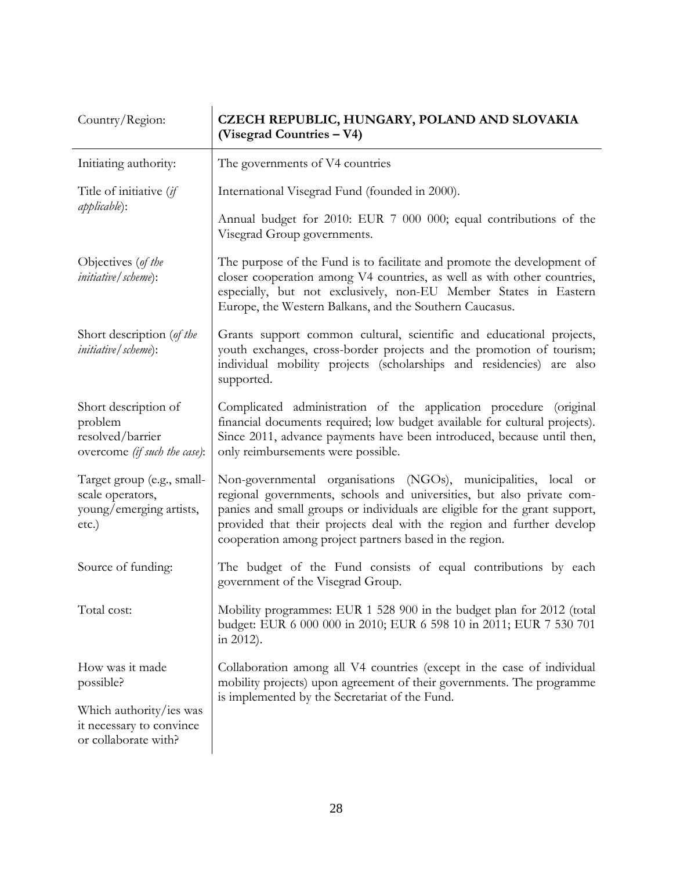| Country/Region:                                                                     | CZECH REPUBLIC, HUNGARY, POLAND AND SLOVAKIA<br>(Visegrad Countries – V4)                                                                                                                                                                                                                                                                                  |
|-------------------------------------------------------------------------------------|------------------------------------------------------------------------------------------------------------------------------------------------------------------------------------------------------------------------------------------------------------------------------------------------------------------------------------------------------------|
| Initiating authority:                                                               | The governments of V4 countries                                                                                                                                                                                                                                                                                                                            |
| Title of initiative (if                                                             | International Visegrad Fund (founded in 2000).                                                                                                                                                                                                                                                                                                             |
| <i>applicable</i> ):                                                                | Annual budget for 2010: EUR 7 000 000; equal contributions of the<br>Visegrad Group governments.                                                                                                                                                                                                                                                           |
| Objectives (of the<br><i>initiative</i> / <i>scheme</i> ):                          | The purpose of the Fund is to facilitate and promote the development of<br>closer cooperation among V4 countries, as well as with other countries,<br>especially, but not exclusively, non-EU Member States in Eastern<br>Europe, the Western Balkans, and the Southern Caucasus.                                                                          |
| Short description (of the<br><i>initiative</i> / scheme):                           | Grants support common cultural, scientific and educational projects,<br>youth exchanges, cross-border projects and the promotion of tourism;<br>individual mobility projects (scholarships and residencies) are also<br>supported.                                                                                                                         |
| Short description of<br>problem<br>resolved/barrier<br>overcome (if such the case): | Complicated administration of the application procedure (original<br>financial documents required; low budget available for cultural projects).<br>Since 2011, advance payments have been introduced, because until then,<br>only reimbursements were possible.                                                                                            |
| Target group (e.g., small-<br>scale operators,<br>young/emerging artists,<br>etc.)  | Non-governmental organisations (NGOs), municipalities, local or<br>regional governments, schools and universities, but also private com-<br>panies and small groups or individuals are eligible for the grant support,<br>provided that their projects deal with the region and further develop<br>cooperation among project partners based in the region. |
| Source of funding:                                                                  | The budget of the Fund consists of equal contributions by each<br>government of the Visegrad Group.                                                                                                                                                                                                                                                        |
| Total cost:                                                                         | Mobility programmes: EUR 1 528 900 in the budget plan for 2012 (total<br>budget: EUR 6 000 000 in 2010; EUR 6 598 10 in 2011; EUR 7 530 701<br>in 2012).                                                                                                                                                                                                   |
| How was it made<br>possible?                                                        | Collaboration among all V4 countries (except in the case of individual<br>mobility projects) upon agreement of their governments. The programme<br>is implemented by the Secretariat of the Fund.                                                                                                                                                          |
| Which authority/ies was<br>it necessary to convince<br>or collaborate with?         |                                                                                                                                                                                                                                                                                                                                                            |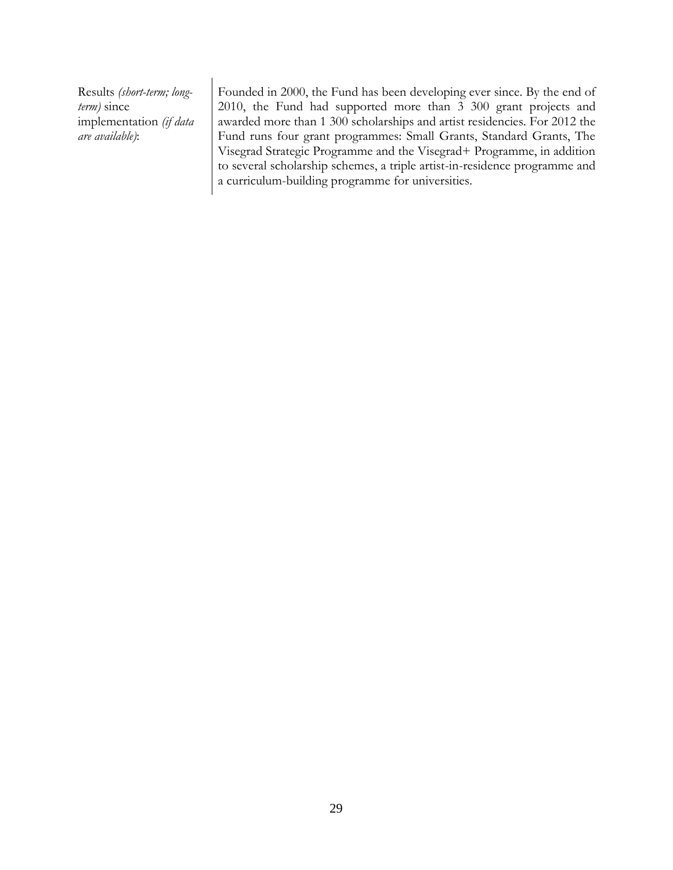Results *(short-term; longterm)* since implementation *(if data are available)*:

Founded in 2000, the Fund has been developing ever since. By the end of 2010, the Fund had supported more than 3 300 grant projects and awarded more than 1 300 scholarships and artist residencies. For 2012 the Fund runs four grant programmes: Small Grants, Standard Grants, The Visegrad Strategic Programme and the Visegrad+ Programme, in addition to several scholarship schemes, a triple artist-in-residence programme and a curriculum-building programme for universities.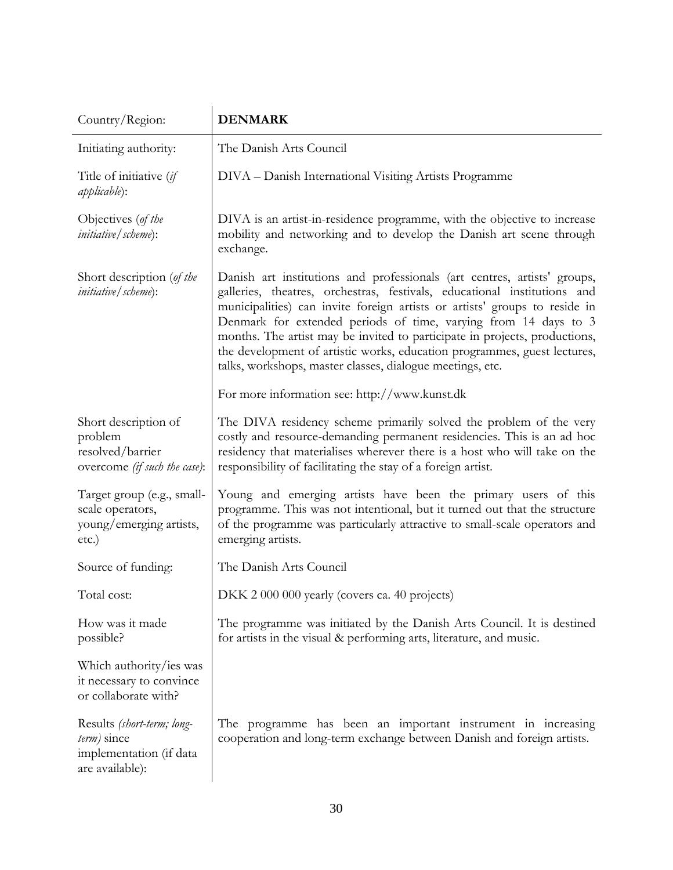| Country/Region:                                                                            | <b>DENMARK</b>                                                                                                                                                                                                                                                                                                                                                                                                                                                                                                               |
|--------------------------------------------------------------------------------------------|------------------------------------------------------------------------------------------------------------------------------------------------------------------------------------------------------------------------------------------------------------------------------------------------------------------------------------------------------------------------------------------------------------------------------------------------------------------------------------------------------------------------------|
| Initiating authority:                                                                      | The Danish Arts Council                                                                                                                                                                                                                                                                                                                                                                                                                                                                                                      |
| Title of initiative (if<br><i>applicable</i> ):                                            | DIVA - Danish International Visiting Artists Programme                                                                                                                                                                                                                                                                                                                                                                                                                                                                       |
| Objectives (of the<br><i>initiative</i> / <i>scheme</i> ):                                 | DIVA is an artist-in-residence programme, with the objective to increase<br>mobility and networking and to develop the Danish art scene through<br>exchange.                                                                                                                                                                                                                                                                                                                                                                 |
| Short description (of the<br><i>initiative</i> / <i>scheme</i> ):                          | Danish art institutions and professionals (art centres, artists' groups,<br>galleries, theatres, orchestras, festivals, educational institutions and<br>municipalities) can invite foreign artists or artists' groups to reside in<br>Denmark for extended periods of time, varying from 14 days to 3<br>months. The artist may be invited to participate in projects, productions,<br>the development of artistic works, education programmes, guest lectures,<br>talks, workshops, master classes, dialogue meetings, etc. |
|                                                                                            | For more information see: http://www.kunst.dk                                                                                                                                                                                                                                                                                                                                                                                                                                                                                |
| Short description of<br>problem<br>resolved/barrier<br>overcome (if such the case):        | The DIVA residency scheme primarily solved the problem of the very<br>costly and resource-demanding permanent residencies. This is an ad hoc<br>residency that materialises wherever there is a host who will take on the<br>responsibility of facilitating the stay of a foreign artist.                                                                                                                                                                                                                                    |
| Target group (e.g., small-<br>scale operators,<br>young/emerging artists,<br>etc.)         | Young and emerging artists have been the primary users of this<br>programme. This was not intentional, but it turned out that the structure<br>of the programme was particularly attractive to small-scale operators and<br>emerging artists.                                                                                                                                                                                                                                                                                |
| Source of funding:                                                                         | The Danish Arts Council                                                                                                                                                                                                                                                                                                                                                                                                                                                                                                      |
| Total cost:                                                                                | DKK 2 000 000 yearly (covers ca. 40 projects)                                                                                                                                                                                                                                                                                                                                                                                                                                                                                |
| How was it made<br>possible?                                                               | The programme was initiated by the Danish Arts Council. It is destined<br>for artists in the visual & performing arts, literature, and music.                                                                                                                                                                                                                                                                                                                                                                                |
| Which authority/ies was<br>it necessary to convince<br>or collaborate with?                |                                                                                                                                                                                                                                                                                                                                                                                                                                                                                                                              |
| Results (short-term; long-<br>$term$ ) since<br>implementation (if data<br>are available): | The programme has been an important instrument in increasing<br>cooperation and long-term exchange between Danish and foreign artists.                                                                                                                                                                                                                                                                                                                                                                                       |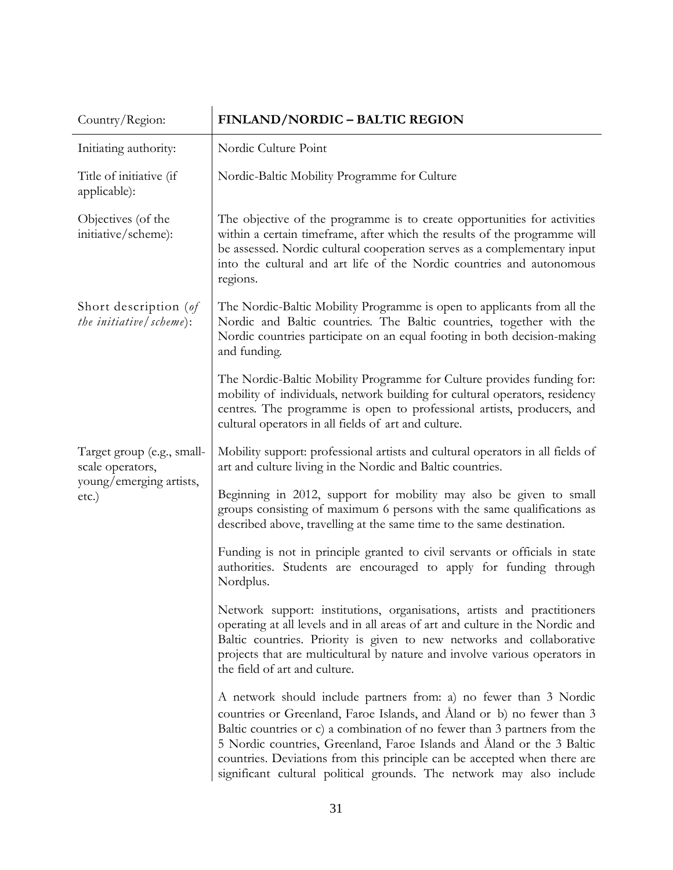| Country/Region:                                                            | FINLAND/NORDIC - BALTIC REGION                                                                                                                                                                                                                                                                                                                                                                                                                         |
|----------------------------------------------------------------------------|--------------------------------------------------------------------------------------------------------------------------------------------------------------------------------------------------------------------------------------------------------------------------------------------------------------------------------------------------------------------------------------------------------------------------------------------------------|
| Initiating authority:                                                      | Nordic Culture Point                                                                                                                                                                                                                                                                                                                                                                                                                                   |
| Title of initiative (if<br>applicable):                                    | Nordic-Baltic Mobility Programme for Culture                                                                                                                                                                                                                                                                                                                                                                                                           |
| Objectives (of the<br>initiative/scheme):                                  | The objective of the programme is to create opportunities for activities<br>within a certain timeframe, after which the results of the programme will<br>be assessed. Nordic cultural cooperation serves as a complementary input<br>into the cultural and art life of the Nordic countries and autonomous<br>regions.                                                                                                                                 |
| Short description $(\theta f)$<br>the <i>initiative</i> ( <i>scheme</i> ): | The Nordic-Baltic Mobility Programme is open to applicants from all the<br>Nordic and Baltic countries. The Baltic countries, together with the<br>Nordic countries participate on an equal footing in both decision-making<br>and funding.                                                                                                                                                                                                            |
|                                                                            | The Nordic-Baltic Mobility Programme for Culture provides funding for:<br>mobility of individuals, network building for cultural operators, residency<br>centres. The programme is open to professional artists, producers, and<br>cultural operators in all fields of art and culture.                                                                                                                                                                |
| Target group (e.g., small-<br>scale operators,                             | Mobility support: professional artists and cultural operators in all fields of<br>art and culture living in the Nordic and Baltic countries.                                                                                                                                                                                                                                                                                                           |
| young/emerging artists,<br>etc.)                                           | Beginning in 2012, support for mobility may also be given to small<br>groups consisting of maximum 6 persons with the same qualifications as<br>described above, travelling at the same time to the same destination.                                                                                                                                                                                                                                  |
|                                                                            | Funding is not in principle granted to civil servants or officials in state<br>authorities. Students are encouraged to apply for funding through<br>Nordplus.                                                                                                                                                                                                                                                                                          |
|                                                                            | Network support: institutions, organisations, artists and practitioners<br>operating at all levels and in all areas of art and culture in the Nordic and<br>Baltic countries. Priority is given to new networks and collaborative<br>projects that are multicultural by nature and involve various operators in<br>the field of art and culture.                                                                                                       |
|                                                                            | A network should include partners from: a) no fewer than 3 Nordic<br>countries or Greenland, Faroe Islands, and Åland or b) no fewer than 3<br>Baltic countries or c) a combination of no fewer than 3 partners from the<br>5 Nordic countries, Greenland, Faroe Islands and Åland or the 3 Baltic<br>countries. Deviations from this principle can be accepted when there are<br>significant cultural political grounds. The network may also include |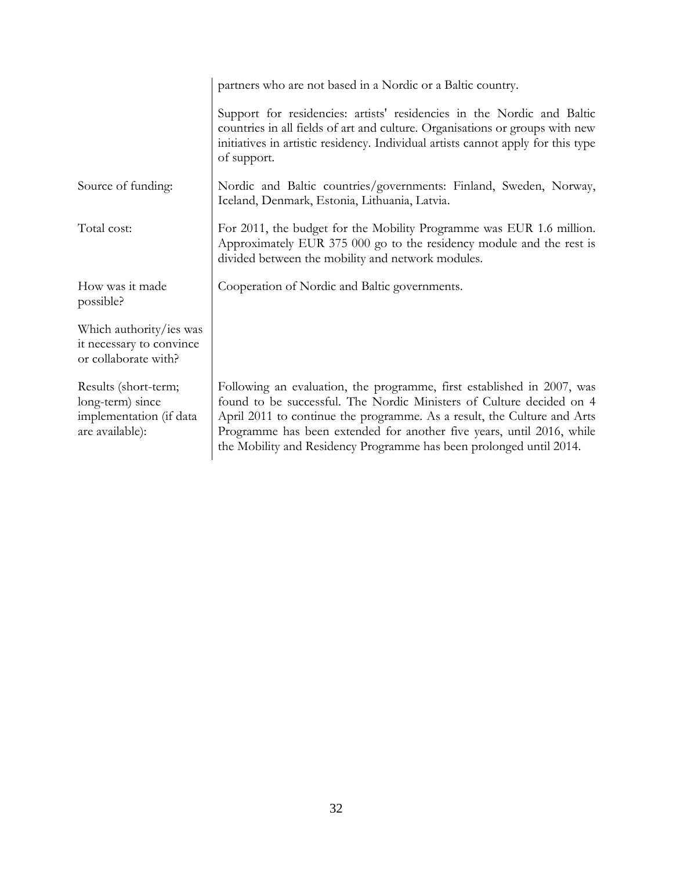|                                                                                        | partners who are not based in a Nordic or a Baltic country.                                                                                                                                                                                                                                                                                                               |
|----------------------------------------------------------------------------------------|---------------------------------------------------------------------------------------------------------------------------------------------------------------------------------------------------------------------------------------------------------------------------------------------------------------------------------------------------------------------------|
|                                                                                        | Support for residencies: artists' residencies in the Nordic and Baltic<br>countries in all fields of art and culture. Organisations or groups with new<br>initiatives in artistic residency. Individual artists cannot apply for this type<br>of support.                                                                                                                 |
| Source of funding:                                                                     | Nordic and Baltic countries/governments: Finland, Sweden, Norway,<br>Iceland, Denmark, Estonia, Lithuania, Latvia.                                                                                                                                                                                                                                                        |
| Total cost:                                                                            | For 2011, the budget for the Mobility Programme was EUR 1.6 million.<br>Approximately EUR 375 000 go to the residency module and the rest is<br>divided between the mobility and network modules.                                                                                                                                                                         |
| How was it made<br>possible?                                                           | Cooperation of Nordic and Baltic governments.                                                                                                                                                                                                                                                                                                                             |
| Which authority/ies was<br>it necessary to convince<br>or collaborate with?            |                                                                                                                                                                                                                                                                                                                                                                           |
| Results (short-term;<br>long-term) since<br>implementation (if data<br>are available): | Following an evaluation, the programme, first established in 2007, was<br>found to be successful. The Nordic Ministers of Culture decided on 4<br>April 2011 to continue the programme. As a result, the Culture and Arts<br>Programme has been extended for another five years, until 2016, while<br>the Mobility and Residency Programme has been prolonged until 2014. |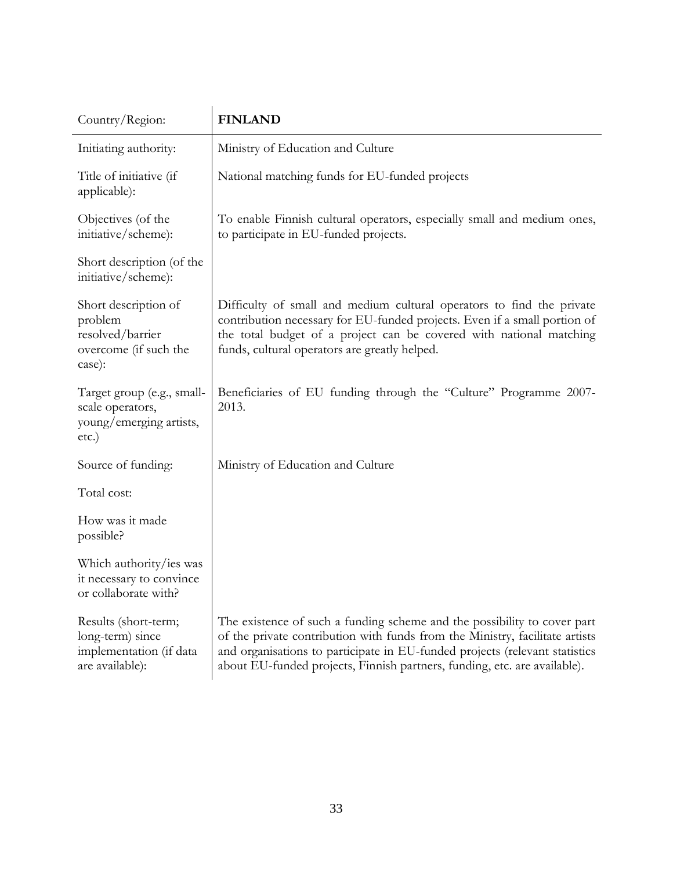| Country/Region:                                                                        | <b>FINLAND</b>                                                                                                                                                                                                                                                                                                       |
|----------------------------------------------------------------------------------------|----------------------------------------------------------------------------------------------------------------------------------------------------------------------------------------------------------------------------------------------------------------------------------------------------------------------|
| Initiating authority:                                                                  | Ministry of Education and Culture                                                                                                                                                                                                                                                                                    |
| Title of initiative (if<br>applicable):                                                | National matching funds for EU-funded projects                                                                                                                                                                                                                                                                       |
| Objectives (of the<br>initiative/scheme):                                              | To enable Finnish cultural operators, especially small and medium ones,<br>to participate in EU-funded projects.                                                                                                                                                                                                     |
| Short description (of the<br>initiative/scheme):                                       |                                                                                                                                                                                                                                                                                                                      |
| Short description of<br>problem<br>resolved/barrier<br>overcome (if such the<br>case): | Difficulty of small and medium cultural operators to find the private<br>contribution necessary for EU-funded projects. Even if a small portion of<br>the total budget of a project can be covered with national matching<br>funds, cultural operators are greatly helped.                                           |
| Target group (e.g., small-<br>scale operators,<br>young/emerging artists,<br>$etc.$ )  | Beneficiaries of EU funding through the "Culture" Programme 2007-<br>2013.                                                                                                                                                                                                                                           |
| Source of funding:                                                                     | Ministry of Education and Culture                                                                                                                                                                                                                                                                                    |
| Total cost:                                                                            |                                                                                                                                                                                                                                                                                                                      |
| How was it made<br>possible?                                                           |                                                                                                                                                                                                                                                                                                                      |
| Which authority/ies was<br>it necessary to convince<br>or collaborate with?            |                                                                                                                                                                                                                                                                                                                      |
| Results (short-term;<br>long-term) since<br>implementation (if data<br>are available): | The existence of such a funding scheme and the possibility to cover part<br>of the private contribution with funds from the Ministry, facilitate artists<br>and organisations to participate in EU-funded projects (relevant statistics<br>about EU-funded projects, Finnish partners, funding, etc. are available). |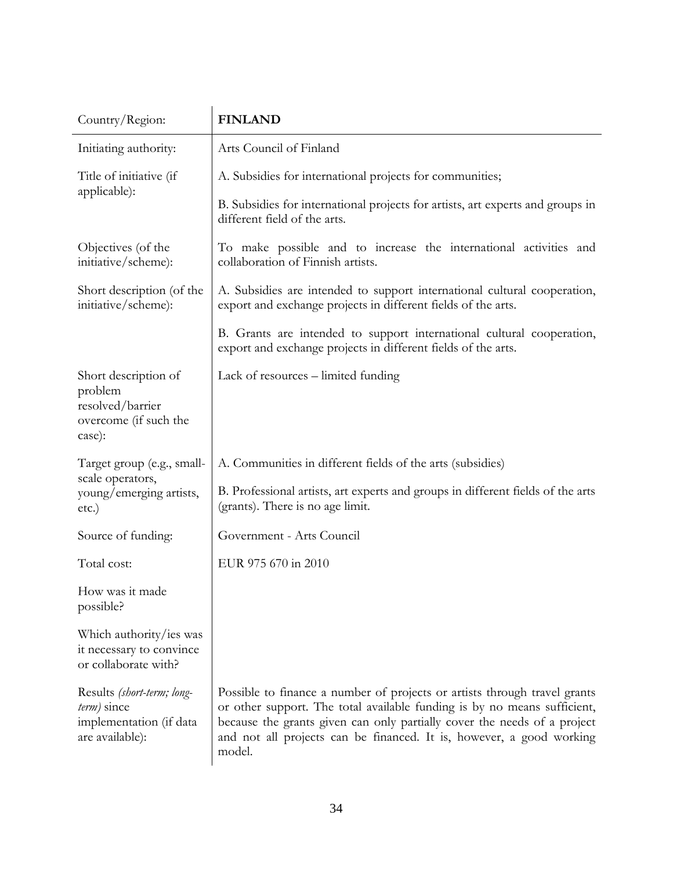| Country/Region:                                                                            | <b>FINLAND</b>                                                                                                                                                                                                                                                                                                      |
|--------------------------------------------------------------------------------------------|---------------------------------------------------------------------------------------------------------------------------------------------------------------------------------------------------------------------------------------------------------------------------------------------------------------------|
| Initiating authority:                                                                      | Arts Council of Finland                                                                                                                                                                                                                                                                                             |
| Title of initiative (if                                                                    | A. Subsidies for international projects for communities;                                                                                                                                                                                                                                                            |
| applicable):                                                                               | B. Subsidies for international projects for artists, art experts and groups in<br>different field of the arts.                                                                                                                                                                                                      |
| Objectives (of the<br>initiative/scheme):                                                  | To make possible and to increase the international activities and<br>collaboration of Finnish artists.                                                                                                                                                                                                              |
| Short description (of the<br>initiative/scheme):                                           | A. Subsidies are intended to support international cultural cooperation,<br>export and exchange projects in different fields of the arts.                                                                                                                                                                           |
|                                                                                            | B. Grants are intended to support international cultural cooperation,<br>export and exchange projects in different fields of the arts.                                                                                                                                                                              |
| Short description of<br>problem<br>resolved/barrier<br>overcome (if such the<br>case):     | Lack of resources – limited funding                                                                                                                                                                                                                                                                                 |
| Target group (e.g., small-                                                                 | A. Communities in different fields of the arts (subsidies)                                                                                                                                                                                                                                                          |
| scale operators,<br>young/emerging artists,<br>etc.)                                       | B. Professional artists, art experts and groups in different fields of the arts<br>(grants). There is no age limit.                                                                                                                                                                                                 |
| Source of funding:                                                                         | Government - Arts Council                                                                                                                                                                                                                                                                                           |
| Total cost:                                                                                | EUR 975 670 in 2010                                                                                                                                                                                                                                                                                                 |
| How was it made<br>possible?                                                               |                                                                                                                                                                                                                                                                                                                     |
| Which authority/ies was<br>it necessary to convince<br>or collaborate with?                |                                                                                                                                                                                                                                                                                                                     |
| Results (short-term; long-<br>$term$ ) since<br>implementation (if data<br>are available): | Possible to finance a number of projects or artists through travel grants<br>or other support. The total available funding is by no means sufficient,<br>because the grants given can only partially cover the needs of a project<br>and not all projects can be financed. It is, however, a good working<br>model. |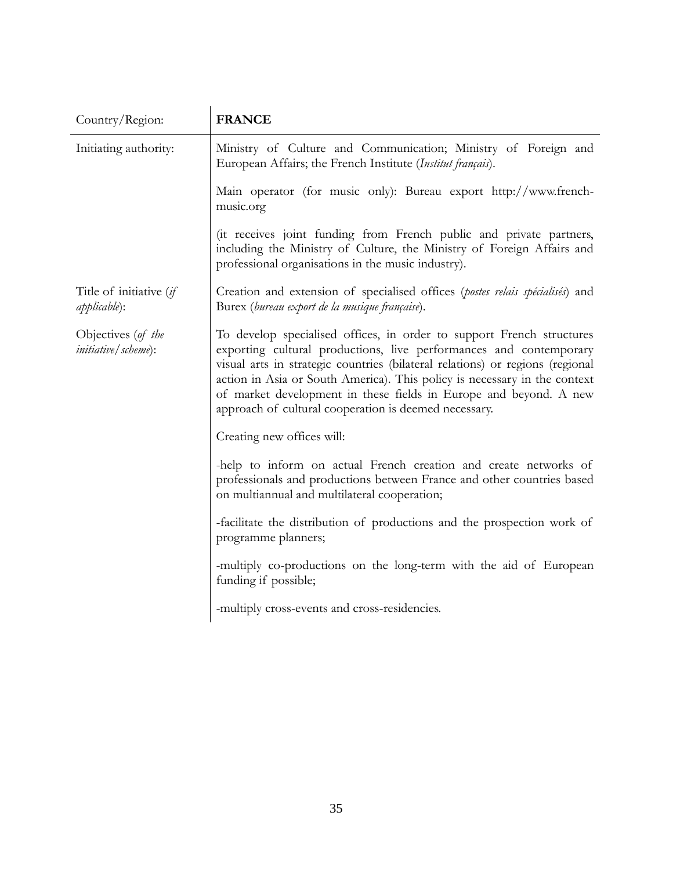| Country/Region:                                            | <b>FRANCE</b>                                                                                                                                                                                                                                                                                                                                                                                                                           |
|------------------------------------------------------------|-----------------------------------------------------------------------------------------------------------------------------------------------------------------------------------------------------------------------------------------------------------------------------------------------------------------------------------------------------------------------------------------------------------------------------------------|
| Initiating authority:                                      | Ministry of Culture and Communication; Ministry of Foreign and<br>European Affairs; the French Institute (Institut français).                                                                                                                                                                                                                                                                                                           |
|                                                            | Main operator (for music only): Bureau export http://www.french-<br>music.org                                                                                                                                                                                                                                                                                                                                                           |
|                                                            | (it receives joint funding from French public and private partners,<br>including the Ministry of Culture, the Ministry of Foreign Affairs and<br>professional organisations in the music industry).                                                                                                                                                                                                                                     |
| Title of initiative (if<br><i>applicable</i> ):            | Creation and extension of specialised offices (postes relais spécialisés) and<br>Burex (bureau export de la musique française).                                                                                                                                                                                                                                                                                                         |
| Objectives (of the<br><i>initiative</i> ( <i>scheme</i> ): | To develop specialised offices, in order to support French structures<br>exporting cultural productions, live performances and contemporary<br>visual arts in strategic countries (bilateral relations) or regions (regional<br>action in Asia or South America). This policy is necessary in the context<br>of market development in these fields in Europe and beyond. A new<br>approach of cultural cooperation is deemed necessary. |
|                                                            | Creating new offices will:                                                                                                                                                                                                                                                                                                                                                                                                              |
|                                                            | -help to inform on actual French creation and create networks of<br>professionals and productions between France and other countries based<br>on multiannual and multilateral cooperation;                                                                                                                                                                                                                                              |
|                                                            | -facilitate the distribution of productions and the prospection work of<br>programme planners;                                                                                                                                                                                                                                                                                                                                          |
|                                                            | -multiply co-productions on the long-term with the aid of European<br>funding if possible;                                                                                                                                                                                                                                                                                                                                              |
|                                                            | -multiply cross-events and cross-residencies.                                                                                                                                                                                                                                                                                                                                                                                           |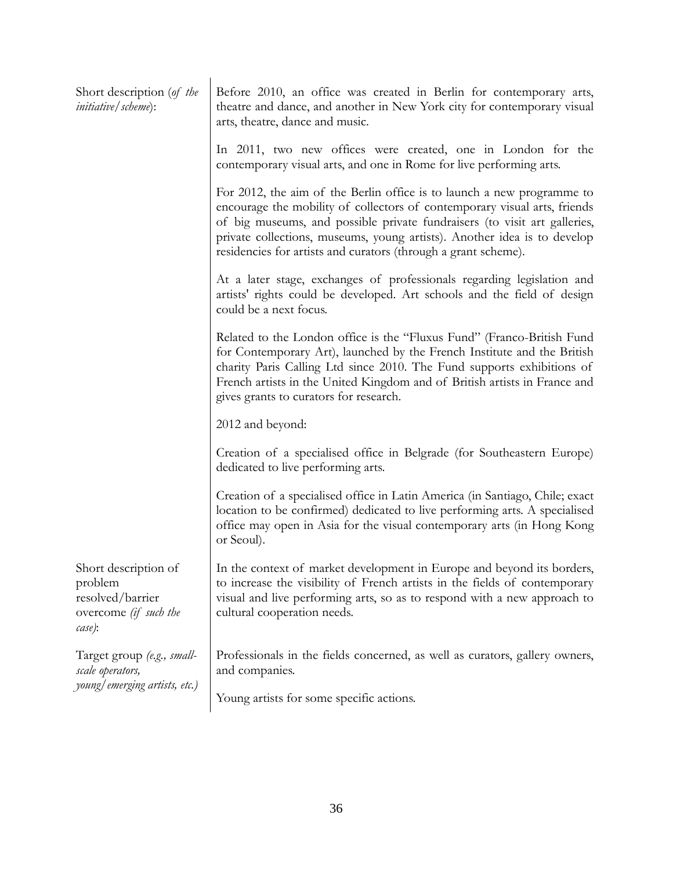| Short description (of the<br><i>initiative</i> / <i>scheme</i> ):                      | Before 2010, an office was created in Berlin for contemporary arts,<br>theatre and dance, and another in New York city for contemporary visual<br>arts, theatre, dance and music.                                                                                                                                                                                              |
|----------------------------------------------------------------------------------------|--------------------------------------------------------------------------------------------------------------------------------------------------------------------------------------------------------------------------------------------------------------------------------------------------------------------------------------------------------------------------------|
|                                                                                        | In 2011, two new offices were created, one in London for the<br>contemporary visual arts, and one in Rome for live performing arts.                                                                                                                                                                                                                                            |
|                                                                                        | For 2012, the aim of the Berlin office is to launch a new programme to<br>encourage the mobility of collectors of contemporary visual arts, friends<br>of big museums, and possible private fundraisers (to visit art galleries,<br>private collections, museums, young artists). Another idea is to develop<br>residencies for artists and curators (through a grant scheme). |
|                                                                                        | At a later stage, exchanges of professionals regarding legislation and<br>artists' rights could be developed. Art schools and the field of design<br>could be a next focus.                                                                                                                                                                                                    |
|                                                                                        | Related to the London office is the "Fluxus Fund" (Franco-British Fund<br>for Contemporary Art), launched by the French Institute and the British<br>charity Paris Calling Ltd since 2010. The Fund supports exhibitions of<br>French artists in the United Kingdom and of British artists in France and<br>gives grants to curators for research.                             |
|                                                                                        | 2012 and beyond:                                                                                                                                                                                                                                                                                                                                                               |
|                                                                                        | Creation of a specialised office in Belgrade (for Southeastern Europe)<br>dedicated to live performing arts.                                                                                                                                                                                                                                                                   |
|                                                                                        | Creation of a specialised office in Latin America (in Santiago, Chile; exact<br>location to be confirmed) dedicated to live performing arts. A specialised<br>office may open in Asia for the visual contemporary arts (in Hong Kong<br>or Seoul).                                                                                                                             |
| Short description of<br>problem<br>resolved/barrier<br>overcome (if such the<br>case): | In the context of market development in Europe and beyond its borders,<br>to increase the visibility of French artists in the fields of contemporary<br>visual and live performing arts, so as to respond with a new approach to<br>cultural cooperation needs.                                                                                                                |
| Target group (e.g., small-<br>scale operators,<br>young/emerging artists, etc.)        | Professionals in the fields concerned, as well as curators, gallery owners,<br>and companies.                                                                                                                                                                                                                                                                                  |
|                                                                                        | Young artists for some specific actions.                                                                                                                                                                                                                                                                                                                                       |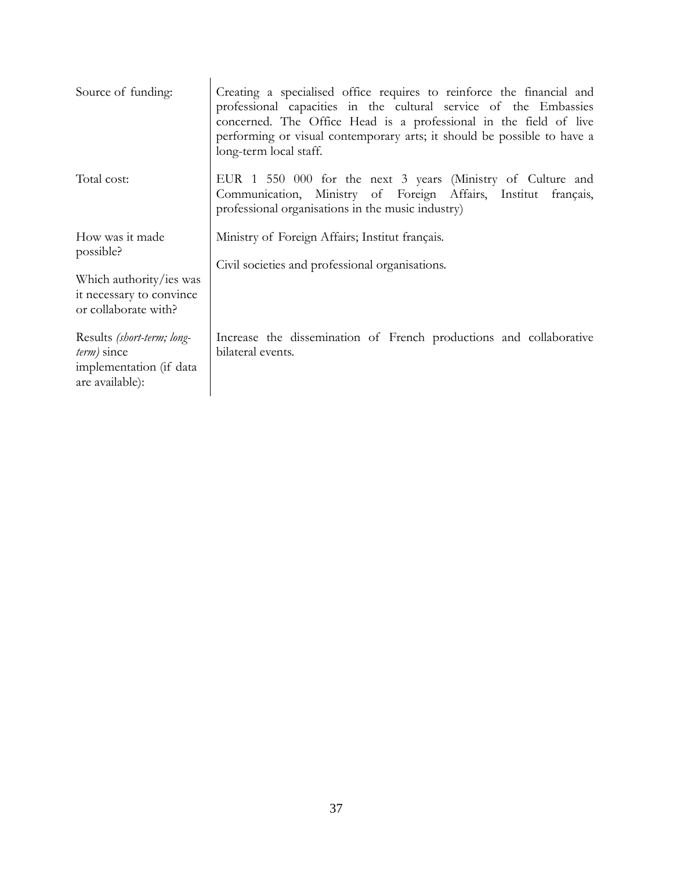| Source of funding:                                                                                          | Creating a specialised office requires to reinforce the financial and<br>professional capacities in the cultural service of the Embassies<br>concerned. The Office Head is a professional in the field of live<br>performing or visual contemporary arts; it should be possible to have a<br>long-term local staff. |
|-------------------------------------------------------------------------------------------------------------|---------------------------------------------------------------------------------------------------------------------------------------------------------------------------------------------------------------------------------------------------------------------------------------------------------------------|
| Total cost:                                                                                                 | EUR 1 550 000 for the next 3 years (Ministry of Culture and<br>Communication, Ministry of Foreign Affairs, Institut français,<br>professional organisations in the music industry)                                                                                                                                  |
| How was it made<br>possible?<br>Which authority/ies was<br>it necessary to convince<br>or collaborate with? | Ministry of Foreign Affairs; Institut français.<br>Civil societies and professional organisations.                                                                                                                                                                                                                  |
| Results (short-term; long-<br>term) since<br>implementation (if data<br>are available):                     | Increase the dissemination of French productions and collaborative<br>bilateral events.                                                                                                                                                                                                                             |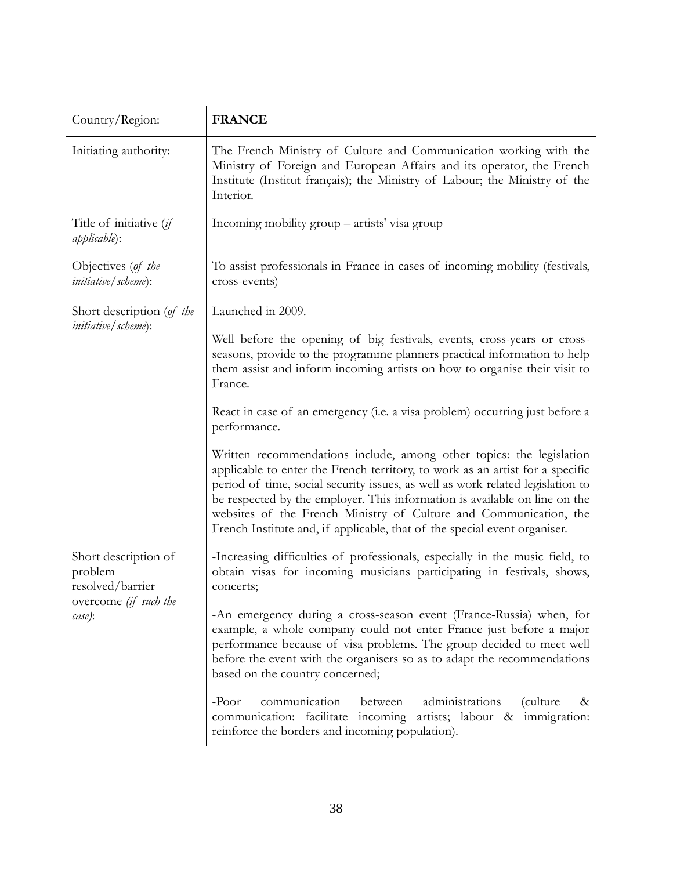| Country/Region:                                                                        | <b>FRANCE</b>                                                                                                                                                                                                                                                                                                                                                                                                                                                           |  |
|----------------------------------------------------------------------------------------|-------------------------------------------------------------------------------------------------------------------------------------------------------------------------------------------------------------------------------------------------------------------------------------------------------------------------------------------------------------------------------------------------------------------------------------------------------------------------|--|
| Initiating authority:                                                                  | The French Ministry of Culture and Communication working with the<br>Ministry of Foreign and European Affairs and its operator, the French<br>Institute (Institut français); the Ministry of Labour; the Ministry of the<br>Interior.                                                                                                                                                                                                                                   |  |
| Title of initiative (if<br><i>applicable</i> ):                                        | Incoming mobility group – artists' visa group                                                                                                                                                                                                                                                                                                                                                                                                                           |  |
| Objectives (of the<br><i>initiative</i> / <i>scheme</i> ):                             | To assist professionals in France in cases of incoming mobility (festivals,<br>cross-events)                                                                                                                                                                                                                                                                                                                                                                            |  |
| Short description (of the                                                              | Launched in 2009.                                                                                                                                                                                                                                                                                                                                                                                                                                                       |  |
| <i>initiative</i> / scheme):                                                           | Well before the opening of big festivals, events, cross-years or cross-<br>seasons, provide to the programme planners practical information to help<br>them assist and inform incoming artists on how to organise their visit to<br>France.                                                                                                                                                                                                                             |  |
|                                                                                        | React in case of an emergency (i.e. a visa problem) occurring just before a<br>performance.                                                                                                                                                                                                                                                                                                                                                                             |  |
|                                                                                        | Written recommendations include, among other topics: the legislation<br>applicable to enter the French territory, to work as an artist for a specific<br>period of time, social security issues, as well as work related legislation to<br>be respected by the employer. This information is available on line on the<br>websites of the French Ministry of Culture and Communication, the<br>French Institute and, if applicable, that of the special event organiser. |  |
| Short description of<br>problem<br>resolved/barrier<br>overcome (if such the<br>case): | -Increasing difficulties of professionals, especially in the music field, to<br>obtain visas for incoming musicians participating in festivals, shows,<br>concerts;                                                                                                                                                                                                                                                                                                     |  |
|                                                                                        | -An emergency during a cross-season event (France-Russia) when, for<br>example, a whole company could not enter France just before a major<br>performance because of visa problems. The group decided to meet well<br>before the event with the organisers so as to adapt the recommendations<br>based on the country concerned;                                                                                                                                        |  |
|                                                                                        | communication<br>administrations<br>$-$ Poor<br>between<br>(culture)<br>&<br>communication: facilitate incoming artists; labour & immigration:<br>reinforce the borders and incoming population).                                                                                                                                                                                                                                                                       |  |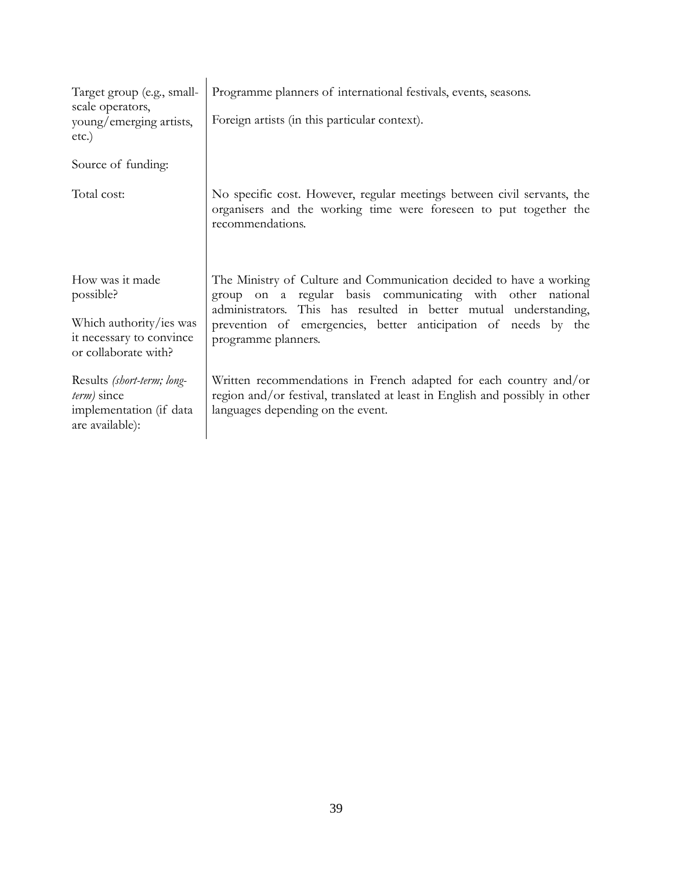| Target group (e.g., small-<br>scale operators,<br>young/emerging artists,<br>etc.)                          | Programme planners of international festivals, events, seasons.<br>Foreign artists (in this particular context).                                                                                                                                                                                |
|-------------------------------------------------------------------------------------------------------------|-------------------------------------------------------------------------------------------------------------------------------------------------------------------------------------------------------------------------------------------------------------------------------------------------|
| Source of funding:                                                                                          |                                                                                                                                                                                                                                                                                                 |
| Total cost:                                                                                                 | No specific cost. However, regular meetings between civil servants, the<br>organisers and the working time were foreseen to put together the<br>recommendations.                                                                                                                                |
| How was it made<br>possible?<br>Which authority/ies was<br>it necessary to convince<br>or collaborate with? | The Ministry of Culture and Communication decided to have a working<br>group on a regular basis communicating with other national<br>administrators. This has resulted in better mutual understanding,<br>prevention of emergencies, better anticipation of needs by the<br>programme planners. |
| Results (short-term; long-<br>$term$ ) since<br>implementation (if data<br>are available):                  | Written recommendations in French adapted for each country and/or<br>region and/or festival, translated at least in English and possibly in other<br>languages depending on the event.                                                                                                          |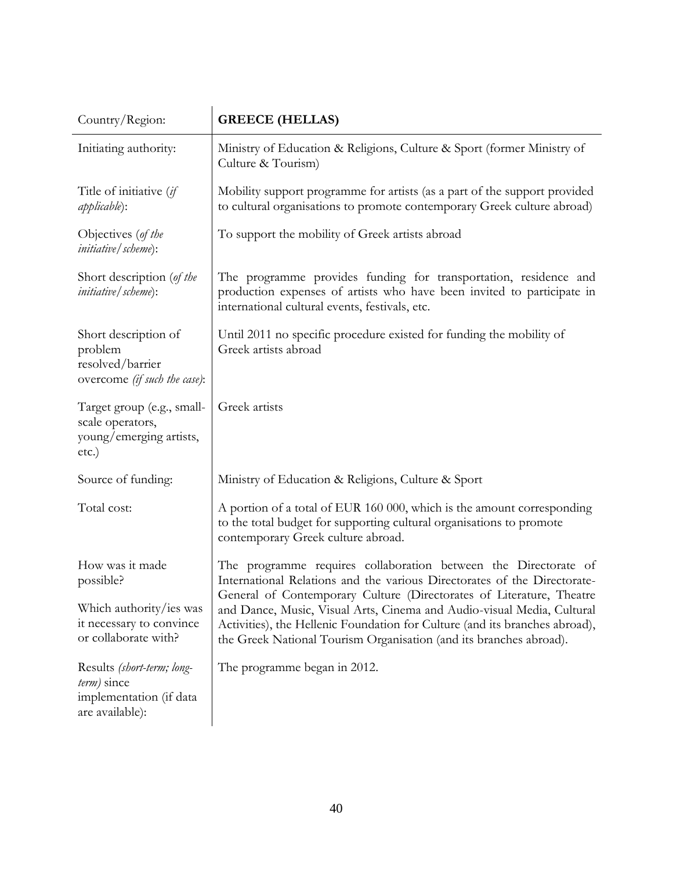| Country/Region:                                                                         | <b>GREECE (HELLAS)</b>                                                                                                                                                                                                                                                                              |
|-----------------------------------------------------------------------------------------|-----------------------------------------------------------------------------------------------------------------------------------------------------------------------------------------------------------------------------------------------------------------------------------------------------|
| Initiating authority:                                                                   | Ministry of Education & Religions, Culture & Sport (former Ministry of<br>Culture & Tourism)                                                                                                                                                                                                        |
| Title of initiative (if<br><i>applicable</i> ):                                         | Mobility support programme for artists (as a part of the support provided<br>to cultural organisations to promote contemporary Greek culture abroad)                                                                                                                                                |
| Objectives (of the<br><i>initiative</i> / <i>scheme</i> ):                              | To support the mobility of Greek artists abroad                                                                                                                                                                                                                                                     |
| Short description (of the<br><i>initiative</i> / <i>scheme</i> ):                       | The programme provides funding for transportation, residence and<br>production expenses of artists who have been invited to participate in<br>international cultural events, festivals, etc.                                                                                                        |
| Short description of<br>problem<br>resolved/barrier<br>overcome (if such the case):     | Until 2011 no specific procedure existed for funding the mobility of<br>Greek artists abroad                                                                                                                                                                                                        |
| Target group (e.g., small-<br>scale operators,<br>young/emerging artists,<br>etc.)      | Greek artists                                                                                                                                                                                                                                                                                       |
| Source of funding:                                                                      | Ministry of Education & Religions, Culture & Sport                                                                                                                                                                                                                                                  |
| Total cost:                                                                             | A portion of a total of EUR 160 000, which is the amount corresponding<br>to the total budget for supporting cultural organisations to promote<br>contemporary Greek culture abroad.                                                                                                                |
| How was it made<br>possible?                                                            | The programme requires collaboration between the Directorate of<br>International Relations and the various Directorates of the Directorate-                                                                                                                                                         |
| Which authority/ies was<br>it necessary to convince<br>or collaborate with?             | General of Contemporary Culture (Directorates of Literature, Theatre<br>and Dance, Music, Visual Arts, Cinema and Audio-visual Media, Cultural<br>Activities), the Hellenic Foundation for Culture (and its branches abroad),<br>the Greek National Tourism Organisation (and its branches abroad). |
| Results (short-term; long-<br>term) since<br>implementation (if data<br>are available): | The programme began in 2012.                                                                                                                                                                                                                                                                        |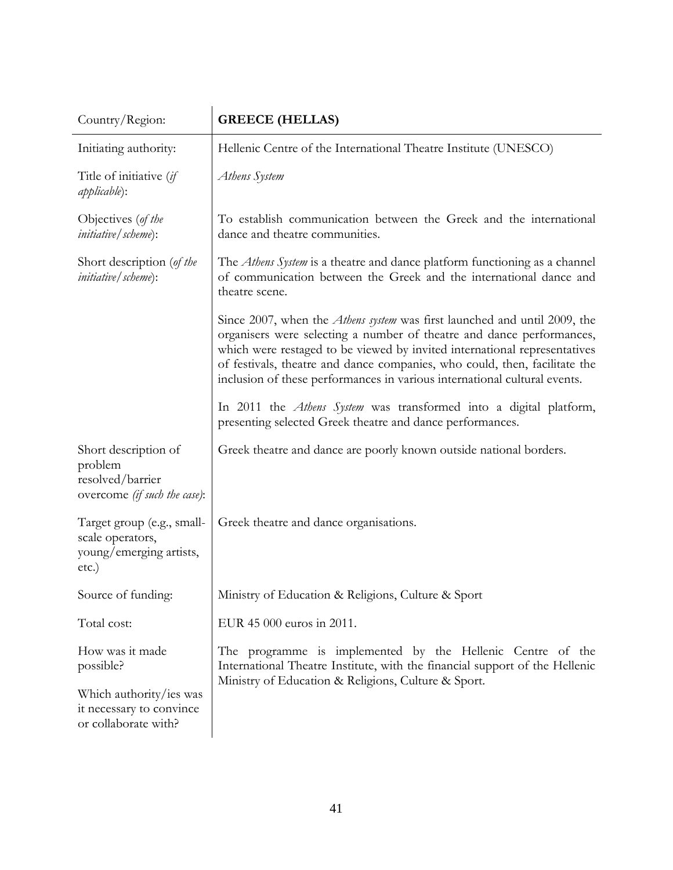| Country/Region:                                                                     | <b>GREECE (HELLAS)</b>                                                                                                                                                                                                                                                                                                                                                                            |  |
|-------------------------------------------------------------------------------------|---------------------------------------------------------------------------------------------------------------------------------------------------------------------------------------------------------------------------------------------------------------------------------------------------------------------------------------------------------------------------------------------------|--|
| Initiating authority:                                                               | Hellenic Centre of the International Theatre Institute (UNESCO)                                                                                                                                                                                                                                                                                                                                   |  |
| Title of initiative (if<br><i>applicable</i> ):                                     | Athens System                                                                                                                                                                                                                                                                                                                                                                                     |  |
| Objectives (of the<br><i>initiative</i> / <i>scheme</i> ):                          | To establish communication between the Greek and the international<br>dance and theatre communities.                                                                                                                                                                                                                                                                                              |  |
| Short description (of the<br><i>initiative</i> / <i>scheme</i> ):                   | The <i>Athens System</i> is a theatre and dance platform functioning as a channel<br>of communication between the Greek and the international dance and<br>theatre scene.                                                                                                                                                                                                                         |  |
|                                                                                     | Since 2007, when the <i>Athens system</i> was first launched and until 2009, the<br>organisers were selecting a number of theatre and dance performances,<br>which were restaged to be viewed by invited international representatives<br>of festivals, theatre and dance companies, who could, then, facilitate the<br>inclusion of these performances in various international cultural events. |  |
|                                                                                     | In 2011 the Athens System was transformed into a digital platform,<br>presenting selected Greek theatre and dance performances.                                                                                                                                                                                                                                                                   |  |
| Short description of<br>problem<br>resolved/barrier<br>overcome (if such the case): | Greek theatre and dance are poorly known outside national borders.                                                                                                                                                                                                                                                                                                                                |  |
| Target group (e.g., small-<br>scale operators,<br>young/emerging artists,<br>etc.)  | Greek theatre and dance organisations.                                                                                                                                                                                                                                                                                                                                                            |  |
| Source of funding:                                                                  | Ministry of Education & Religions, Culture & Sport                                                                                                                                                                                                                                                                                                                                                |  |
| Total cost:                                                                         | EUR 45 000 euros in 2011.                                                                                                                                                                                                                                                                                                                                                                         |  |
| How was it made<br>possible?                                                        | The programme is implemented by the Hellenic Centre of the<br>International Theatre Institute, with the financial support of the Hellenic<br>Ministry of Education & Religions, Culture & Sport.                                                                                                                                                                                                  |  |
| Which authority/ies was<br>it necessary to convince<br>or collaborate with?         |                                                                                                                                                                                                                                                                                                                                                                                                   |  |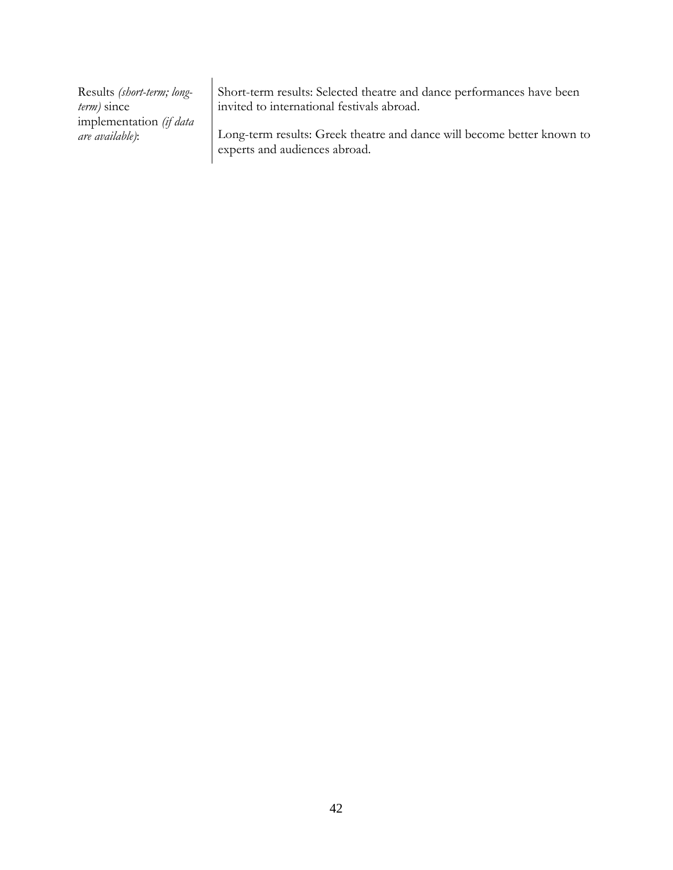Short-term results: Selected theatre and dance performances have been invited to international festivals abroad.

Long-term results: Greek theatre and dance will become better known to experts and audiences abroad.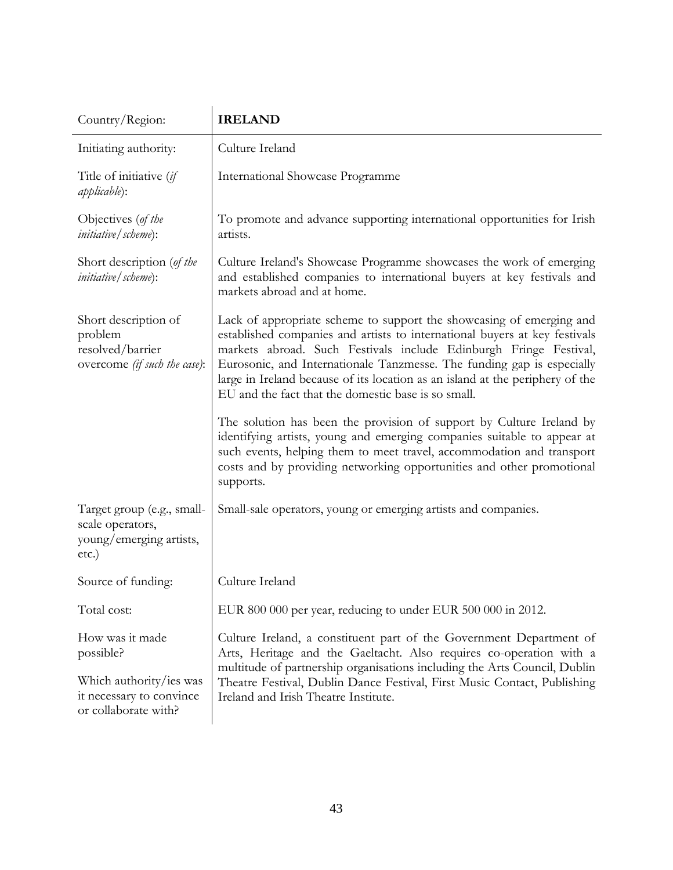| Country/Region:                                                                     | <b>IRELAND</b>                                                                                                                                                                                                                                                                                                                                                                                                                            |  |
|-------------------------------------------------------------------------------------|-------------------------------------------------------------------------------------------------------------------------------------------------------------------------------------------------------------------------------------------------------------------------------------------------------------------------------------------------------------------------------------------------------------------------------------------|--|
| Initiating authority:                                                               | Culture Ireland                                                                                                                                                                                                                                                                                                                                                                                                                           |  |
| Title of initiative (if<br><i>applicable</i> ):                                     | <b>International Showcase Programme</b>                                                                                                                                                                                                                                                                                                                                                                                                   |  |
| Objectives (of the<br><i>initiative</i> / <i>scheme</i> ):                          | To promote and advance supporting international opportunities for Irish<br>artists.                                                                                                                                                                                                                                                                                                                                                       |  |
| Short description (of the<br><i>initiative</i> / <i>scheme</i> ):                   | Culture Ireland's Showcase Programme showcases the work of emerging<br>and established companies to international buyers at key festivals and<br>markets abroad and at home.                                                                                                                                                                                                                                                              |  |
| Short description of<br>problem<br>resolved/barrier<br>overcome (if such the case): | Lack of appropriate scheme to support the showcasing of emerging and<br>established companies and artists to international buyers at key festivals<br>markets abroad. Such Festivals include Edinburgh Fringe Festival,<br>Eurosonic, and Internationale Tanzmesse. The funding gap is especially<br>large in Ireland because of its location as an island at the periphery of the<br>EU and the fact that the domestic base is so small. |  |
|                                                                                     | The solution has been the provision of support by Culture Ireland by<br>identifying artists, young and emerging companies suitable to appear at<br>such events, helping them to meet travel, accommodation and transport<br>costs and by providing networking opportunities and other promotional<br>supports.                                                                                                                            |  |
| Target group (e.g., small-<br>scale operators,<br>young/emerging artists,<br>etc.)  | Small-sale operators, young or emerging artists and companies.                                                                                                                                                                                                                                                                                                                                                                            |  |
| Source of funding:                                                                  | Culture Ireland                                                                                                                                                                                                                                                                                                                                                                                                                           |  |
| Total cost:                                                                         | EUR 800 000 per year, reducing to under EUR 500 000 in 2012.                                                                                                                                                                                                                                                                                                                                                                              |  |
| How was it made<br>possible?                                                        | Culture Ireland, a constituent part of the Government Department of<br>Arts, Heritage and the Gaeltacht. Also requires co-operation with a                                                                                                                                                                                                                                                                                                |  |
| Which authority/ies was<br>it necessary to convince<br>or collaborate with?         | multitude of partnership organisations including the Arts Council, Dublin<br>Theatre Festival, Dublin Dance Festival, First Music Contact, Publishing<br>Ireland and Irish Theatre Institute.                                                                                                                                                                                                                                             |  |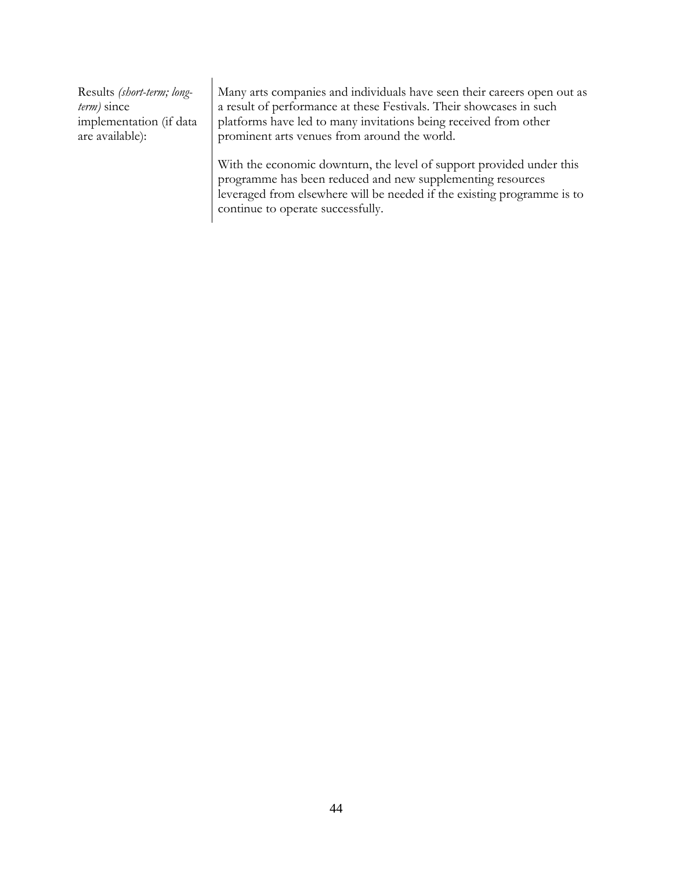Many arts companies and individuals have seen their careers open out as a result of performance at these Festivals. Their showcases in such platforms have led to many invitations being received from other prominent arts venues from around the world.

With the economic downturn, the level of support provided under this programme has been reduced and new supplementing resources leveraged from elsewhere will be needed if the existing programme is to continue to operate successfully.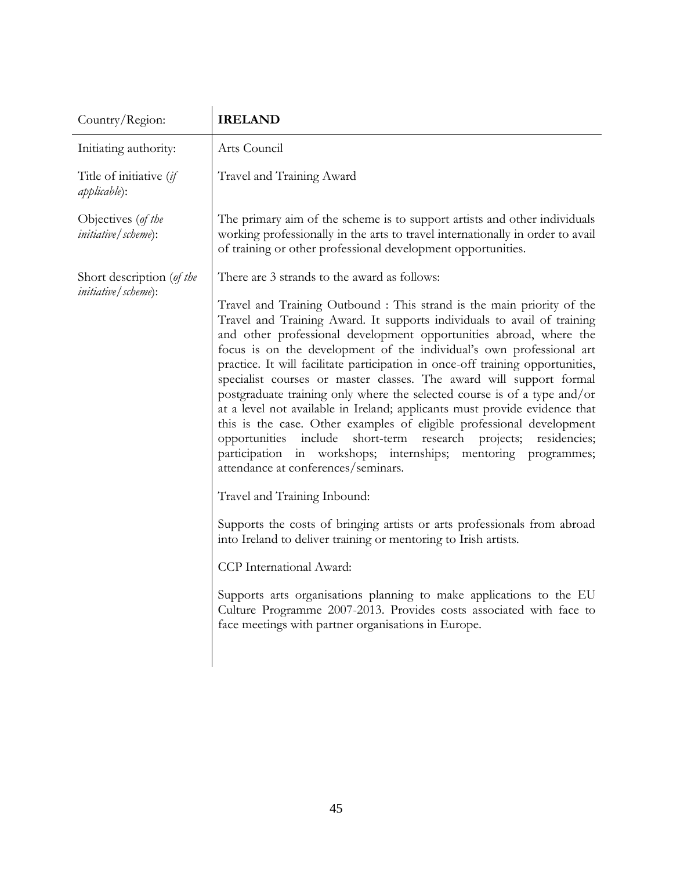| <b>IRELAND</b>                                                                                                                                                                                                                                                                                                                                                                                                                                                                                                                                                                                                                                                                                                                                                                                                                                                                                                                                                                                                                                                                                                                                                                                                                                                                                       |
|------------------------------------------------------------------------------------------------------------------------------------------------------------------------------------------------------------------------------------------------------------------------------------------------------------------------------------------------------------------------------------------------------------------------------------------------------------------------------------------------------------------------------------------------------------------------------------------------------------------------------------------------------------------------------------------------------------------------------------------------------------------------------------------------------------------------------------------------------------------------------------------------------------------------------------------------------------------------------------------------------------------------------------------------------------------------------------------------------------------------------------------------------------------------------------------------------------------------------------------------------------------------------------------------------|
| Arts Council                                                                                                                                                                                                                                                                                                                                                                                                                                                                                                                                                                                                                                                                                                                                                                                                                                                                                                                                                                                                                                                                                                                                                                                                                                                                                         |
| Travel and Training Award                                                                                                                                                                                                                                                                                                                                                                                                                                                                                                                                                                                                                                                                                                                                                                                                                                                                                                                                                                                                                                                                                                                                                                                                                                                                            |
| The primary aim of the scheme is to support artists and other individuals<br>working professionally in the arts to travel internationally in order to avail<br>of training or other professional development opportunities.                                                                                                                                                                                                                                                                                                                                                                                                                                                                                                                                                                                                                                                                                                                                                                                                                                                                                                                                                                                                                                                                          |
| There are 3 strands to the award as follows:                                                                                                                                                                                                                                                                                                                                                                                                                                                                                                                                                                                                                                                                                                                                                                                                                                                                                                                                                                                                                                                                                                                                                                                                                                                         |
| Travel and Training Outbound : This strand is the main priority of the<br>Travel and Training Award. It supports individuals to avail of training<br>and other professional development opportunities abroad, where the<br>focus is on the development of the individual's own professional art<br>practice. It will facilitate participation in once-off training opportunities,<br>specialist courses or master classes. The award will support formal<br>postgraduate training only where the selected course is of a type and/or<br>at a level not available in Ireland; applicants must provide evidence that<br>this is the case. Other examples of eligible professional development<br>include<br>short-term<br>research<br>projects; residencies;<br>opportunities<br>participation in workshops; internships; mentoring programmes;<br>attendance at conferences/seminars.<br>Travel and Training Inbound:<br>Supports the costs of bringing artists or arts professionals from abroad<br>into Ireland to deliver training or mentoring to Irish artists.<br>CCP International Award:<br>Supports arts organisations planning to make applications to the EU<br>Culture Programme 2007-2013. Provides costs associated with face to<br>face meetings with partner organisations in Europe. |
|                                                                                                                                                                                                                                                                                                                                                                                                                                                                                                                                                                                                                                                                                                                                                                                                                                                                                                                                                                                                                                                                                                                                                                                                                                                                                                      |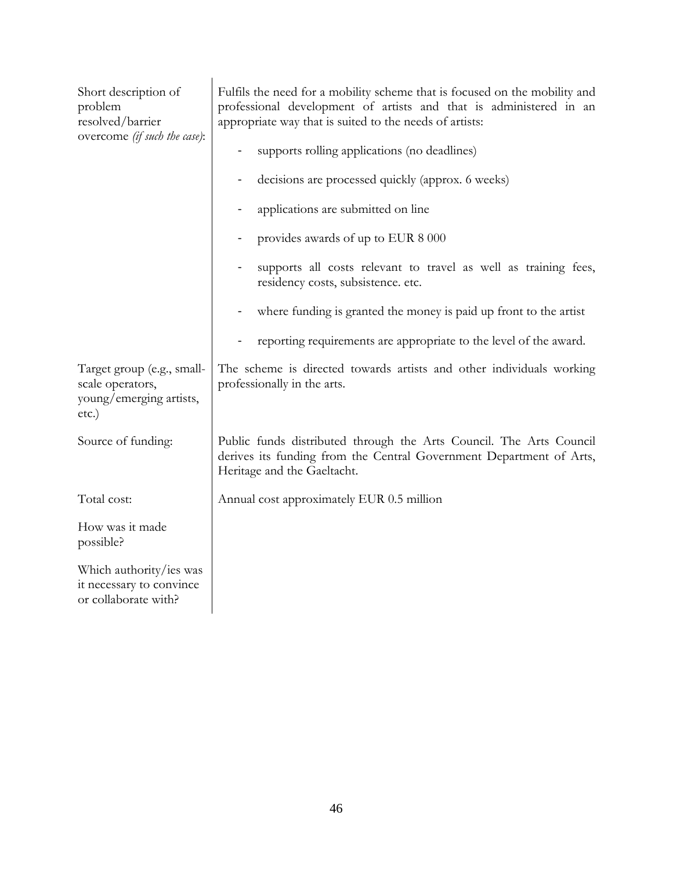| Short description of<br>problem<br>resolved/barrier<br>overcome (if such the case): | Fulfils the need for a mobility scheme that is focused on the mobility and<br>professional development of artists and that is administered in an<br>appropriate way that is suited to the needs of artists:<br>supports rolling applications (no deadlines)<br>decisions are processed quickly (approx. 6 weeks)<br>applications are submitted on line<br>provides awards of up to EUR 8 000<br>supports all costs relevant to travel as well as training fees,<br>residency costs, subsistence. etc.<br>where funding is granted the money is paid up front to the artist<br>reporting requirements are appropriate to the level of the award. |  |
|-------------------------------------------------------------------------------------|-------------------------------------------------------------------------------------------------------------------------------------------------------------------------------------------------------------------------------------------------------------------------------------------------------------------------------------------------------------------------------------------------------------------------------------------------------------------------------------------------------------------------------------------------------------------------------------------------------------------------------------------------|--|
| Target group (e.g., small-<br>scale operators,<br>young/emerging artists,<br>etc.)  | The scheme is directed towards artists and other individuals working<br>professionally in the arts.                                                                                                                                                                                                                                                                                                                                                                                                                                                                                                                                             |  |
| Source of funding:                                                                  | Public funds distributed through the Arts Council. The Arts Council<br>derives its funding from the Central Government Department of Arts,<br>Heritage and the Gaeltacht.                                                                                                                                                                                                                                                                                                                                                                                                                                                                       |  |
| Total cost:                                                                         | Annual cost approximately EUR 0.5 million                                                                                                                                                                                                                                                                                                                                                                                                                                                                                                                                                                                                       |  |
| How was it made<br>possible?                                                        |                                                                                                                                                                                                                                                                                                                                                                                                                                                                                                                                                                                                                                                 |  |
| Which authority/ies was<br>it necessary to convince<br>or collaborate with?         |                                                                                                                                                                                                                                                                                                                                                                                                                                                                                                                                                                                                                                                 |  |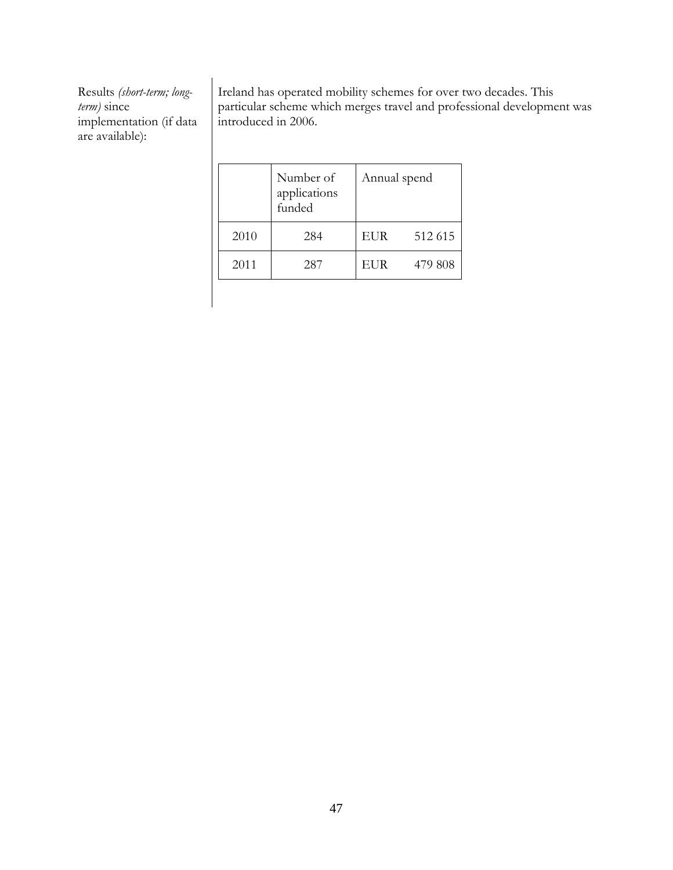Ireland has operated mobility schemes for over two decades. This particular scheme which merges travel and professional development was introduced in 2006.

|      | Number of<br>applications<br>funded | Annual spend |         |
|------|-------------------------------------|--------------|---------|
| 2010 | 284                                 | <b>EUR</b>   | 512 615 |
| 2011 | 287                                 | <b>EUR</b>   | 479 808 |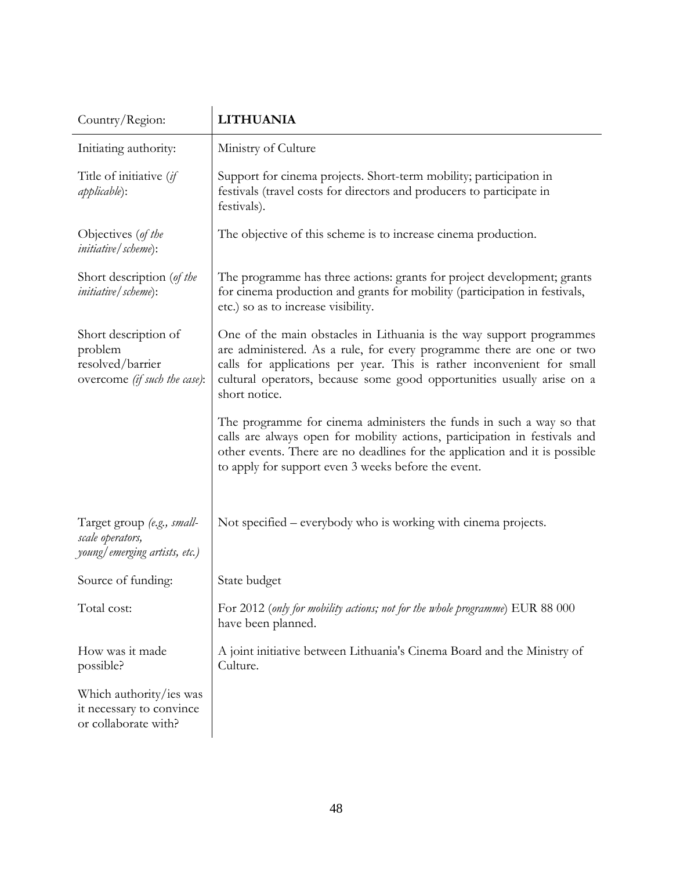| Country/Region:                                                                     | <b>LITHUANIA</b>                                                                                                                                                                                                                                                                                                   |
|-------------------------------------------------------------------------------------|--------------------------------------------------------------------------------------------------------------------------------------------------------------------------------------------------------------------------------------------------------------------------------------------------------------------|
| Initiating authority:                                                               | Ministry of Culture                                                                                                                                                                                                                                                                                                |
| Title of initiative (if<br><i>applicable</i> ):                                     | Support for cinema projects. Short-term mobility; participation in<br>festivals (travel costs for directors and producers to participate in<br>festivals).                                                                                                                                                         |
| Objectives (of the<br><i>initiative</i> / scheme):                                  | The objective of this scheme is to increase cinema production.                                                                                                                                                                                                                                                     |
| Short description (of the<br><i>initiative</i> / <i>scheme</i> ):                   | The programme has three actions: grants for project development; grants<br>for cinema production and grants for mobility (participation in festivals,<br>etc.) so as to increase visibility.                                                                                                                       |
| Short description of<br>problem<br>resolved/barrier<br>overcome (if such the case): | One of the main obstacles in Lithuania is the way support programmes<br>are administered. As a rule, for every programme there are one or two<br>calls for applications per year. This is rather inconvenient for small<br>cultural operators, because some good opportunities usually arise on a<br>short notice. |
|                                                                                     | The programme for cinema administers the funds in such a way so that<br>calls are always open for mobility actions, participation in festivals and<br>other events. There are no deadlines for the application and it is possible<br>to apply for support even 3 weeks before the event.                           |
| Target group (e.g., small-<br>scale operators,<br>young/emerging artists, etc.)     | Not specified – everybody who is working with cinema projects.                                                                                                                                                                                                                                                     |
| Source of funding:                                                                  | State budget                                                                                                                                                                                                                                                                                                       |
| Total cost:                                                                         | For 2012 (only for mobility actions; not for the whole programme) EUR 88 000<br>have been planned.                                                                                                                                                                                                                 |
| How was it made<br>possible?                                                        | A joint initiative between Lithuania's Cinema Board and the Ministry of<br>Culture.                                                                                                                                                                                                                                |
| Which authority/ies was<br>it necessary to convince<br>or collaborate with?         |                                                                                                                                                                                                                                                                                                                    |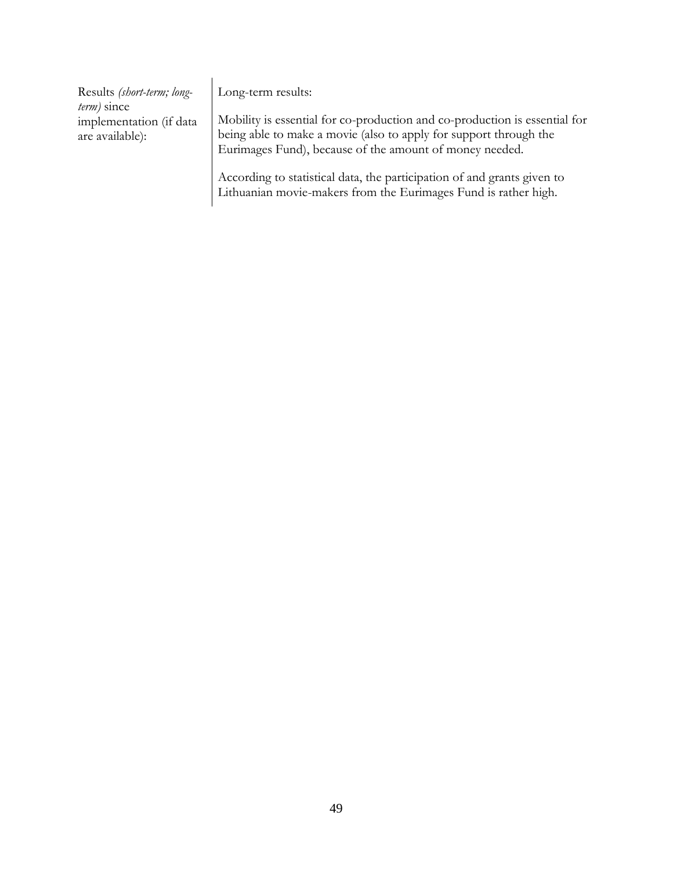| Results (short-term; long-<br>term) since  | Long-term results:                                                                                                                              |
|--------------------------------------------|-------------------------------------------------------------------------------------------------------------------------------------------------|
| implementation (if data<br>are available): | Mobility is essential for co-production and co-production is essential for<br>being able to make a movie (also to apply for support through the |
|                                            | Eurimages Fund), because of the amount of money needed.<br>According to statistical data, the participation of and grants given to              |

Lithuanian movie-makers from the Eurimages Fund is rather high.

49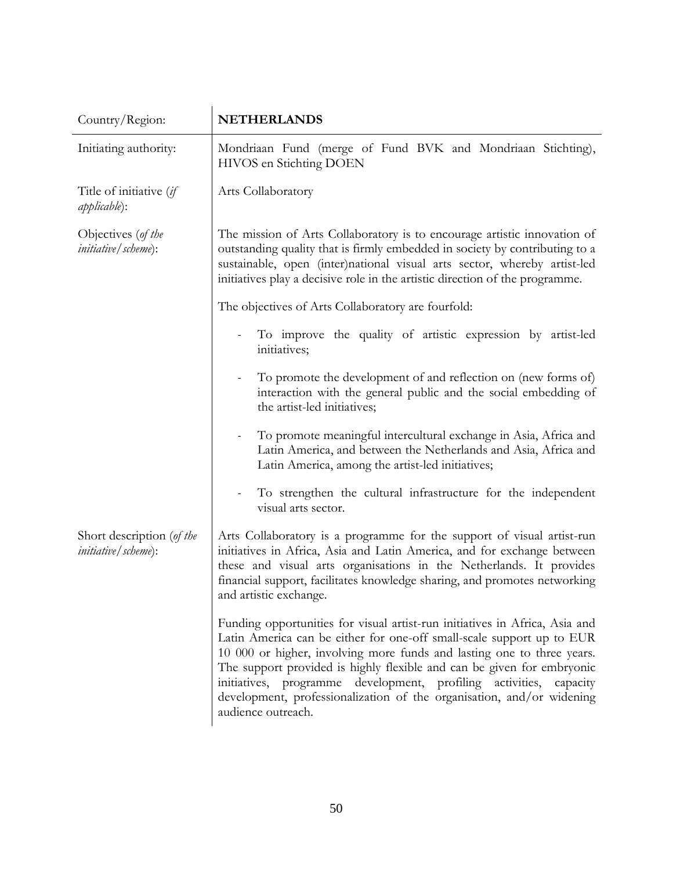| Country/Region:                                                   | <b>NETHERLANDS</b>                                                                                                                                                                                                                                                                                                                                                                                                                                                            |
|-------------------------------------------------------------------|-------------------------------------------------------------------------------------------------------------------------------------------------------------------------------------------------------------------------------------------------------------------------------------------------------------------------------------------------------------------------------------------------------------------------------------------------------------------------------|
| Initiating authority:                                             | Mondriaan Fund (merge of Fund BVK and Mondriaan Stichting),<br>HIVOS en Stichting DOEN                                                                                                                                                                                                                                                                                                                                                                                        |
| Title of initiative (if<br><i>applicable</i> ):                   | Arts Collaboratory                                                                                                                                                                                                                                                                                                                                                                                                                                                            |
| Objectives (of the<br><i>initiative</i> / <i>scheme</i> ):        | The mission of Arts Collaboratory is to encourage artistic innovation of<br>outstanding quality that is firmly embedded in society by contributing to a<br>sustainable, open (inter)national visual arts sector, whereby artist-led<br>initiatives play a decisive role in the artistic direction of the programme.                                                                                                                                                           |
|                                                                   | The objectives of Arts Collaboratory are fourfold:                                                                                                                                                                                                                                                                                                                                                                                                                            |
|                                                                   | To improve the quality of artistic expression by artist-led<br>initiatives;                                                                                                                                                                                                                                                                                                                                                                                                   |
|                                                                   | To promote the development of and reflection on (new forms of)<br>$\qquad \qquad \blacksquare$<br>interaction with the general public and the social embedding of<br>the artist-led initiatives;                                                                                                                                                                                                                                                                              |
|                                                                   | To promote meaningful intercultural exchange in Asia, Africa and<br>$\qquad \qquad \blacksquare$<br>Latin America, and between the Netherlands and Asia, Africa and<br>Latin America, among the artist-led initiatives;                                                                                                                                                                                                                                                       |
|                                                                   | To strengthen the cultural infrastructure for the independent<br>visual arts sector.                                                                                                                                                                                                                                                                                                                                                                                          |
| Short description (of the<br><i>initiative</i> / <i>scheme</i> ): | Arts Collaboratory is a programme for the support of visual artist-run<br>initiatives in Africa, Asia and Latin America, and for exchange between<br>these and visual arts organisations in the Netherlands. It provides<br>financial support, facilitates knowledge sharing, and promotes networking<br>and artistic exchange.                                                                                                                                               |
|                                                                   | Funding opportunities for visual artist-run initiatives in Africa, Asia and<br>Latin America can be either for one-off small-scale support up to EUR<br>10 000 or higher, involving more funds and lasting one to three years.<br>The support provided is highly flexible and can be given for embryonic<br>initiatives, programme development, profiling activities, capacity<br>development, professionalization of the organisation, and/or widening<br>audience outreach. |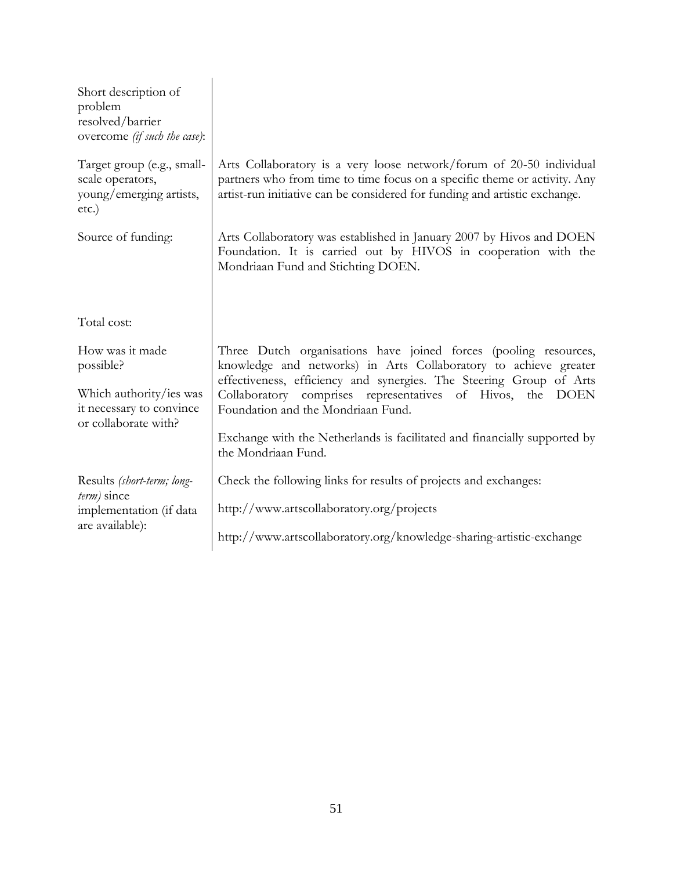| Short description of<br>problem<br>resolved/barrier<br>overcome (if such the case):                         |                                                                                                                                                                                                                                                                                                                 |
|-------------------------------------------------------------------------------------------------------------|-----------------------------------------------------------------------------------------------------------------------------------------------------------------------------------------------------------------------------------------------------------------------------------------------------------------|
| Target group (e.g., small-<br>scale operators,<br>young/emerging artists,<br>$etc.$ )                       | Arts Collaboratory is a very loose network/forum of 20-50 individual<br>partners who from time to time focus on a specific theme or activity. Any<br>artist-run initiative can be considered for funding and artistic exchange.                                                                                 |
| Source of funding:                                                                                          | Arts Collaboratory was established in January 2007 by Hivos and DOEN<br>Foundation. It is carried out by HIVOS in cooperation with the<br>Mondriaan Fund and Stichting DOEN.                                                                                                                                    |
| Total cost:                                                                                                 |                                                                                                                                                                                                                                                                                                                 |
| How was it made<br>possible?<br>Which authority/ies was<br>it necessary to convince<br>or collaborate with? | Three Dutch organisations have joined forces (pooling resources,<br>knowledge and networks) in Arts Collaboratory to achieve greater<br>effectiveness, efficiency and synergies. The Steering Group of Arts<br>Collaboratory comprises representatives of Hivos, the DOEN<br>Foundation and the Mondriaan Fund. |
|                                                                                                             | Exchange with the Netherlands is facilitated and financially supported by<br>the Mondriaan Fund.                                                                                                                                                                                                                |
| Results (short-term; long-                                                                                  | Check the following links for results of projects and exchanges:                                                                                                                                                                                                                                                |
| $term$ ) since<br>implementation (if data                                                                   | http://www.artscollaboratory.org/projects                                                                                                                                                                                                                                                                       |
| are available):                                                                                             | http://www.artscollaboratory.org/knowledge-sharing-artistic-exchange                                                                                                                                                                                                                                            |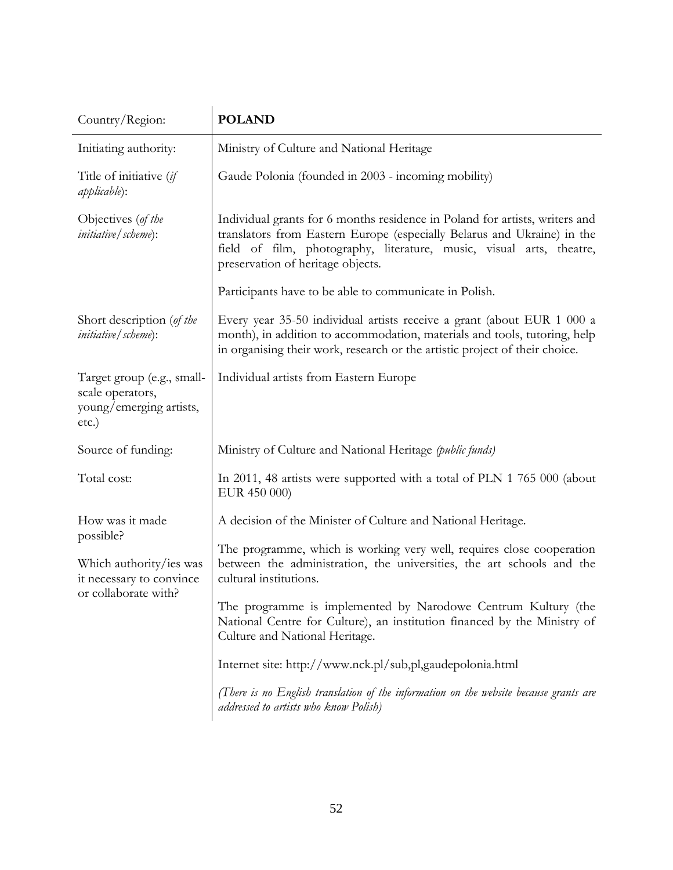| Country/Region:                                                                                             | <b>POLAND</b>                                                                                                                                                                                                                                                       |
|-------------------------------------------------------------------------------------------------------------|---------------------------------------------------------------------------------------------------------------------------------------------------------------------------------------------------------------------------------------------------------------------|
| Initiating authority:                                                                                       | Ministry of Culture and National Heritage                                                                                                                                                                                                                           |
| Title of initiative (if<br><i>applicable</i> ):                                                             | Gaude Polonia (founded in 2003 - incoming mobility)                                                                                                                                                                                                                 |
| Objectives (of the<br><i>initiative</i> / <i>scheme</i> ):                                                  | Individual grants for 6 months residence in Poland for artists, writers and<br>translators from Eastern Europe (especially Belarus and Ukraine) in the<br>field of film, photography, literature, music, visual arts, theatre,<br>preservation of heritage objects. |
|                                                                                                             | Participants have to be able to communicate in Polish.                                                                                                                                                                                                              |
| Short description (of the<br><i>initiative</i> / <i>scheme</i> ):                                           | Every year 35-50 individual artists receive a grant (about EUR 1 000 a<br>month), in addition to accommodation, materials and tools, tutoring, help<br>in organising their work, research or the artistic project of their choice.                                  |
| Target group (e.g., small-<br>scale operators,<br>young/emerging artists,<br>etc.)                          | Individual artists from Eastern Europe                                                                                                                                                                                                                              |
| Source of funding:                                                                                          | Ministry of Culture and National Heritage (public funds)                                                                                                                                                                                                            |
| Total cost:                                                                                                 | In 2011, 48 artists were supported with a total of PLN 1 765 000 (about<br>EUR 450 000)                                                                                                                                                                             |
| How was it made<br>possible?<br>Which authority/ies was<br>it necessary to convince<br>or collaborate with? | A decision of the Minister of Culture and National Heritage.                                                                                                                                                                                                        |
|                                                                                                             | The programme, which is working very well, requires close cooperation<br>between the administration, the universities, the art schools and the<br>cultural institutions.                                                                                            |
|                                                                                                             | The programme is implemented by Narodowe Centrum Kultury (the<br>National Centre for Culture), an institution financed by the Ministry of<br>Culture and National Heritage.                                                                                         |
|                                                                                                             | Internet site: http://www.nck.pl/sub,pl,gaudepolonia.html                                                                                                                                                                                                           |
|                                                                                                             | (There is no English translation of the information on the website because grants are<br>addressed to artists who know Polish)                                                                                                                                      |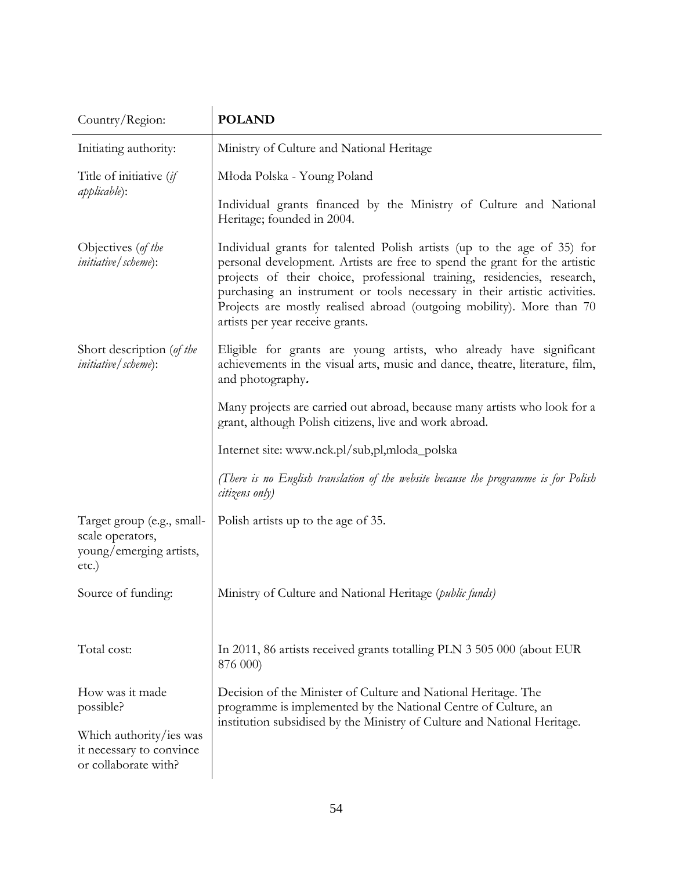| Country/Region:                                                                                             | <b>POLAND</b>                                                                                                                                                                                                                                                                                                                                                                                                              |
|-------------------------------------------------------------------------------------------------------------|----------------------------------------------------------------------------------------------------------------------------------------------------------------------------------------------------------------------------------------------------------------------------------------------------------------------------------------------------------------------------------------------------------------------------|
| Initiating authority:                                                                                       | Ministry of Culture and National Heritage                                                                                                                                                                                                                                                                                                                                                                                  |
| Title of initiative (if<br><i>applicable</i> ):                                                             | Młoda Polska - Young Poland                                                                                                                                                                                                                                                                                                                                                                                                |
|                                                                                                             | Individual grants financed by the Ministry of Culture and National<br>Heritage; founded in 2004.                                                                                                                                                                                                                                                                                                                           |
| Objectives (of the<br><i>initiative</i> / <i>scheme</i> ):                                                  | Individual grants for talented Polish artists (up to the age of 35) for<br>personal development. Artists are free to spend the grant for the artistic<br>projects of their choice, professional training, residencies, research,<br>purchasing an instrument or tools necessary in their artistic activities.<br>Projects are mostly realised abroad (outgoing mobility). More than 70<br>artists per year receive grants. |
| Short description (of the<br><i>initiative</i> / <i>scheme</i> ):                                           | Eligible for grants are young artists, who already have significant<br>achievements in the visual arts, music and dance, theatre, literature, film,<br>and photography.                                                                                                                                                                                                                                                    |
|                                                                                                             | Many projects are carried out abroad, because many artists who look for a<br>grant, although Polish citizens, live and work abroad.                                                                                                                                                                                                                                                                                        |
|                                                                                                             | Internet site: www.nck.pl/sub,pl,mloda_polska                                                                                                                                                                                                                                                                                                                                                                              |
|                                                                                                             | (There is no English translation of the website because the programme is for Polish<br>citizens only)                                                                                                                                                                                                                                                                                                                      |
| Target group (e.g., small-<br>scale operators,<br>young/emerging artists,<br>etc.)                          | Polish artists up to the age of 35.                                                                                                                                                                                                                                                                                                                                                                                        |
| Source of funding:                                                                                          | Ministry of Culture and National Heritage (public funds)                                                                                                                                                                                                                                                                                                                                                                   |
| Total cost:                                                                                                 | In 2011, 86 artists received grants totalling PLN 3 505 000 (about EUR<br>876 000)                                                                                                                                                                                                                                                                                                                                         |
| How was it made<br>possible?<br>Which authority/ies was<br>it necessary to convince<br>or collaborate with? | Decision of the Minister of Culture and National Heritage. The<br>programme is implemented by the National Centre of Culture, an<br>institution subsidised by the Ministry of Culture and National Heritage.                                                                                                                                                                                                               |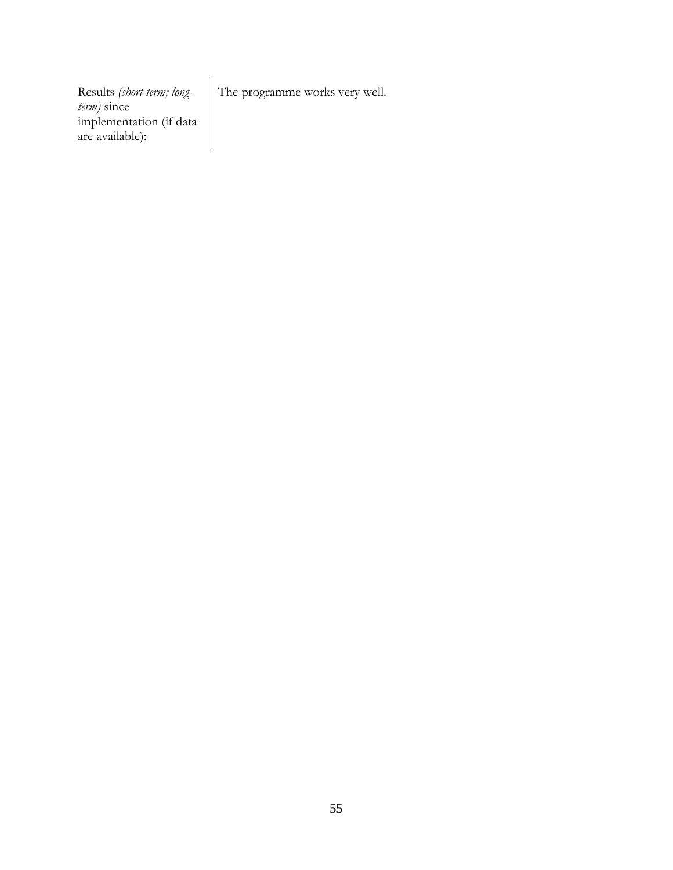The programme works very well.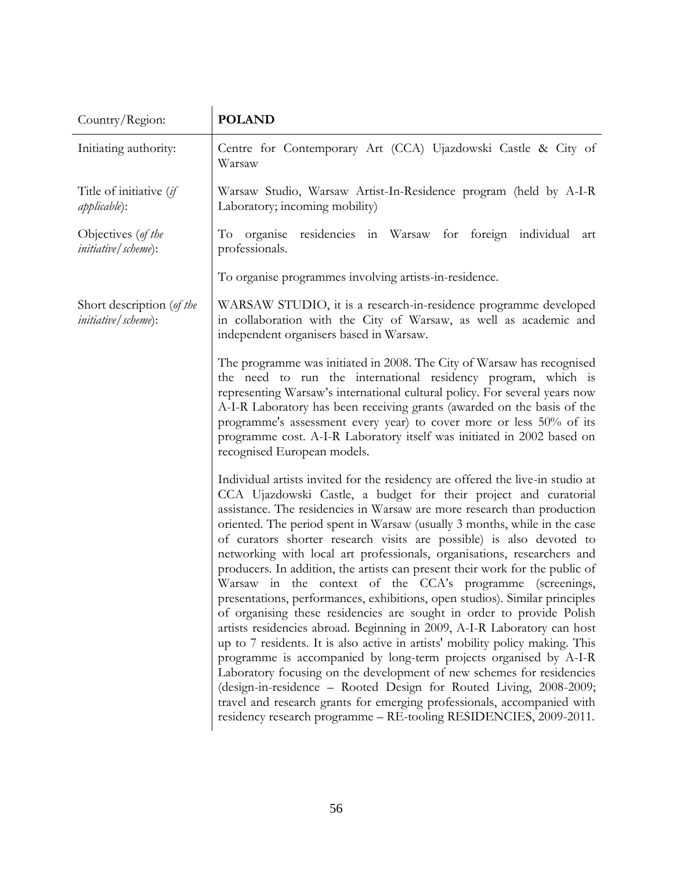| Country/Region:                                                   | <b>POLAND</b>                                                                                                                                                                                                                                                                                                                                                                                                                                                                                                                                                                                                                                                                                                                                                                                                                                                                                                                                                                                                                                                                                                                                                                                                                                                                                       |
|-------------------------------------------------------------------|-----------------------------------------------------------------------------------------------------------------------------------------------------------------------------------------------------------------------------------------------------------------------------------------------------------------------------------------------------------------------------------------------------------------------------------------------------------------------------------------------------------------------------------------------------------------------------------------------------------------------------------------------------------------------------------------------------------------------------------------------------------------------------------------------------------------------------------------------------------------------------------------------------------------------------------------------------------------------------------------------------------------------------------------------------------------------------------------------------------------------------------------------------------------------------------------------------------------------------------------------------------------------------------------------------|
| Initiating authority:                                             | Centre for Contemporary Art (CCA) Ujazdowski Castle & City of<br>Warsaw                                                                                                                                                                                                                                                                                                                                                                                                                                                                                                                                                                                                                                                                                                                                                                                                                                                                                                                                                                                                                                                                                                                                                                                                                             |
| Title of initiative (if<br><i>applicable</i> ):                   | Warsaw Studio, Warsaw Artist-In-Residence program (held by A-I-R<br>Laboratory; incoming mobility)                                                                                                                                                                                                                                                                                                                                                                                                                                                                                                                                                                                                                                                                                                                                                                                                                                                                                                                                                                                                                                                                                                                                                                                                  |
| Objectives (of the<br><i>initiative</i> / <i>scheme</i> ):        | To organise residencies in Warsaw for foreign individual<br>art<br>professionals.                                                                                                                                                                                                                                                                                                                                                                                                                                                                                                                                                                                                                                                                                                                                                                                                                                                                                                                                                                                                                                                                                                                                                                                                                   |
|                                                                   | To organise programmes involving artists-in-residence.                                                                                                                                                                                                                                                                                                                                                                                                                                                                                                                                                                                                                                                                                                                                                                                                                                                                                                                                                                                                                                                                                                                                                                                                                                              |
| Short description (of the<br><i>initiative</i> / <i>scheme</i> ): | WARSAW STUDIO, it is a research-in-residence programme developed<br>in collaboration with the City of Warsaw, as well as academic and<br>independent organisers based in Warsaw.                                                                                                                                                                                                                                                                                                                                                                                                                                                                                                                                                                                                                                                                                                                                                                                                                                                                                                                                                                                                                                                                                                                    |
|                                                                   | The programme was initiated in 2008. The City of Warsaw has recognised<br>the need to run the international residency program, which is<br>representing Warsaw's international cultural policy. For several years now<br>A-I-R Laboratory has been receiving grants (awarded on the basis of the<br>programme's assessment every year) to cover more or less 50% of its<br>programme cost. A-I-R Laboratory itself was initiated in 2002 based on<br>recognised European models.                                                                                                                                                                                                                                                                                                                                                                                                                                                                                                                                                                                                                                                                                                                                                                                                                    |
|                                                                   | Individual artists invited for the residency are offered the live-in studio at<br>CCA Ujazdowski Castle, a budget for their project and curatorial<br>assistance. The residencies in Warsaw are more research than production<br>oriented. The period spent in Warsaw (usually 3 months, while in the case<br>of curators shorter research visits are possible) is also devoted to<br>networking with local art professionals, organisations, researchers and<br>producers. In addition, the artists can present their work for the public of<br>Warsaw in the context of the CCA's programme (screenings,<br>presentations, performances, exhibitions, open studios). Similar principles<br>of organising these residencies are sought in order to provide Polish<br>artists residencies abroad. Beginning in 2009, A-I-R Laboratory can host<br>up to 7 residents. It is also active in artists' mobility policy making. This<br>programme is accompanied by long-term projects organised by A-I-R<br>Laboratory focusing on the development of new schemes for residencies<br>(design-in-residence - Rooted Design for Routed Living, 2008-2009;<br>travel and research grants for emerging professionals, accompanied with<br>residency research programme - RE-tooling RESIDENCIES, 2009-2011. |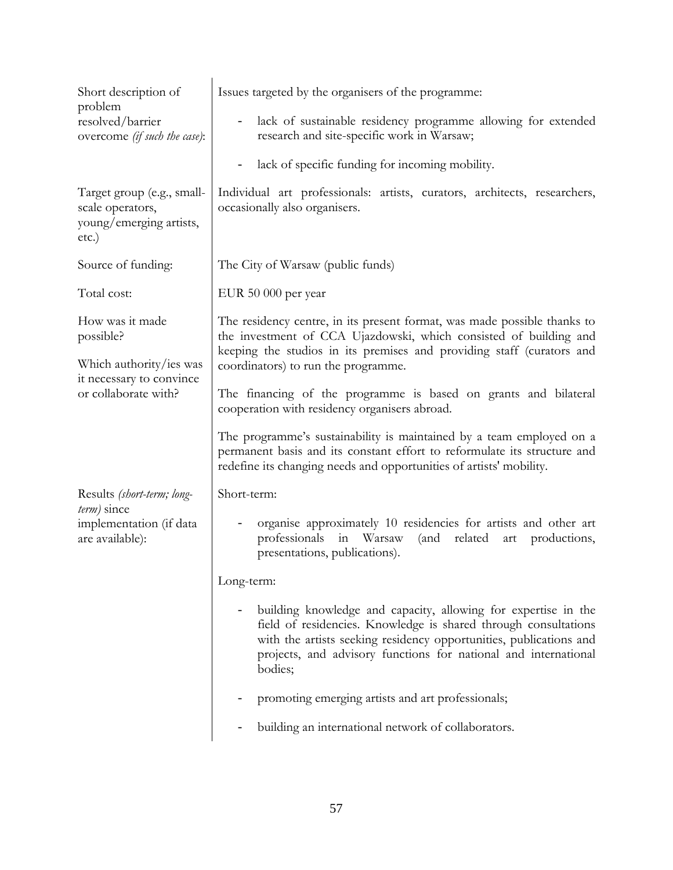| Short description of<br>problem<br>resolved/barrier<br>overcome (if such the case):   | Issues targeted by the organisers of the programme:                                                                                                                                                                                                                                   |
|---------------------------------------------------------------------------------------|---------------------------------------------------------------------------------------------------------------------------------------------------------------------------------------------------------------------------------------------------------------------------------------|
|                                                                                       | lack of sustainable residency programme allowing for extended<br>$\blacksquare$<br>research and site-specific work in Warsaw;                                                                                                                                                         |
|                                                                                       | lack of specific funding for incoming mobility.                                                                                                                                                                                                                                       |
| Target group (e.g., small-<br>scale operators,<br>young/emerging artists,<br>$etc.$ ) | Individual art professionals: artists, curators, architects, researchers,<br>occasionally also organisers.                                                                                                                                                                            |
| Source of funding:                                                                    | The City of Warsaw (public funds)                                                                                                                                                                                                                                                     |
| Total cost:                                                                           | EUR 50 000 per year                                                                                                                                                                                                                                                                   |
| How was it made<br>possible?                                                          | The residency centre, in its present format, was made possible thanks to<br>the investment of CCA Ujazdowski, which consisted of building and<br>keeping the studios in its premises and providing staff (curators and                                                                |
| Which authority/ies was                                                               | coordinators) to run the programme.                                                                                                                                                                                                                                                   |
| it necessary to convince<br>or collaborate with?                                      | The financing of the programme is based on grants and bilateral<br>cooperation with residency organisers abroad.                                                                                                                                                                      |
|                                                                                       | The programme's sustainability is maintained by a team employed on a<br>permanent basis and its constant effort to reformulate its structure and<br>redefine its changing needs and opportunities of artists' mobility.                                                               |
| Results (short-term; long-                                                            | Short-term:                                                                                                                                                                                                                                                                           |
| <i>term</i> ) since<br>implementation (if data<br>are available):                     | organise approximately 10 residencies for artists and other art<br>professionals<br>in Warsaw<br>related<br>(and<br>$\operatorname{\sf art}$<br>productions,<br>presentations, publications).                                                                                         |
|                                                                                       | Long-term:                                                                                                                                                                                                                                                                            |
|                                                                                       | building knowledge and capacity, allowing for expertise in the<br>field of residencies. Knowledge is shared through consultations<br>with the artists seeking residency opportunities, publications and<br>projects, and advisory functions for national and international<br>bodies; |
|                                                                                       | promoting emerging artists and art professionals;                                                                                                                                                                                                                                     |
|                                                                                       | building an international network of collaborators.                                                                                                                                                                                                                                   |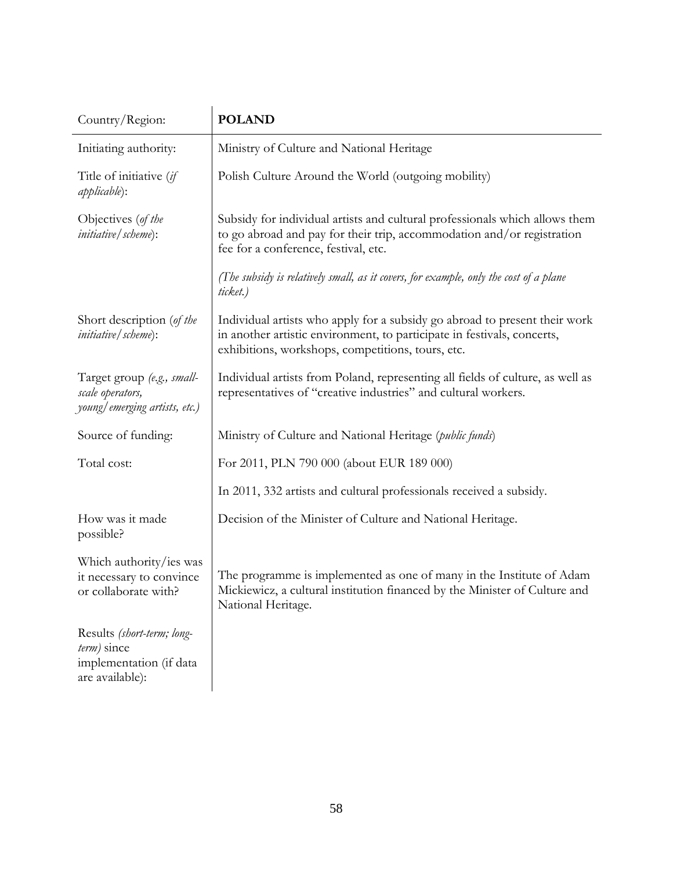| Country/Region:                                                                         | <b>POLAND</b>                                                                                                                                                                                              |
|-----------------------------------------------------------------------------------------|------------------------------------------------------------------------------------------------------------------------------------------------------------------------------------------------------------|
| Initiating authority:                                                                   | Ministry of Culture and National Heritage                                                                                                                                                                  |
| Title of initiative (if<br><i>applicable</i> ):                                         | Polish Culture Around the World (outgoing mobility)                                                                                                                                                        |
| Objectives (of the<br><i>initiative</i> / <i>scheme</i> ):                              | Subsidy for individual artists and cultural professionals which allows them<br>to go abroad and pay for their trip, accommodation and/or registration<br>fee for a conference, festival, etc.              |
|                                                                                         | (The subsidy is relatively small, as it covers, for example, only the cost of a plane<br>ticket.)                                                                                                          |
| Short description (of the<br><i>initiative</i> / <i>scheme</i> ):                       | Individual artists who apply for a subsidy go abroad to present their work<br>in another artistic environment, to participate in festivals, concerts,<br>exhibitions, workshops, competitions, tours, etc. |
| Target group (e.g., small-<br>scale operators,<br>young/emerging artists, etc.)         | Individual artists from Poland, representing all fields of culture, as well as<br>representatives of "creative industries" and cultural workers.                                                           |
| Source of funding:                                                                      | Ministry of Culture and National Heritage ( <i>public funds</i> )                                                                                                                                          |
| Total cost:                                                                             | For 2011, PLN 790 000 (about EUR 189 000)                                                                                                                                                                  |
|                                                                                         | In 2011, 332 artists and cultural professionals received a subsidy.                                                                                                                                        |
| How was it made<br>possible?                                                            | Decision of the Minister of Culture and National Heritage.                                                                                                                                                 |
| Which authority/ies was<br>it necessary to convince<br>or collaborate with?             | The programme is implemented as one of many in the Institute of Adam<br>Mickiewicz, a cultural institution financed by the Minister of Culture and<br>National Heritage.                                   |
| Results (short-term; long-<br>term) since<br>implementation (if data<br>are available): |                                                                                                                                                                                                            |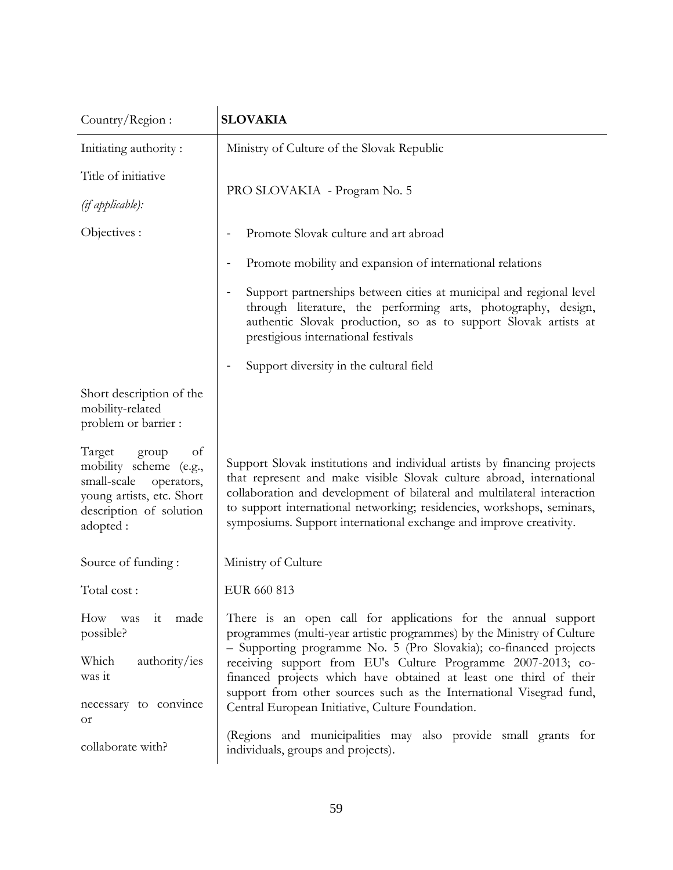| Country/Region:                                                                                                                                  | <b>SLOVAKIA</b>                                                                                                                                                                                                                                                                                                                                                             |
|--------------------------------------------------------------------------------------------------------------------------------------------------|-----------------------------------------------------------------------------------------------------------------------------------------------------------------------------------------------------------------------------------------------------------------------------------------------------------------------------------------------------------------------------|
| Initiating authority:                                                                                                                            | Ministry of Culture of the Slovak Republic                                                                                                                                                                                                                                                                                                                                  |
| Title of initiative                                                                                                                              |                                                                                                                                                                                                                                                                                                                                                                             |
| (if applicable):                                                                                                                                 | PRO SLOVAKIA - Program No. 5                                                                                                                                                                                                                                                                                                                                                |
| Objectives :                                                                                                                                     | Promote Slovak culture and art abroad                                                                                                                                                                                                                                                                                                                                       |
|                                                                                                                                                  | Promote mobility and expansion of international relations                                                                                                                                                                                                                                                                                                                   |
|                                                                                                                                                  | Support partnerships between cities at municipal and regional level<br>through literature, the performing arts, photography, design,<br>authentic Slovak production, so as to support Slovak artists at<br>prestigious international festivals                                                                                                                              |
|                                                                                                                                                  | Support diversity in the cultural field                                                                                                                                                                                                                                                                                                                                     |
| Short description of the<br>mobility-related<br>problem or barrier :                                                                             |                                                                                                                                                                                                                                                                                                                                                                             |
| Target<br>group<br>of<br>mobility scheme (e.g.,<br>small-scale<br>operators,<br>young artists, etc. Short<br>description of solution<br>adopted: | Support Slovak institutions and individual artists by financing projects<br>that represent and make visible Slovak culture abroad, international<br>collaboration and development of bilateral and multilateral interaction<br>to support international networking; residencies, workshops, seminars,<br>symposiums. Support international exchange and improve creativity. |
| Source of funding:                                                                                                                               | Ministry of Culture                                                                                                                                                                                                                                                                                                                                                         |
| Total cost:                                                                                                                                      | EUR 660 813                                                                                                                                                                                                                                                                                                                                                                 |
| it made<br>How was<br>possible?                                                                                                                  | There is an open call for applications for the annual support<br>programmes (multi-year artistic programmes) by the Ministry of Culture<br>- Supporting programme No. 5 (Pro Slovakia); co-financed projects                                                                                                                                                                |
| Which<br>authority/ies<br>was it                                                                                                                 | receiving support from EU's Culture Programme 2007-2013; co-<br>financed projects which have obtained at least one third of their                                                                                                                                                                                                                                           |
| necessary to convince<br><b>or</b>                                                                                                               | support from other sources such as the International Visegrad fund,<br>Central European Initiative, Culture Foundation.                                                                                                                                                                                                                                                     |
| collaborate with?                                                                                                                                | (Regions and municipalities may also provide small grants for<br>individuals, groups and projects).                                                                                                                                                                                                                                                                         |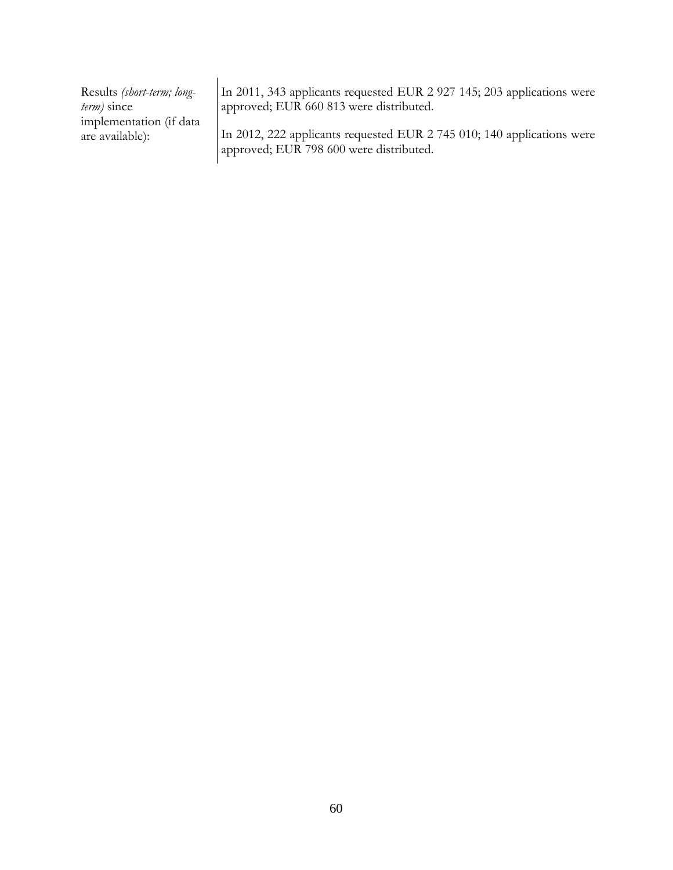In 2011, 343 applicants requested EUR 2 927 145; 203 applications were approved; EUR 660 813 were distributed.

In 2012, 222 applicants requested EUR 2 745 010; 140 applications were approved; EUR 798 600 were distributed.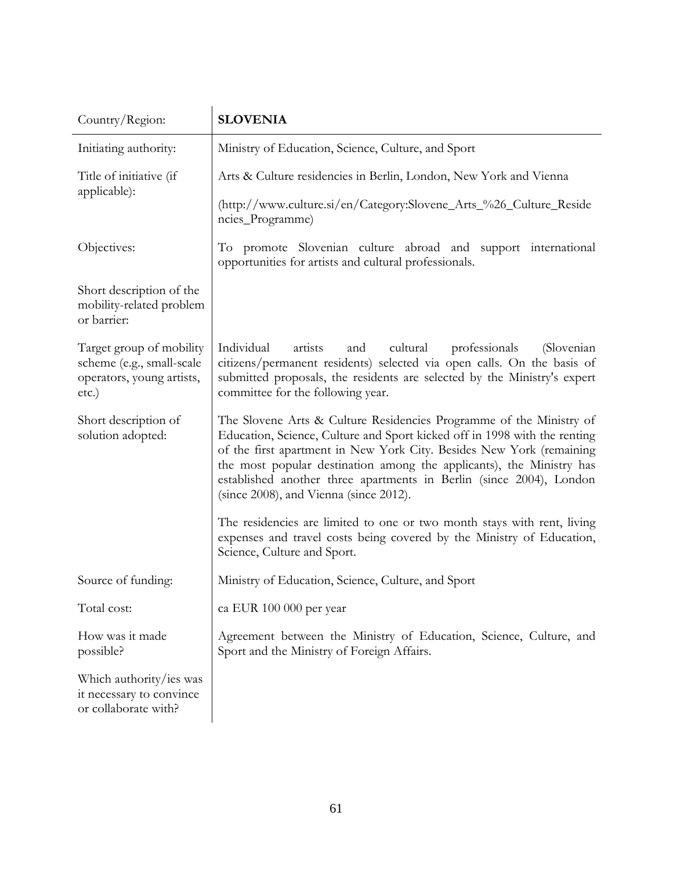| Country/Region:                                                                             | <b>SLOVENIA</b>                                                                                                                                                                                                                                                                                                                                                                                                   |
|---------------------------------------------------------------------------------------------|-------------------------------------------------------------------------------------------------------------------------------------------------------------------------------------------------------------------------------------------------------------------------------------------------------------------------------------------------------------------------------------------------------------------|
| Initiating authority:                                                                       | Ministry of Education, Science, Culture, and Sport                                                                                                                                                                                                                                                                                                                                                                |
| Title of initiative (if<br>applicable):                                                     | Arts & Culture residencies in Berlin, London, New York and Vienna<br>(http://www.culture.si/en/Category:Slovene_Arts_%26_Culture_Reside<br>ncies_Programme)                                                                                                                                                                                                                                                       |
| Objectives:                                                                                 | To promote Slovenian culture abroad and support international<br>opportunities for artists and cultural professionals.                                                                                                                                                                                                                                                                                            |
| Short description of the<br>mobility-related problem<br>or barrier:                         |                                                                                                                                                                                                                                                                                                                                                                                                                   |
| Target group of mobility<br>scheme (e.g., small-scale<br>operators, young artists,<br>etc.) | Individual<br>artists<br>cultural<br>professionals<br>and<br>(Slovenian)<br>citizens/permanent residents) selected via open calls. On the basis of<br>submitted proposals, the residents are selected by the Ministry's expert<br>committee for the following year.                                                                                                                                               |
| Short description of<br>solution adopted:                                                   | The Slovene Arts & Culture Residencies Programme of the Ministry of<br>Education, Science, Culture and Sport kicked off in 1998 with the renting<br>of the first apartment in New York City. Besides New York (remaining<br>the most popular destination among the applicants), the Ministry has<br>established another three apartments in Berlin (since 2004), London<br>(since 2008), and Vienna (since 2012). |
|                                                                                             | The residencies are limited to one or two month stays with rent, living<br>expenses and travel costs being covered by the Ministry of Education,<br>Science, Culture and Sport.                                                                                                                                                                                                                                   |
| Source of funding:                                                                          | Ministry of Education, Science, Culture, and Sport                                                                                                                                                                                                                                                                                                                                                                |
| Total cost:                                                                                 | ca EUR 100 000 per year                                                                                                                                                                                                                                                                                                                                                                                           |
| How was it made<br>possible?                                                                | Agreement between the Ministry of Education, Science, Culture, and<br>Sport and the Ministry of Foreign Affairs.                                                                                                                                                                                                                                                                                                  |
| Which authority/ies was<br>it necessary to convince<br>or collaborate with?                 |                                                                                                                                                                                                                                                                                                                                                                                                                   |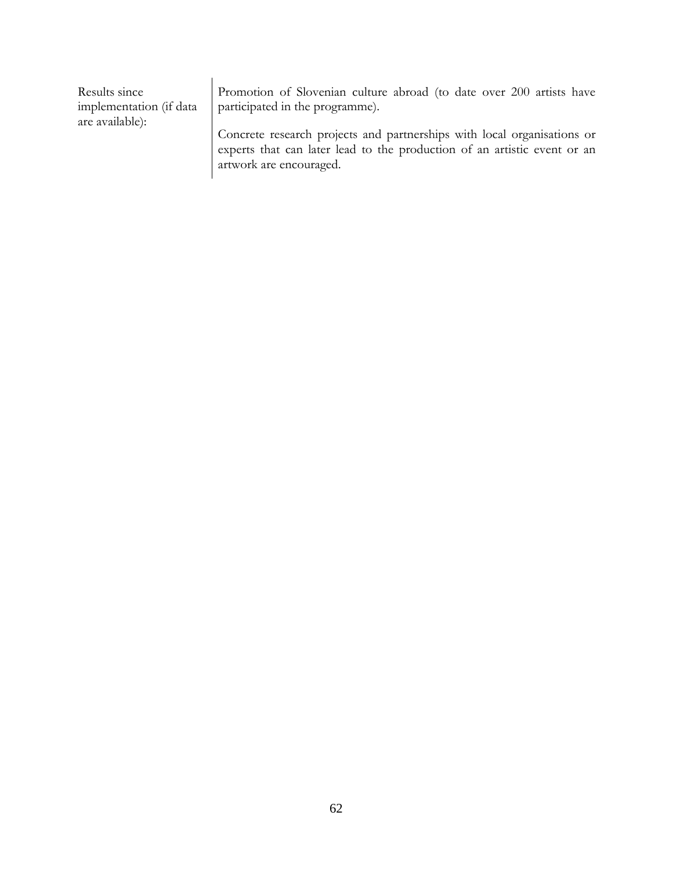| Results since<br>implementation (if data)<br>are available): | Promotion of Slovenian culture abroad (to date over 200 artists have<br>participated in the programme).                                                                        |
|--------------------------------------------------------------|--------------------------------------------------------------------------------------------------------------------------------------------------------------------------------|
|                                                              | Concrete research projects and partnerships with local organisations or<br>experts that can later lead to the production of an artistic event or an<br>artwork are encouraged. |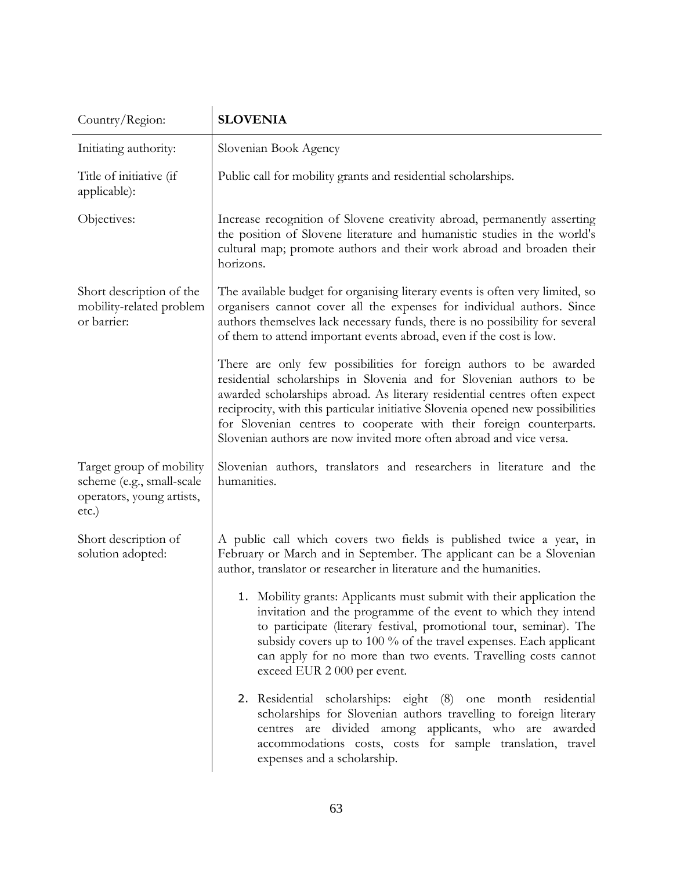| Country/Region:                                                                                | <b>SLOVENIA</b>                                                                                                                                                                                                                                                                                                                                                                                                                                         |
|------------------------------------------------------------------------------------------------|---------------------------------------------------------------------------------------------------------------------------------------------------------------------------------------------------------------------------------------------------------------------------------------------------------------------------------------------------------------------------------------------------------------------------------------------------------|
| Initiating authority:                                                                          | Slovenian Book Agency                                                                                                                                                                                                                                                                                                                                                                                                                                   |
| Title of initiative (if<br>applicable):                                                        | Public call for mobility grants and residential scholarships.                                                                                                                                                                                                                                                                                                                                                                                           |
| Objectives:                                                                                    | Increase recognition of Slovene creativity abroad, permanently asserting<br>the position of Slovene literature and humanistic studies in the world's<br>cultural map; promote authors and their work abroad and broaden their<br>horizons.                                                                                                                                                                                                              |
| Short description of the<br>mobility-related problem<br>or barrier:                            | The available budget for organising literary events is often very limited, so<br>organisers cannot cover all the expenses for individual authors. Since<br>authors themselves lack necessary funds, there is no possibility for several<br>of them to attend important events abroad, even if the cost is low.                                                                                                                                          |
|                                                                                                | There are only few possibilities for foreign authors to be awarded<br>residential scholarships in Slovenia and for Slovenian authors to be<br>awarded scholarships abroad. As literary residential centres often expect<br>reciprocity, with this particular initiative Slovenia opened new possibilities<br>for Slovenian centres to cooperate with their foreign counterparts.<br>Slovenian authors are now invited more often abroad and vice versa. |
| Target group of mobility<br>scheme (e.g., small-scale<br>operators, young artists,<br>$etc.$ ) | Slovenian authors, translators and researchers in literature and the<br>humanities.                                                                                                                                                                                                                                                                                                                                                                     |
| Short description of<br>solution adopted:                                                      | A public call which covers two fields is published twice a year, in<br>February or March and in September. The applicant can be a Slovenian<br>author, translator or researcher in literature and the humanities.                                                                                                                                                                                                                                       |
|                                                                                                | 1. Mobility grants: Applicants must submit with their application the<br>invitation and the programme of the event to which they intend<br>to participate (literary festival, promotional tour, seminar). The<br>subsidy covers up to 100 % of the travel expenses. Each applicant<br>can apply for no more than two events. Travelling costs cannot<br>exceed EUR 2 000 per event.                                                                     |
|                                                                                                | 2. Residential scholarships: eight (8)<br>one month residential<br>scholarships for Slovenian authors travelling to foreign literary<br>centres are divided among applicants, who are awarded<br>accommodations costs, costs for sample translation, travel<br>expenses and a scholarship.                                                                                                                                                              |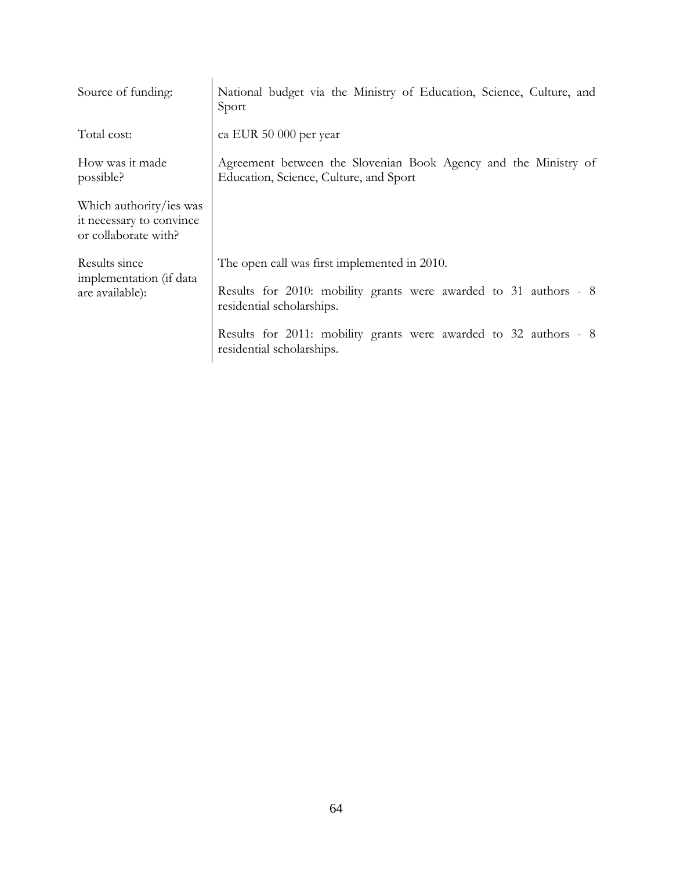| Source of funding:                                                          | National budget via the Ministry of Education, Science, Culture, and<br>Sport                                                                 |
|-----------------------------------------------------------------------------|-----------------------------------------------------------------------------------------------------------------------------------------------|
| Total cost:                                                                 | ca EUR 50 000 per year                                                                                                                        |
| How was it made<br>possible?                                                | Agreement between the Slovenian Book Agency and the Ministry of<br>Education, Science, Culture, and Sport                                     |
| Which authority/ies was<br>it necessary to convince<br>or collaborate with? |                                                                                                                                               |
| Results since<br>implementation (if data<br>are available):                 | The open call was first implemented in 2010.<br>Results for 2010: mobility grants were awarded to 31 authors - 8<br>residential scholarships. |
|                                                                             | Results for 2011: mobility grants were awarded to 32 authors - 8<br>residential scholarships.                                                 |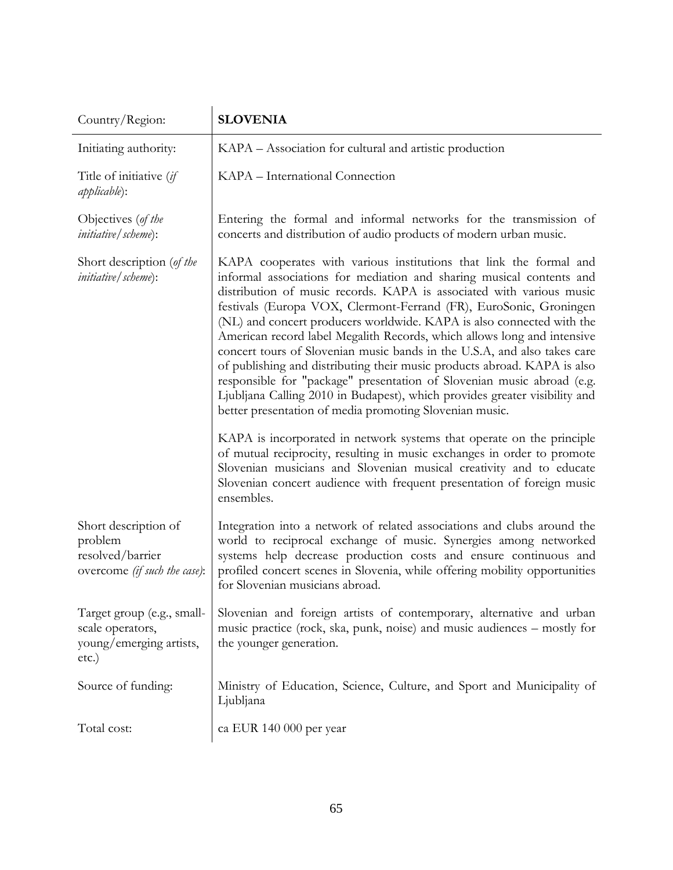| Country/Region:                                                                     | <b>SLOVENIA</b>                                                                                                                                                                                                                                                                                                                                                                                                                                                                                                                                                                                                                                                                                                                                                                                                                                                                                  |
|-------------------------------------------------------------------------------------|--------------------------------------------------------------------------------------------------------------------------------------------------------------------------------------------------------------------------------------------------------------------------------------------------------------------------------------------------------------------------------------------------------------------------------------------------------------------------------------------------------------------------------------------------------------------------------------------------------------------------------------------------------------------------------------------------------------------------------------------------------------------------------------------------------------------------------------------------------------------------------------------------|
| Initiating authority:                                                               | KAPA – Association for cultural and artistic production                                                                                                                                                                                                                                                                                                                                                                                                                                                                                                                                                                                                                                                                                                                                                                                                                                          |
| Title of initiative (if<br><i>applicable</i> ):                                     | KAPA - International Connection                                                                                                                                                                                                                                                                                                                                                                                                                                                                                                                                                                                                                                                                                                                                                                                                                                                                  |
| Objectives (of the<br><i>initiative</i> / <i>scheme</i> ):                          | Entering the formal and informal networks for the transmission of<br>concerts and distribution of audio products of modern urban music.                                                                                                                                                                                                                                                                                                                                                                                                                                                                                                                                                                                                                                                                                                                                                          |
| Short description (of the<br><i>initiative</i> / <i>scheme</i> ):                   | KAPA cooperates with various institutions that link the formal and<br>informal associations for mediation and sharing musical contents and<br>distribution of music records. KAPA is associated with various music<br>festivals (Europa VOX, Clermont-Ferrand (FR), EuroSonic, Groningen<br>(NL) and concert producers worldwide. KAPA is also connected with the<br>American record label Megalith Records, which allows long and intensive<br>concert tours of Slovenian music bands in the U.S.A, and also takes care<br>of publishing and distributing their music products abroad. KAPA is also<br>responsible for "package" presentation of Slovenian music abroad (e.g.<br>Ljubljana Calling 2010 in Budapest), which provides greater visibility and<br>better presentation of media promoting Slovenian music.<br>KAPA is incorporated in network systems that operate on the principle |
|                                                                                     | of mutual reciprocity, resulting in music exchanges in order to promote<br>Slovenian musicians and Slovenian musical creativity and to educate<br>Slovenian concert audience with frequent presentation of foreign music<br>ensembles.                                                                                                                                                                                                                                                                                                                                                                                                                                                                                                                                                                                                                                                           |
| Short description of<br>problem<br>resolved/barrier<br>overcome (if such the case): | Integration into a network of related associations and clubs around the<br>world to reciprocal exchange of music. Synergies among networked<br>systems help decrease production costs and ensure continuous and<br>profiled concert scenes in Slovenia, while offering mobility opportunities<br>for Slovenian musicians abroad.                                                                                                                                                                                                                                                                                                                                                                                                                                                                                                                                                                 |
| Target group (e.g., small-<br>scale operators,<br>young/emerging artists,<br>etc.)  | Slovenian and foreign artists of contemporary, alternative and urban<br>music practice (rock, ska, punk, noise) and music audiences – mostly for<br>the younger generation.                                                                                                                                                                                                                                                                                                                                                                                                                                                                                                                                                                                                                                                                                                                      |
| Source of funding:                                                                  | Ministry of Education, Science, Culture, and Sport and Municipality of<br>Ljubljana                                                                                                                                                                                                                                                                                                                                                                                                                                                                                                                                                                                                                                                                                                                                                                                                              |
| Total cost:                                                                         | ca EUR 140 000 per year                                                                                                                                                                                                                                                                                                                                                                                                                                                                                                                                                                                                                                                                                                                                                                                                                                                                          |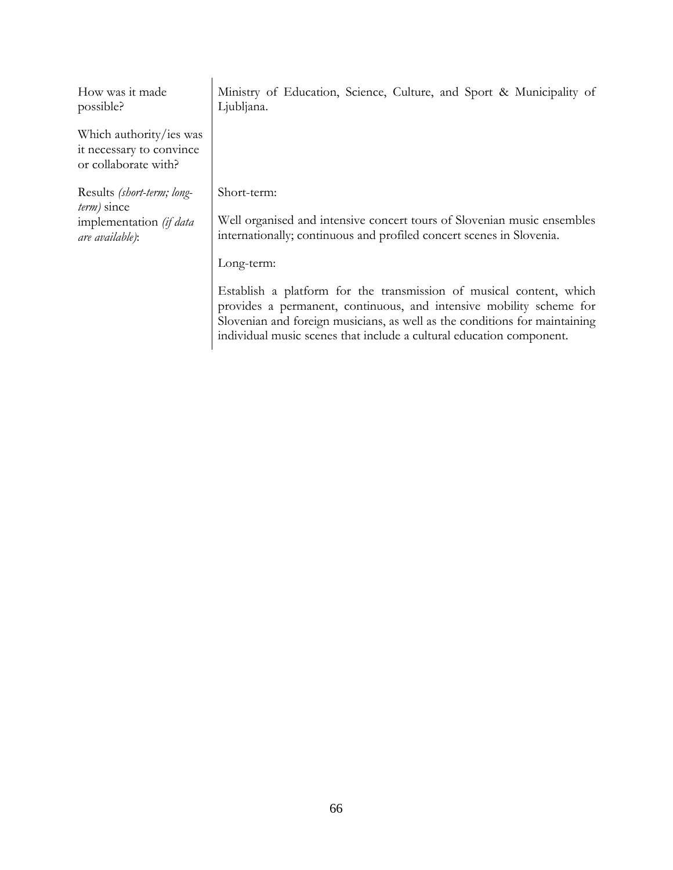| How was it made<br>possible?                                                | Ministry of Education, Science, Culture, and Sport & Municipality of<br>Ljubljana.                                                                                                                                                                                                               |
|-----------------------------------------------------------------------------|--------------------------------------------------------------------------------------------------------------------------------------------------------------------------------------------------------------------------------------------------------------------------------------------------|
| Which authority/ies was<br>it necessary to convince<br>or collaborate with? |                                                                                                                                                                                                                                                                                                  |
| Results (short-term; long-<br><i>term</i> ) since                           | Short-term:                                                                                                                                                                                                                                                                                      |
| implementation (if data<br>are available):                                  | Well organised and intensive concert tours of Slovenian music ensembles<br>internationally; continuous and profiled concert scenes in Slovenia.                                                                                                                                                  |
|                                                                             | Long-term:                                                                                                                                                                                                                                                                                       |
|                                                                             | Establish a platform for the transmission of musical content, which<br>provides a permanent, continuous, and intensive mobility scheme for<br>Slovenian and foreign musicians, as well as the conditions for maintaining<br>individual music scenes that include a cultural education component. |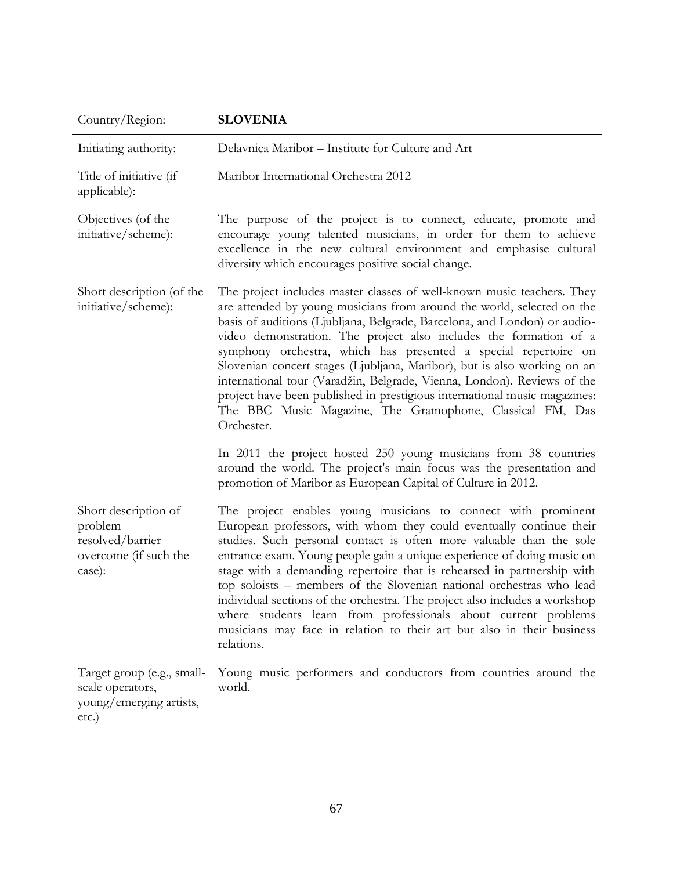| Country/Region:                                                                        | <b>SLOVENIA</b>                                                                                                                                                                                                                                                                                                                                                                                                                                                                                                                                                                                                                                                                      |
|----------------------------------------------------------------------------------------|--------------------------------------------------------------------------------------------------------------------------------------------------------------------------------------------------------------------------------------------------------------------------------------------------------------------------------------------------------------------------------------------------------------------------------------------------------------------------------------------------------------------------------------------------------------------------------------------------------------------------------------------------------------------------------------|
| Initiating authority:                                                                  | Delavnica Maribor - Institute for Culture and Art                                                                                                                                                                                                                                                                                                                                                                                                                                                                                                                                                                                                                                    |
| Title of initiative (if<br>applicable):                                                | Maribor International Orchestra 2012                                                                                                                                                                                                                                                                                                                                                                                                                                                                                                                                                                                                                                                 |
| Objectives (of the<br>initiative/scheme):                                              | The purpose of the project is to connect, educate, promote and<br>encourage young talented musicians, in order for them to achieve<br>excellence in the new cultural environment and emphasise cultural<br>diversity which encourages positive social change.                                                                                                                                                                                                                                                                                                                                                                                                                        |
| Short description (of the<br>initiative/scheme):                                       | The project includes master classes of well-known music teachers. They<br>are attended by young musicians from around the world, selected on the<br>basis of auditions (Ljubljana, Belgrade, Barcelona, and London) or audio-<br>video demonstration. The project also includes the formation of a<br>symphony orchestra, which has presented a special repertoire on<br>Slovenian concert stages (Ljubljana, Maribor), but is also working on an<br>international tour (Varadžin, Belgrade, Vienna, London). Reviews of the<br>project have been published in prestigious international music magazines:<br>The BBC Music Magazine, The Gramophone, Classical FM, Das<br>Orchester. |
|                                                                                        | In 2011 the project hosted 250 young musicians from 38 countries<br>around the world. The project's main focus was the presentation and<br>promotion of Maribor as European Capital of Culture in 2012.                                                                                                                                                                                                                                                                                                                                                                                                                                                                              |
| Short description of<br>problem<br>resolved/barrier<br>overcome (if such the<br>case): | The project enables young musicians to connect with prominent<br>European professors, with whom they could eventually continue their<br>studies. Such personal contact is often more valuable than the sole<br>entrance exam. Young people gain a unique experience of doing music on<br>stage with a demanding repertoire that is rehearsed in partnership with<br>top soloists - members of the Slovenian national orchestras who lead<br>individual sections of the orchestra. The project also includes a workshop<br>where students learn from professionals about current problems<br>musicians may face in relation to their art but also in their business<br>relations.     |
| Target group (e.g., small-<br>scale operators,<br>young/emerging artists,<br>etc.)     | Young music performers and conductors from countries around the<br>world.                                                                                                                                                                                                                                                                                                                                                                                                                                                                                                                                                                                                            |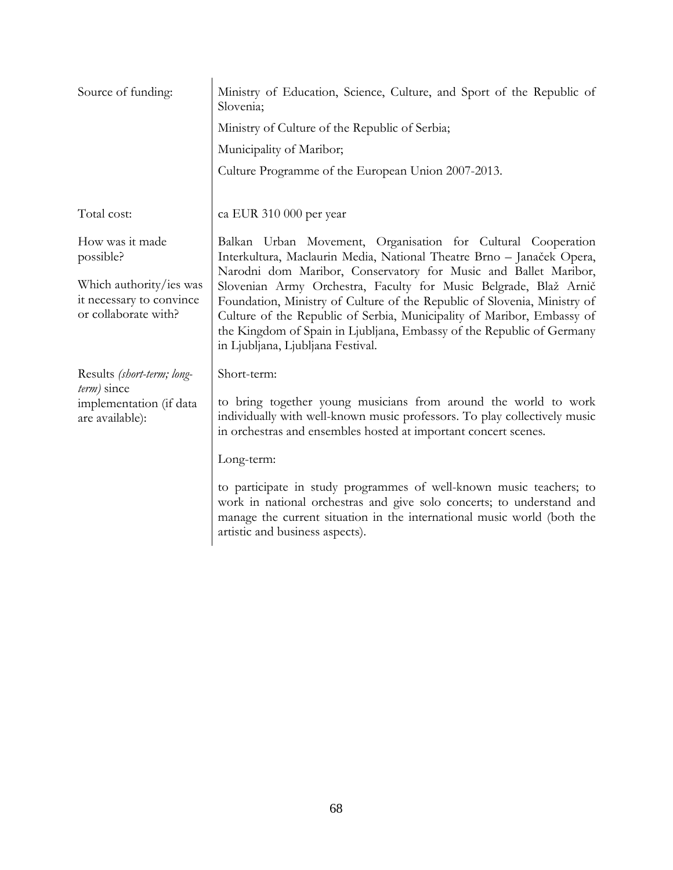| Source of funding:                                                          | Ministry of Education, Science, Culture, and Sport of the Republic of<br>Slovenia;                                                                                                                                                                                                                                                   |
|-----------------------------------------------------------------------------|--------------------------------------------------------------------------------------------------------------------------------------------------------------------------------------------------------------------------------------------------------------------------------------------------------------------------------------|
|                                                                             | Ministry of Culture of the Republic of Serbia;                                                                                                                                                                                                                                                                                       |
|                                                                             | Municipality of Maribor;                                                                                                                                                                                                                                                                                                             |
|                                                                             | Culture Programme of the European Union 2007-2013.                                                                                                                                                                                                                                                                                   |
| Total cost:                                                                 | ca EUR 310 000 per year                                                                                                                                                                                                                                                                                                              |
| How was it made<br>possible?                                                | Balkan Urban Movement, Organisation for Cultural Cooperation<br>Interkultura, Maclaurin Media, National Theatre Brno - Janaček Opera,<br>Narodni dom Maribor, Conservatory for Music and Ballet Maribor,                                                                                                                             |
| Which authority/ies was<br>it necessary to convince<br>or collaborate with? | Slovenian Army Orchestra, Faculty for Music Belgrade, Blaž Arnič<br>Foundation, Ministry of Culture of the Republic of Slovenia, Ministry of<br>Culture of the Republic of Serbia, Municipality of Maribor, Embassy of<br>the Kingdom of Spain in Ljubljana, Embassy of the Republic of Germany<br>in Ljubljana, Ljubljana Festival. |
| Results (short-term; long-                                                  | Short-term:                                                                                                                                                                                                                                                                                                                          |
| term) since<br>implementation (if data<br>are available):                   | to bring together young musicians from around the world to work<br>individually with well-known music professors. To play collectively music<br>in orchestras and ensembles hosted at important concert scenes.                                                                                                                      |
|                                                                             | Long-term:                                                                                                                                                                                                                                                                                                                           |
|                                                                             | to participate in study programmes of well-known music teachers; to<br>work in national orchestras and give solo concerts; to understand and<br>manage the current situation in the international music world (both the<br>artistic and business aspects).                                                                           |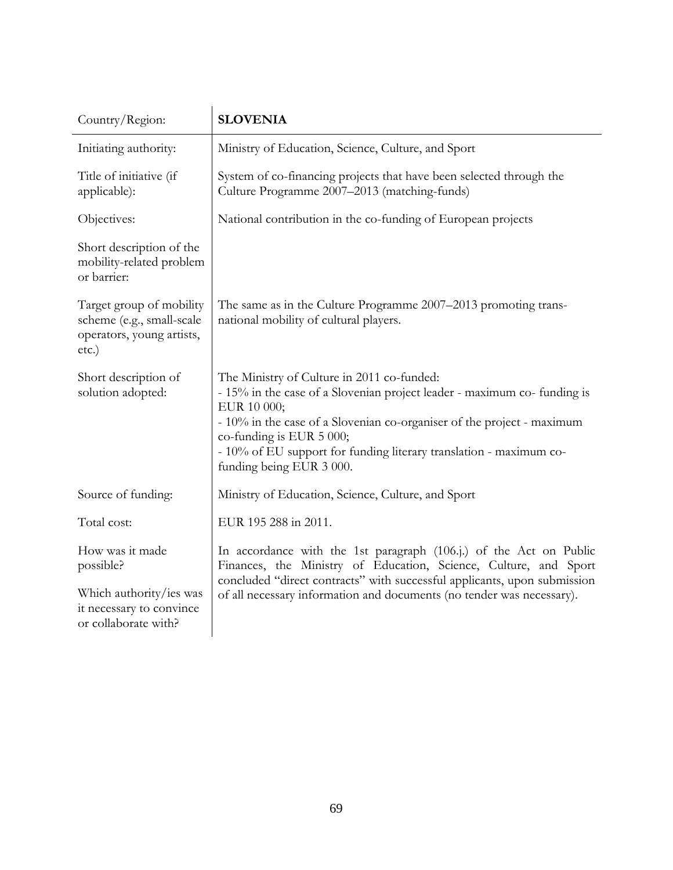| Country/Region:                                                                                | <b>SLOVENIA</b>                                                                                                                                                                                                                                                                                                                               |
|------------------------------------------------------------------------------------------------|-----------------------------------------------------------------------------------------------------------------------------------------------------------------------------------------------------------------------------------------------------------------------------------------------------------------------------------------------|
| Initiating authority:                                                                          | Ministry of Education, Science, Culture, and Sport                                                                                                                                                                                                                                                                                            |
| Title of initiative (if<br>applicable):                                                        | System of co-financing projects that have been selected through the<br>Culture Programme 2007-2013 (matching-funds)                                                                                                                                                                                                                           |
| Objectives:                                                                                    | National contribution in the co-funding of European projects                                                                                                                                                                                                                                                                                  |
| Short description of the<br>mobility-related problem<br>or barrier:                            |                                                                                                                                                                                                                                                                                                                                               |
| Target group of mobility<br>scheme (e.g., small-scale<br>operators, young artists,<br>$etc.$ ) | The same as in the Culture Programme 2007–2013 promoting trans-<br>national mobility of cultural players.                                                                                                                                                                                                                                     |
| Short description of<br>solution adopted:                                                      | The Ministry of Culture in 2011 co-funded:<br>- 15% in the case of a Slovenian project leader - maximum co- funding is<br>EUR 10 000;<br>- 10% in the case of a Slovenian co-organiser of the project - maximum<br>co-funding is EUR 5 000;<br>- 10% of EU support for funding literary translation - maximum co-<br>funding being EUR 3 000. |
| Source of funding:                                                                             | Ministry of Education, Science, Culture, and Sport                                                                                                                                                                                                                                                                                            |
| Total cost:                                                                                    | EUR 195 288 in 2011.                                                                                                                                                                                                                                                                                                                          |
| How was it made<br>possible?                                                                   | In accordance with the 1st paragraph (106.j.) of the Act on Public<br>Finances, the Ministry of Education, Science, Culture, and Sport<br>concluded "direct contracts" with successful applicants, upon submission<br>of all necessary information and documents (no tender was necessary).                                                   |
| Which authority/ies was<br>it necessary to convince<br>or collaborate with?                    |                                                                                                                                                                                                                                                                                                                                               |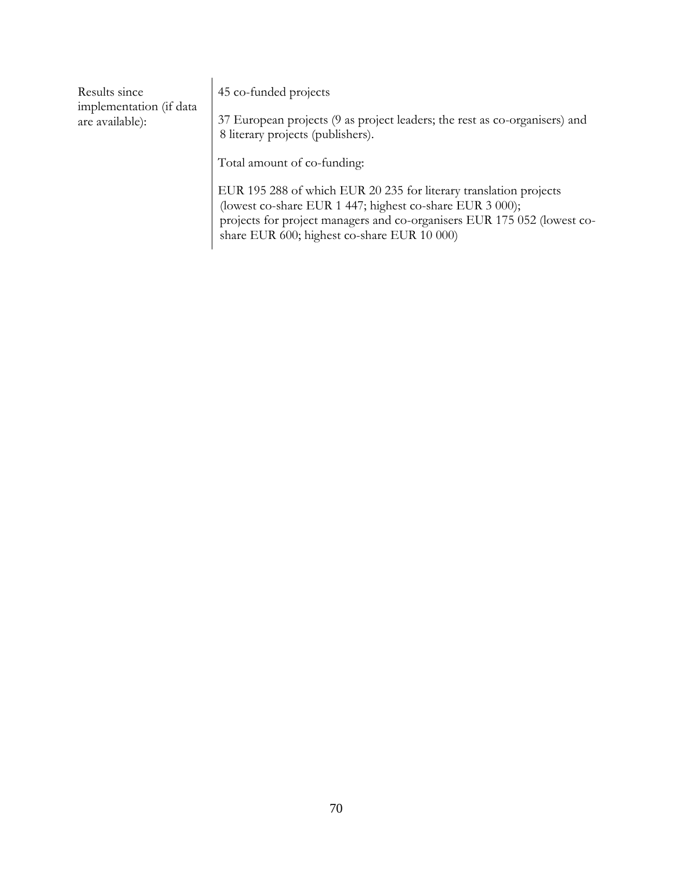| Results since<br>implementation (if data<br>are available): | 45 co-funded projects<br>37 European projects (9 as project leaders; the rest as co-organisers) and<br>8 literary projects (publishers).                                                                                                                |
|-------------------------------------------------------------|---------------------------------------------------------------------------------------------------------------------------------------------------------------------------------------------------------------------------------------------------------|
|                                                             | Total amount of co-funding:                                                                                                                                                                                                                             |
|                                                             | EUR 195 288 of which EUR 20 235 for literary translation projects<br>(lowest co-share EUR 1 447; highest co-share EUR 3 000);<br>projects for project managers and co-organisers EUR 175 052 (lowest co-<br>share EUR 600; highest co-share EUR 10 000) |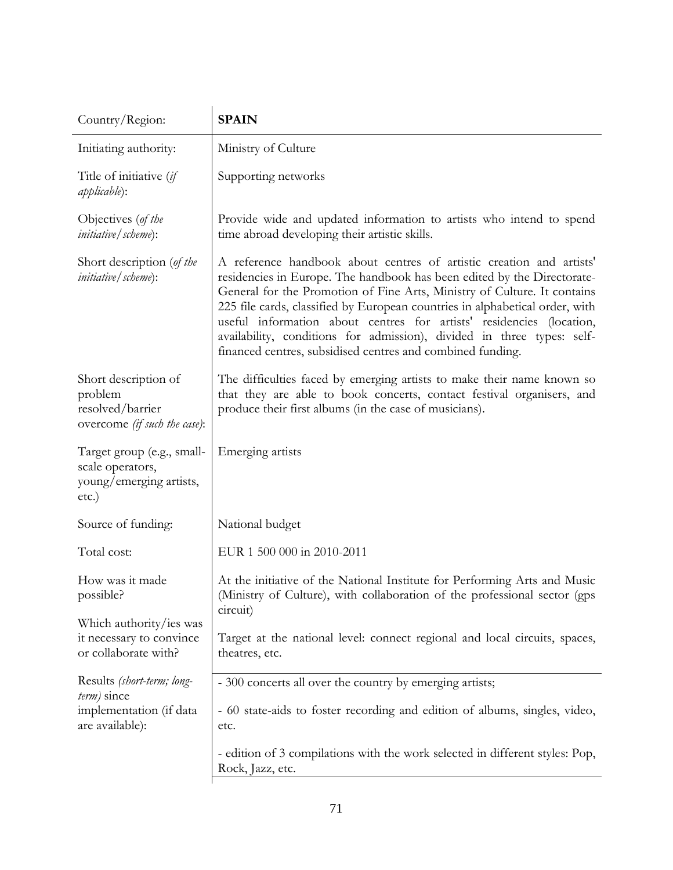| Country/Region:                                                                         | <b>SPAIN</b>                                                                                                                                                                                                                                                                                                                                                                                                                                                                                                                |
|-----------------------------------------------------------------------------------------|-----------------------------------------------------------------------------------------------------------------------------------------------------------------------------------------------------------------------------------------------------------------------------------------------------------------------------------------------------------------------------------------------------------------------------------------------------------------------------------------------------------------------------|
| Initiating authority:                                                                   | Ministry of Culture                                                                                                                                                                                                                                                                                                                                                                                                                                                                                                         |
| Title of initiative (if<br><i>applicable</i> ):                                         | Supporting networks                                                                                                                                                                                                                                                                                                                                                                                                                                                                                                         |
| Objectives (of the<br><i>initiative</i> / <i>scheme</i> ):                              | Provide wide and updated information to artists who intend to spend<br>time abroad developing their artistic skills.                                                                                                                                                                                                                                                                                                                                                                                                        |
| Short description (of the<br><i>initiative</i> / <i>scheme</i> ):                       | A reference handbook about centres of artistic creation and artists'<br>residencies in Europe. The handbook has been edited by the Directorate-<br>General for the Promotion of Fine Arts, Ministry of Culture. It contains<br>225 file cards, classified by European countries in alphabetical order, with<br>useful information about centres for artists' residencies (location,<br>availability, conditions for admission), divided in three types: self-<br>financed centres, subsidised centres and combined funding. |
| Short description of<br>problem<br>resolved/barrier<br>overcome (if such the case):     | The difficulties faced by emerging artists to make their name known so<br>that they are able to book concerts, contact festival organisers, and<br>produce their first albums (in the case of musicians).                                                                                                                                                                                                                                                                                                                   |
| Target group (e.g., small-<br>scale operators,<br>young/emerging artists,<br>etc.)      | Emerging artists                                                                                                                                                                                                                                                                                                                                                                                                                                                                                                            |
| Source of funding:                                                                      | National budget                                                                                                                                                                                                                                                                                                                                                                                                                                                                                                             |
| Total cost:                                                                             | EUR 1 500 000 in 2010-2011                                                                                                                                                                                                                                                                                                                                                                                                                                                                                                  |
| How was it made<br>possible?                                                            | At the initiative of the National Institute for Performing Arts and Music<br>(Ministry of Culture), with collaboration of the professional sector (gps<br>circuit)                                                                                                                                                                                                                                                                                                                                                          |
| Which authority/ies was<br>it necessary to convince<br>or collaborate with?             | Target at the national level: connect regional and local circuits, spaces,<br>theatres, etc.                                                                                                                                                                                                                                                                                                                                                                                                                                |
| Results (short-term; long-<br>term) since<br>implementation (if data<br>are available): | - 300 concerts all over the country by emerging artists;                                                                                                                                                                                                                                                                                                                                                                                                                                                                    |
|                                                                                         | - 60 state-aids to foster recording and edition of albums, singles, video,<br>etc.                                                                                                                                                                                                                                                                                                                                                                                                                                          |
|                                                                                         | - edition of 3 compilations with the work selected in different styles: Pop,<br>Rock, Jazz, etc.                                                                                                                                                                                                                                                                                                                                                                                                                            |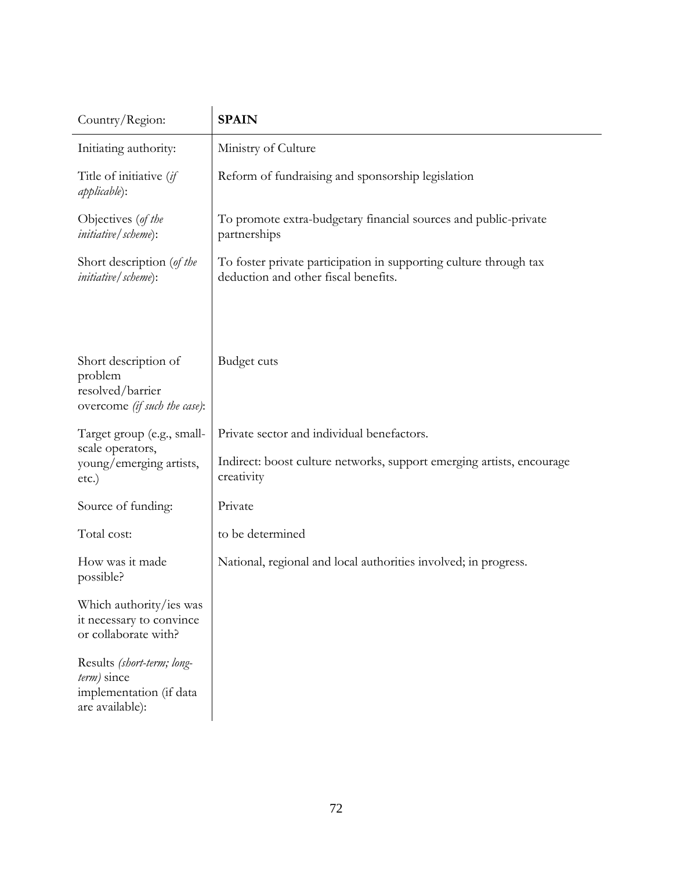| Country/Region:                                                                         | <b>SPAIN</b>                                                                                                                      |
|-----------------------------------------------------------------------------------------|-----------------------------------------------------------------------------------------------------------------------------------|
| Initiating authority:                                                                   | Ministry of Culture                                                                                                               |
| Title of initiative (if<br>applicable):                                                 | Reform of fundraising and sponsorship legislation                                                                                 |
| Objectives (of the<br><i>initiative</i> / <i>scheme</i> ):                              | To promote extra-budgetary financial sources and public-private<br>partnerships                                                   |
| Short description (of the<br><i>initiative</i> / <i>scheme</i> ):                       | To foster private participation in supporting culture through tax<br>deduction and other fiscal benefits.                         |
| Short description of<br>problem<br>resolved/barrier<br>overcome (if such the case):     | Budget cuts                                                                                                                       |
| Target group (e.g., small-<br>scale operators,<br>young/emerging artists,<br>etc.)      | Private sector and individual benefactors.<br>Indirect: boost culture networks, support emerging artists, encourage<br>creativity |
| Source of funding:                                                                      | Private                                                                                                                           |
| Total cost:                                                                             | to be determined                                                                                                                  |
| How was it made<br>possible?                                                            | National, regional and local authorities involved; in progress.                                                                   |
| Which authority/ies was<br>it necessary to convince<br>or collaborate with?             |                                                                                                                                   |
| Results (short-term; long-<br>term) since<br>implementation (if data<br>are available): |                                                                                                                                   |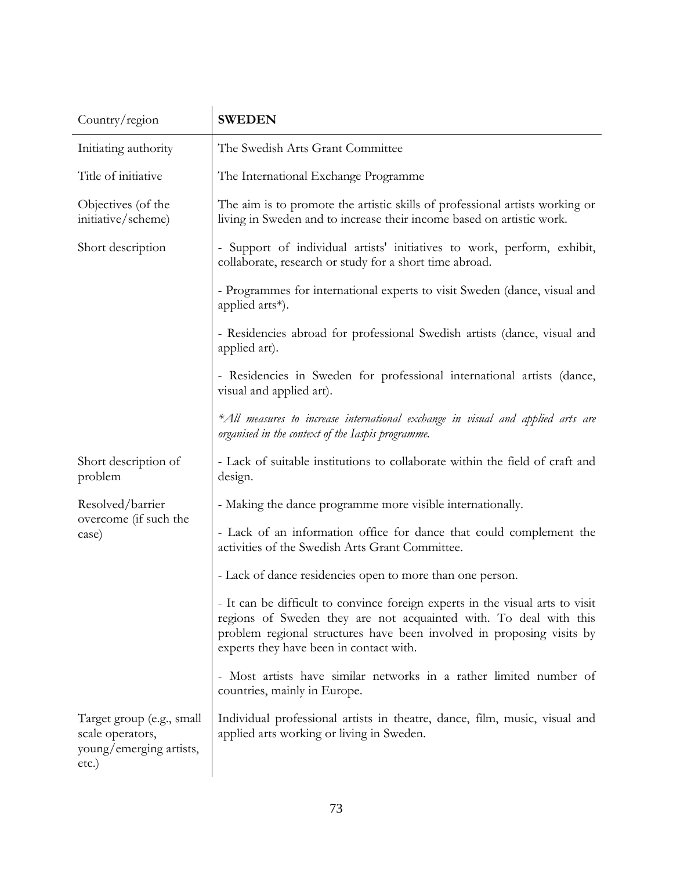| Country/region                                                                    | <b>SWEDEN</b>                                                                                                                                                                                                                                                          |
|-----------------------------------------------------------------------------------|------------------------------------------------------------------------------------------------------------------------------------------------------------------------------------------------------------------------------------------------------------------------|
| Initiating authority                                                              | The Swedish Arts Grant Committee                                                                                                                                                                                                                                       |
| Title of initiative                                                               | The International Exchange Programme                                                                                                                                                                                                                                   |
| Objectives (of the<br>initiative/scheme)                                          | The aim is to promote the artistic skills of professional artists working or<br>living in Sweden and to increase their income based on artistic work.                                                                                                                  |
| Short description                                                                 | - Support of individual artists' initiatives to work, perform, exhibit,<br>collaborate, research or study for a short time abroad.                                                                                                                                     |
|                                                                                   | - Programmes for international experts to visit Sweden (dance, visual and<br>applied arts*).                                                                                                                                                                           |
|                                                                                   | - Residencies abroad for professional Swedish artists (dance, visual and<br>applied art).                                                                                                                                                                              |
|                                                                                   | - Residencies in Sweden for professional international artists (dance,<br>visual and applied art).                                                                                                                                                                     |
|                                                                                   | *All measures to increase international exchange in visual and applied arts are<br>organised in the context of the Iaspis programme.                                                                                                                                   |
| Short description of<br>problem                                                   | - Lack of suitable institutions to collaborate within the field of craft and<br>design.                                                                                                                                                                                |
| Resolved/barrier<br>overcome (if such the<br>case)                                | - Making the dance programme more visible internationally.                                                                                                                                                                                                             |
|                                                                                   | - Lack of an information office for dance that could complement the<br>activities of the Swedish Arts Grant Committee.                                                                                                                                                 |
|                                                                                   | - Lack of dance residencies open to more than one person.                                                                                                                                                                                                              |
|                                                                                   | - It can be difficult to convince foreign experts in the visual arts to visit<br>regions of Sweden they are not acquainted with. To deal with this<br>problem regional structures have been involved in proposing visits by<br>experts they have been in contact with. |
|                                                                                   | - Most artists have similar networks in a rather limited number of<br>countries, mainly in Europe.                                                                                                                                                                     |
| Target group (e.g., small<br>scale operators,<br>young/emerging artists,<br>etc.) | Individual professional artists in theatre, dance, film, music, visual and<br>applied arts working or living in Sweden.                                                                                                                                                |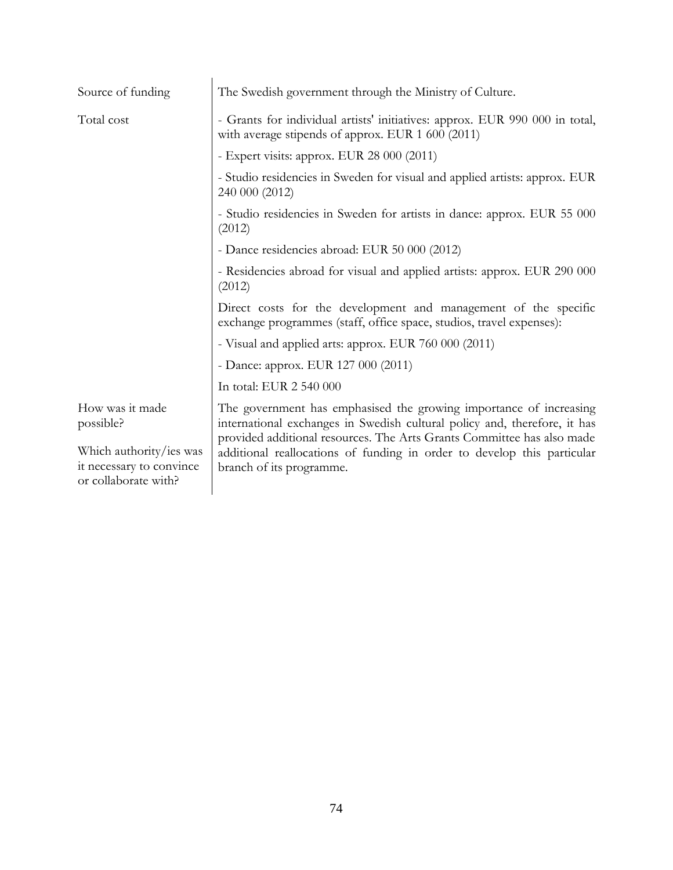| Source of funding                                                           | The Swedish government through the Ministry of Culture.                                                                                                                                                                                                                                                                          |
|-----------------------------------------------------------------------------|----------------------------------------------------------------------------------------------------------------------------------------------------------------------------------------------------------------------------------------------------------------------------------------------------------------------------------|
| Total cost                                                                  | - Grants for individual artists' initiatives: approx. EUR 990 000 in total,<br>with average stipends of approx. EUR 1 600 (2011)                                                                                                                                                                                                 |
|                                                                             | - Expert visits: approx. EUR 28 000 (2011)                                                                                                                                                                                                                                                                                       |
|                                                                             | - Studio residencies in Sweden for visual and applied artists: approx. EUR<br>240 000 (2012)                                                                                                                                                                                                                                     |
|                                                                             | - Studio residencies in Sweden for artists in dance: approx. EUR 55 000<br>(2012)                                                                                                                                                                                                                                                |
|                                                                             | - Dance residencies abroad: EUR 50 000 (2012)                                                                                                                                                                                                                                                                                    |
|                                                                             | - Residencies abroad for visual and applied artists: approx. EUR 290 000<br>(2012)                                                                                                                                                                                                                                               |
|                                                                             | Direct costs for the development and management of the specific<br>exchange programmes (staff, office space, studios, travel expenses):                                                                                                                                                                                          |
|                                                                             | - Visual and applied arts: approx. EUR 760 000 (2011)                                                                                                                                                                                                                                                                            |
|                                                                             | - Dance: approx. EUR 127 000 (2011)                                                                                                                                                                                                                                                                                              |
|                                                                             | In total: EUR 2 540 000                                                                                                                                                                                                                                                                                                          |
| How was it made<br>possible?                                                | The government has emphasised the growing importance of increasing<br>international exchanges in Swedish cultural policy and, therefore, it has<br>provided additional resources. The Arts Grants Committee has also made<br>additional reallocations of funding in order to develop this particular<br>branch of its programme. |
| Which authority/ies was<br>it necessary to convince<br>or collaborate with? |                                                                                                                                                                                                                                                                                                                                  |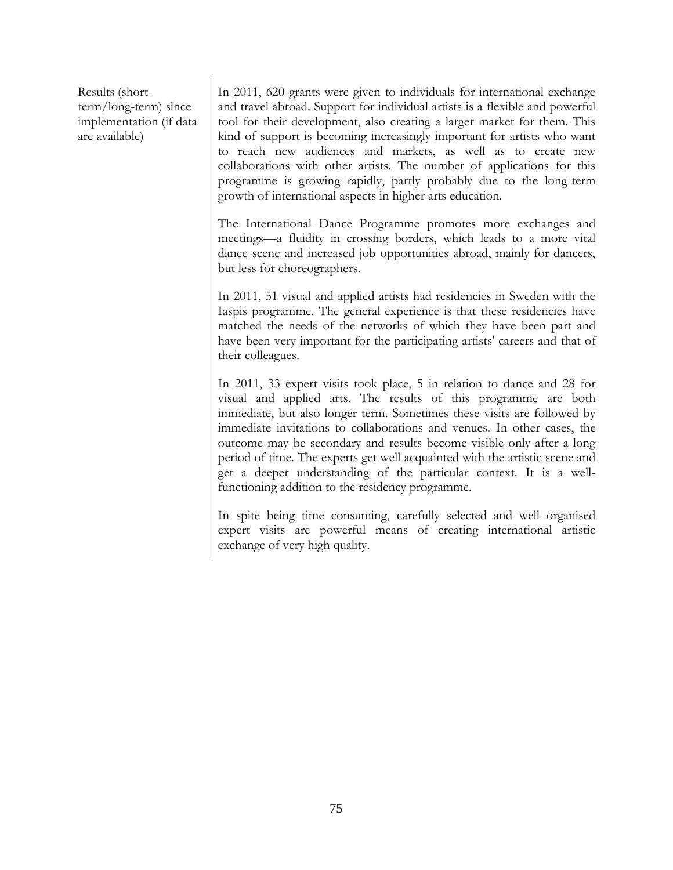Results (shortterm/long-term) since implementation (if data are available)

In 2011, 620 grants were given to individuals for international exchange and travel abroad. Support for individual artists is a flexible and powerful tool for their development, also creating a larger market for them. This kind of support is becoming increasingly important for artists who want to reach new audiences and markets, as well as to create new collaborations with other artists. The number of applications for this programme is growing rapidly, partly probably due to the long-term growth of international aspects in higher arts education.

The International Dance Programme promotes more exchanges and meetings—a fluidity in crossing borders, which leads to a more vital dance scene and increased job opportunities abroad, mainly for dancers, but less for choreographers.

In 2011, 51 visual and applied artists had residencies in Sweden with the Iaspis programme. The general experience is that these residencies have matched the needs of the networks of which they have been part and have been very important for the participating artists' careers and that of their colleagues.

In 2011, 33 expert visits took place, 5 in relation to dance and 28 for visual and applied arts. The results of this programme are both immediate, but also longer term. Sometimes these visits are followed by immediate invitations to collaborations and venues. In other cases, the outcome may be secondary and results become visible only after a long period of time. The experts get well acquainted with the artistic scene and get a deeper understanding of the particular context. It is a wellfunctioning addition to the residency programme.

In spite being time consuming, carefully selected and well organised expert visits are powerful means of creating international artistic exchange of very high quality.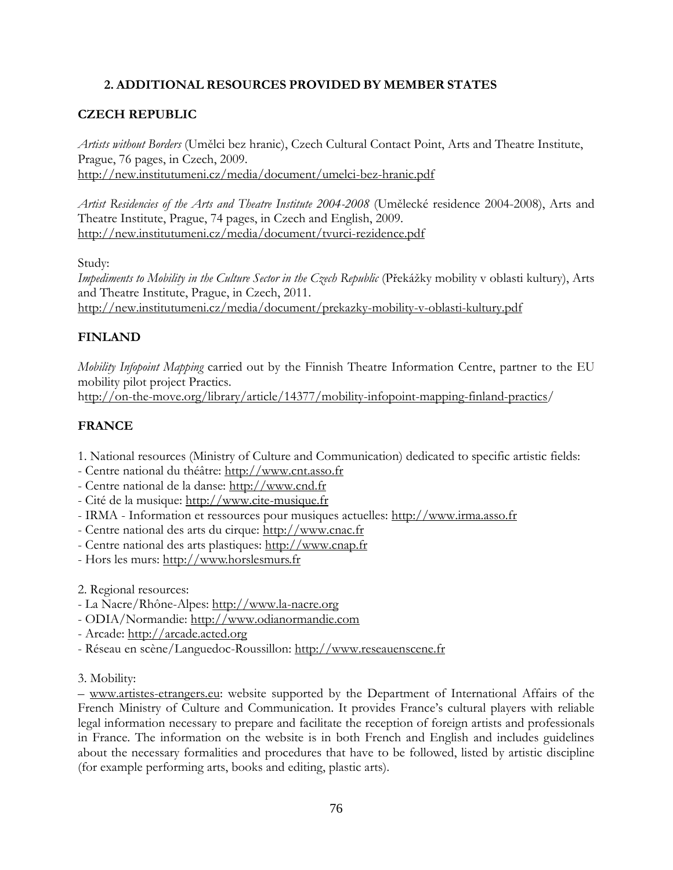# **2. ADDITIONAL RESOURCES PROVIDED BY MEMBER STATES**

### **CZECH REPUBLIC**

*Artists without Borders* (Umělci bez hranic), Czech Cultural Contact Point, Arts and Theatre Institute, Prague, 76 pages, in Czech, 2009. <http://new.institutumeni.cz/media/document/umelci-bez-hranic.pdf>

*Artist Residencies of the Arts and Theatre Institute 2004-2008* (Umělecké residence 2004-2008), Arts and Theatre Institute, Prague, 74 pages, in Czech and English, 2009. <http://new.institutumeni.cz/media/document/tvurci-rezidence.pdf>

Study:

*Impediments to Mobility in the Culture Sector in the Czech Republic* (Překážky mobility v oblasti kultury), Arts and Theatre Institute, Prague, in Czech, 2011. <http://new.institutumeni.cz/media/document/prekazky-mobility-v-oblasti-kultury.pdf>

#### **FINLAND**

*Mobility Infopoint Mapping* carried out by the Finnish Theatre Information Centre, partner to the EU mobility pilot project [Practics.](http://www.practics.org/) <http://on-the-move.org/library/article/14377/mobility-infopoint-mapping-finland-practics/>

## **FRANCE**

1. National resources (Ministry of Culture and Communication) dedicated to specific artistic fields:

- Centre national du théâtre: [http://www.cnt.asso.fr](http://www.cnt.asso.fr/)
- Centre national de la danse: [http://www.cnd.fr](http://www.cnd.fr/)
- Cité de la musique: [http://www.cite-musique.fr](http://www.cite-musique.fr/)
- IRMA Information et ressources pour musiques actuelles: [http://www.irma.asso.fr](http://www.irma.asso.fr/)
- Centre national des arts du cirque: [http://www.cnac.fr](http://www.cnac.fr/)
- Centre national des arts plastiques: [http://www.cnap.fr](http://www.cnap.fr/)
- Hors les murs: [http://www.horslesmurs.fr](http://www.horslesmurs.fr/)

2. Regional resources:

- La Nacre/Rhône-Alpes: [http://www.la-nacre.org](http://www.la-nacre.org/)
- ODIA/Normandie: [http://www.odianormandie.com](http://www.odianormandie.com/)
- Arcade: [http://arcade.acted.org](http://arcade.acted.org/)
- Réseau en scène/Languedoc-Roussillon: [http://www.reseauenscene.fr](http://www.reseauenscene.fr/)
- 3. Mobility:

– [www.artistes-etrangers.eu:](http://www.artistes-etrangers.eu/) website supported by the Department of International Affairs of the French Ministry of Culture and Communication. It provides France's cultural players with reliable legal information necessary to prepare and facilitate the reception of foreign artists and professionals in France. The information on the website is in both French and English and includes guidelines about the necessary formalities and procedures that have to be followed, listed by artistic discipline (for example performing arts, books and editing, plastic arts).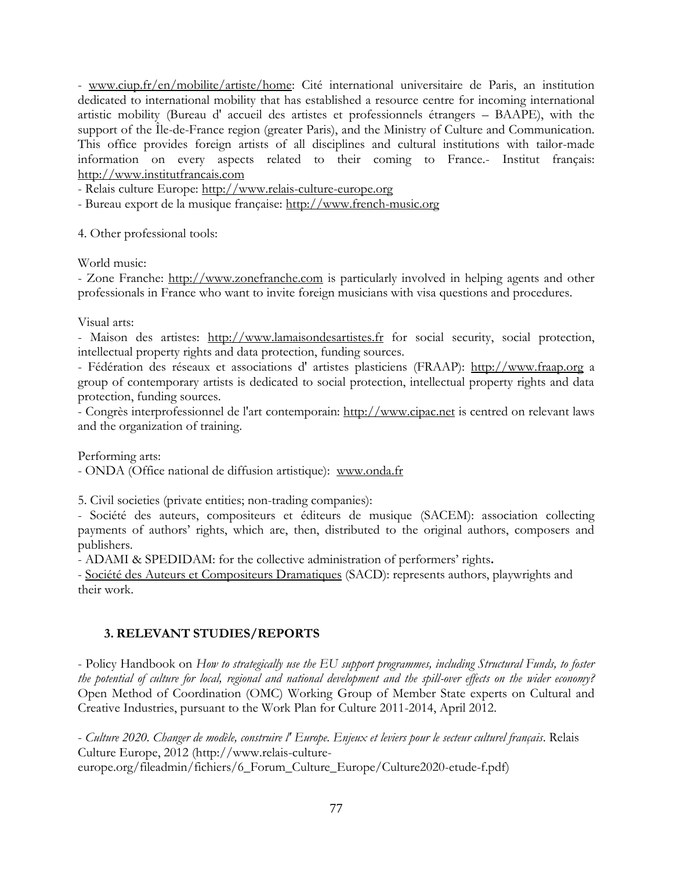- [www.ciup.fr/en/mobilite/artiste/home:](http://www.ciup.fr/en/mobilite/artiste/home) Cité international universitaire de Paris, an institution dedicated to international mobility that has established a resource centre for incoming international artistic mobility (Bureau d' accueil des artistes et professionnels étrangers – BAAPE), with the support of the Île-de-France region (greater Paris), and the Ministry of Culture and Communication. This office provides foreign artists of all disciplines and cultural institutions with tailor-made information on every aspects related to their coming to France.- Institut français: [http://www.institutfrancais.com](http://www.institutfrancais.com/)

- Relais culture Europe: [http://www.relais-culture-europe.org](http://www.relais-culture-europe.org/)

- Bureau export de la musique française: [http://www.french-music.org](http://www.french-music.org/)

4. Other professional tools:

World music:

- Zone Franche: [http://www.zonefranche.com](http://www.zonefranche.com/) is particularly involved in helping agents and other professionals in France who want to invite foreign musicians with visa questions and procedures.

Visual arts:

- Maison des artistes: [http://www.lamaisondesartistes.fr](http://www.lamaisondesartistes.fr/) for social security, social protection, intellectual property rights and data protection, funding sources.

- Fédération des réseaux et associations d' artistes plasticiens (FRAAP): [http://www.fraap.org](http://www.fraap.org/) a group of contemporary artists is dedicated to social protection, intellectual property rights and data protection, funding sources.

- Congrès interprofessionnel de l'art contemporain: [http://www.cipac.net](http://www.cipac.net/) is centred on relevant laws and the organization of training.

Performing arts:

- ONDA (Office national de diffusion artistique): [www.onda.fr](http://www.onda.fr/)

5. Civil societies (private entities; non-trading companies):

- Société des auteurs, compositeurs et éditeurs de musique (SACEM): association collecting payments of authors' rights, which are, then, distributed to the original authors, composers and publishers.

- ADAMI & SPEDIDAM: for the collective administration of performers' rights**.**

- [Société des Auteurs et Compositeurs Dramatiques](http://en.wikipedia.org/wiki/Soci%C3%A9t%C3%A9_des_Auteurs_et_Compositeurs_Dramatiques) (SACD): represents authors, playwrights and their work.

#### **3. RELEVANT STUDIES/REPORTS**

- Policy Handbook on *How to strategically use the EU support programmes, including Structural Funds, to foster the potential of culture for local, regional and national development and the spill-over effects on the wider economy?* Open Method of Coordination (OMC) Working Group of Member State experts on Cultural and Creative Industries, pursuant to the Work Plan for Culture 2011-2014, April 2012.

- *Culture 2020. Changer de modèle, construire l' Europe. Enjeux et leviers pour le secteur culturel français*. Relais Culture Europe, 2012 (http://www.relais-culture-

europe.org/fileadmin/fichiers/6\_Forum\_Culture\_Europe/Culture2020-etude-f.pdf)